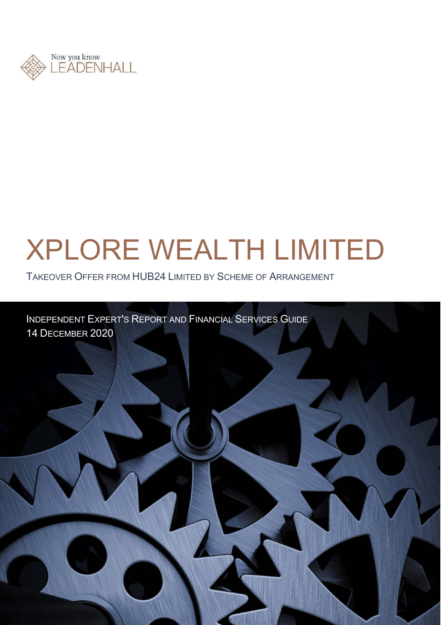

# XPLORE WEALTH LIMITED

TAKEOVER OFFER FROM HUB24 LIMITED BY SCHEME OF ARRANGEMENT

INDEPENDENT EXPERT'S REPORT AND FINANCIAL SERVICES GUIDE 14 DECEMBER 2020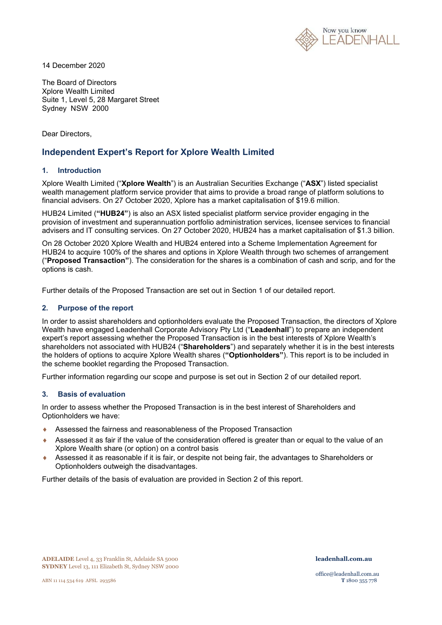

14 December 2020

The Board of Directors Xplore Wealth Limited Suite 1, Level 5, 28 Margaret Street Sydney NSW 2000

Dear Directors,

### **Independent Expert's Report for Xplore Wealth Limited**

### **1. Introduction**

Xplore Wealth Limited ("**Xplore Wealth**") is an Australian Securities Exchange ("**ASX**") listed specialist wealth management platform service provider that aims to provide a broad range of platform solutions to financial advisers. On 27 October 2020, Xplore has a market capitalisation of \$19.6 million.

HUB24 Limited (**"HUB24"**) is also an ASX listed specialist platform service provider engaging in the provision of investment and superannuation portfolio administration services, licensee services to financial advisers and IT consulting services. On 27 October 2020, HUB24 has a market capitalisation of \$1.3 billion.

On 28 October 2020 Xplore Wealth and HUB24 entered into a Scheme Implementation Agreement for HUB24 to acquire 100% of the shares and options in Xplore Wealth through two schemes of arrangement ("**Proposed Transaction"**). The consideration for the shares is a combination of cash and scrip, and for the options is cash.

Further details of the Proposed Transaction are set out in Section 1 of our detailed report.

### **2. Purpose of the report**

In order to assist shareholders and optionholders evaluate the Proposed Transaction, the directors of Xplore Wealth have engaged Leadenhall Corporate Advisory Pty Ltd ("**Leadenhall**") to prepare an independent expert's report assessing whether the Proposed Transaction is in the best interests of Xplore Wealth's shareholders not associated with HUB24 ("**Shareholders**") and separately whether it is in the best interests the holders of options to acquire Xplore Wealth shares (**"Optionholders"**). This report is to be included in the scheme booklet regarding the Proposed Transaction.

Further information regarding our scope and purpose is set out in Section 2 of our detailed report.

### **3. Basis of evaluation**

In order to assess whether the Proposed Transaction is in the best interest of Shareholders and Optionholders we have:

- Assessed the fairness and reasonableness of the Proposed Transaction
- Assessed it as fair if the value of the consideration offered is greater than or equal to the value of an Xplore Wealth share (or option) on a control basis
- Assessed it as reasonable if it is fair, or despite not being fair, the advantages to Shareholders or Optionholders outweigh the disadvantages.

Further details of the basis of evaluation are provided in Section 2 of this report.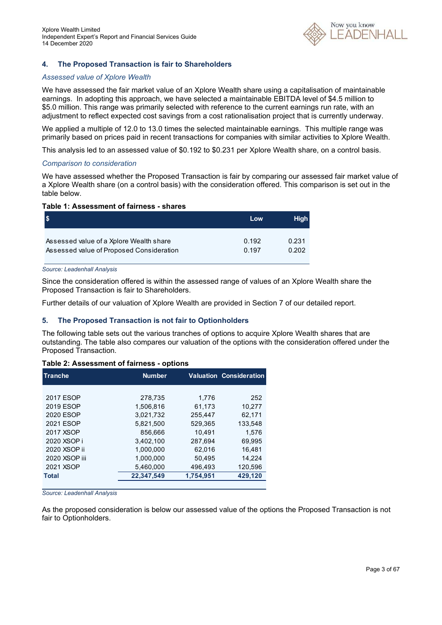

### **4. The Proposed Transaction is fair to Shareholders**

### *Assessed value of Xplore Wealth*

We have assessed the fair market value of an Xplore Wealth share using a capitalisation of maintainable earnings. In adopting this approach, we have selected a maintainable EBITDA level of \$4.5 million to \$5.0 million. This range was primarily selected with reference to the current earnings run rate, with an adjustment to reflect expected cost savings from a cost rationalisation project that is currently underway.

We applied a multiple of 12.0 to 13.0 times the selected maintainable earnings. This multiple range was primarily based on prices paid in recent transactions for companies with similar activities to Xplore Wealth.

This analysis led to an assessed value of \$0.192 to \$0.231 per Xplore Wealth share, on a control basis.

#### *Comparison to consideration*

We have assessed whether the Proposed Transaction is fair by comparing our assessed fair market value of a Xplore Wealth share (on a control basis) with the consideration offered. This comparison is set out in the table below.

#### **Table 1: Assessment of fairness - shares**

|                                          | Low   | <b>High</b> |
|------------------------------------------|-------|-------------|
| Assessed value of a Xplore Wealth share  | 0.192 | 0.231       |
| Assessed value of Proposed Consideration | 0.197 | 0.202       |

*Source: Leadenhall Analysis* 

Since the consideration offered is within the assessed range of values of an Xplore Wealth share the Proposed Transaction is fair to Shareholders.

Further details of our valuation of Xplore Wealth are provided in Section 7 of our detailed report.

### **5. The Proposed Transaction is not fair to Optionholders**

The following table sets out the various tranches of options to acquire Xplore Wealth shares that are outstanding. The table also compares our valuation of the options with the consideration offered under the Proposed Transaction.

### **Table 2: Assessment of fairness - options**

| <b>Tranche</b> | <b>Number</b> |           | <b>Valuation Consideration</b> |  |  |  |
|----------------|---------------|-----------|--------------------------------|--|--|--|
|                |               |           |                                |  |  |  |
| 2017 ESOP      | 278,735       | 1.776     | 252                            |  |  |  |
| 2019 ESOP      | 1.506.816     | 61.173    | 10.277                         |  |  |  |
| 2020 ESOP      | 3.021.732     | 255.447   | 62.171                         |  |  |  |
| 2021 ESOP      | 5,821,500     | 529.365   | 133.548                        |  |  |  |
| 2017 XSOP      | 856.666       | 10.491    | 1.576                          |  |  |  |
| 2020 XSOP i    | 3.402.100     | 287.694   | 69.995                         |  |  |  |
| 2020 XSOP ii   | 1.000.000     | 62.016    | 16.481                         |  |  |  |
| 2020 XSOP iii  | 1.000.000     | 50,495    | 14.224                         |  |  |  |
| 2021 XSOP      | 5,460,000     | 496.493   | 120.596                        |  |  |  |
| <b>Total</b>   | 22,347,549    | 1,754,951 | 429,120                        |  |  |  |
|                |               |           |                                |  |  |  |

*Source: Leadenhall Analysis* 

As the proposed consideration is below our assessed value of the options the Proposed Transaction is not fair to Optionholders.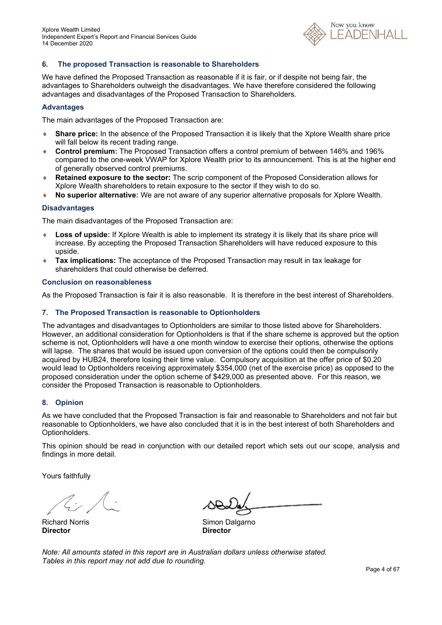

### **6. The proposed Transaction is reasonable to Shareholders**

We have defined the Proposed Transaction as reasonable if it is fair, or if despite not being fair, the advantages to Shareholders outweigh the disadvantages. We have therefore considered the following advantages and disadvantages of the Proposed Transaction to Shareholders.

### **Advantages**

The main advantages of the Proposed Transaction are:

- **Share price:** In the absence of the Proposed Transaction it is likely that the Xplore Wealth share price will fall below its recent trading range.
- **Control premium:** The Proposed Transaction offers a control premium of between 146% and 196% compared to the one-week VWAP for Xplore Wealth prior to its announcement. This is at the higher end of generally observed control premiums.
- **Retained exposure to the sector:** The scrip component of the Proposed Consideration allows for Xplore Wealth shareholders to retain exposure to the sector if they wish to do so.
- **No superior alternative:** We are not aware of any superior alternative proposals for Xplore Wealth.

### **Disadvantages**

The main disadvantages of the Proposed Transaction are:

- **Loss of upside:** If Xplore Wealth is able to implement its strategy it is likely that its share price will increase. By accepting the Proposed Transaction Shareholders will have reduced exposure to this upside.
- **Tax implications:** The acceptance of the Proposed Transaction may result in tax leakage for shareholders that could otherwise be deferred.

#### **Conclusion on reasonableness**

As the Proposed Transaction is fair it is also reasonable. It is therefore in the best interest of Shareholders.

#### **7. The Proposed Transaction is reasonable to Optionholders**

The advantages and disadvantages to Optionholders are similar to those listed above for Shareholders. However, an additional consideration for Optionholders is that if the share scheme is approved but the option scheme is not, Optionholders will have a one month window to exercise their options, otherwise the options will lapse. The shares that would be issued upon conversion of the options could then be compulsorily acquired by HUB24, therefore losing their time value. Compulsory acquisition at the offer price of \$0.20 would lead to Optionholders receiving approximately \$354,000 (net of the exercise price) as opposed to the proposed consideration under the option scheme of \$429,000 as presented above. For this reason, we consider the Proposed Transaction is reasonable to Optionholders.

### **8. Opinion**

As we have concluded that the Proposed Transaction is fair and reasonable to Shareholders and not fair but reasonable to Optionholders, we have also concluded that it is in the best interest of both Shareholders and Optionholders.

This opinion should be read in conjunction with our detailed report which sets out our scope, analysis and findings in more detail.

Yours faithfully

**Director Director** 

Richard Norris **No. 2018** Simon Dalgarno

*Note: All amounts stated in this report are in Australian dollars unless otherwise stated. Tables in this report may not add due to rounding.*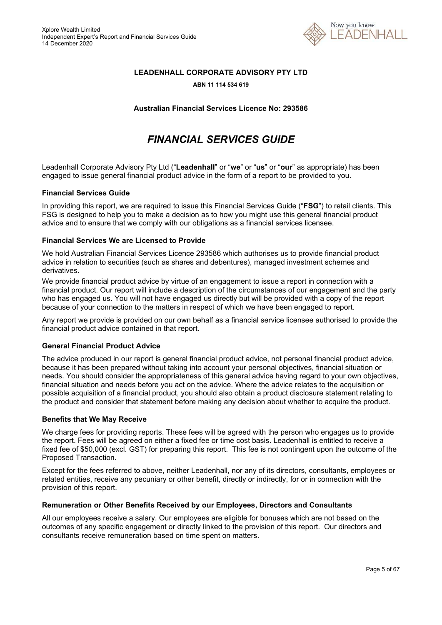

### **LEADENHALL CORPORATE ADVISORY PTY LTD**

#### **ABN 11 114 534 619**

**Australian Financial Services Licence No: 293586** 

# *FINANCIAL SERVICES GUIDE*

Leadenhall Corporate Advisory Pty Ltd ("**Leadenhall**" or "**we**" or "**us**" or "**our**" as appropriate) has been engaged to issue general financial product advice in the form of a report to be provided to you.

### **Financial Services Guide**

In providing this report, we are required to issue this Financial Services Guide ("**FSG**") to retail clients. This FSG is designed to help you to make a decision as to how you might use this general financial product advice and to ensure that we comply with our obligations as a financial services licensee.

### **Financial Services We are Licensed to Provide**

We hold Australian Financial Services Licence 293586 which authorises us to provide financial product advice in relation to securities (such as shares and debentures), managed investment schemes and derivatives.

We provide financial product advice by virtue of an engagement to issue a report in connection with a financial product. Our report will include a description of the circumstances of our engagement and the party who has engaged us. You will not have engaged us directly but will be provided with a copy of the report because of your connection to the matters in respect of which we have been engaged to report.

Any report we provide is provided on our own behalf as a financial service licensee authorised to provide the financial product advice contained in that report.

### **General Financial Product Advice**

The advice produced in our report is general financial product advice, not personal financial product advice, because it has been prepared without taking into account your personal objectives, financial situation or needs. You should consider the appropriateness of this general advice having regard to your own objectives, financial situation and needs before you act on the advice. Where the advice relates to the acquisition or possible acquisition of a financial product, you should also obtain a product disclosure statement relating to the product and consider that statement before making any decision about whether to acquire the product.

### **Benefits that We May Receive**

We charge fees for providing reports. These fees will be agreed with the person who engages us to provide the report. Fees will be agreed on either a fixed fee or time cost basis. Leadenhall is entitled to receive a fixed fee of \$50,000 (excl. GST) for preparing this report. This fee is not contingent upon the outcome of the Proposed Transaction.

Except for the fees referred to above, neither Leadenhall, nor any of its directors, consultants, employees or related entities, receive any pecuniary or other benefit, directly or indirectly, for or in connection with the provision of this report.

### **Remuneration or Other Benefits Received by our Employees, Directors and Consultants**

All our employees receive a salary. Our employees are eligible for bonuses which are not based on the outcomes of any specific engagement or directly linked to the provision of this report. Our directors and consultants receive remuneration based on time spent on matters.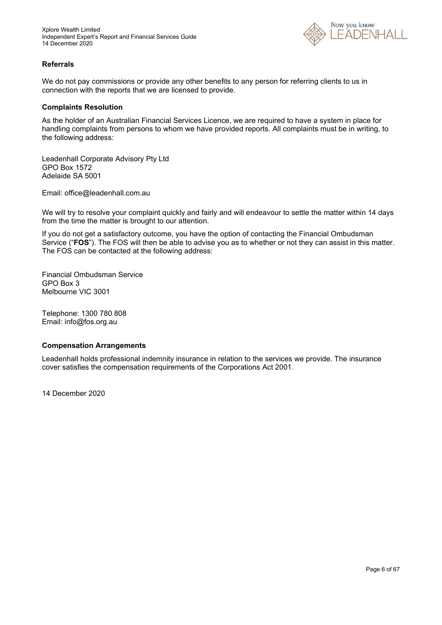

### **Referrals**

We do not pay commissions or provide any other benefits to any person for referring clients to us in connection with the reports that we are licensed to provide.

### **Complaints Resolution**

As the holder of an Australian Financial Services Licence, we are required to have a system in place for handling complaints from persons to whom we have provided reports. All complaints must be in writing, to the following address:

Leadenhall Corporate Advisory Pty Ltd GPO Box 1572 Adelaide SA 5001

Email: office@leadenhall.com.au

We will try to resolve your complaint quickly and fairly and will endeavour to settle the matter within 14 days from the time the matter is brought to our attention.

If you do not get a satisfactory outcome, you have the option of contacting the Financial Ombudsman Service ("**FOS**"). The FOS will then be able to advise you as to whether or not they can assist in this matter. The FOS can be contacted at the following address:

Financial Ombudsman Service GPO Box 3 Melbourne VIC 3001

Telephone: 1300 780 808 Email: info@fos.org.au

### **Compensation Arrangements**

Leadenhall holds professional indemnity insurance in relation to the services we provide. The insurance cover satisfies the compensation requirements of the Corporations Act 2001.

14 December 2020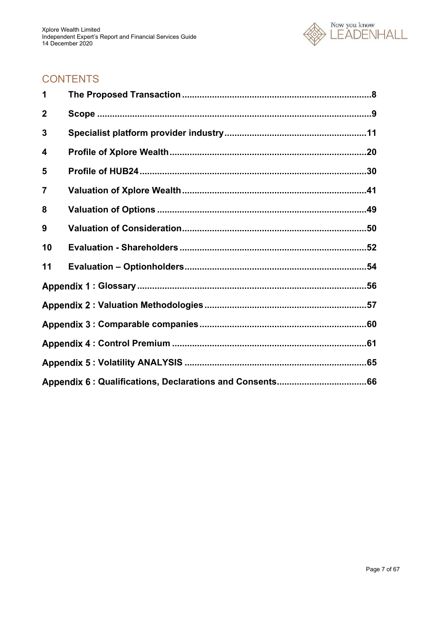

# **CONTENTS**

| 1            |  |
|--------------|--|
| $\mathbf{2}$ |  |
| 3            |  |
| 4            |  |
| 5            |  |
| 7            |  |
| 8            |  |
| 9            |  |
| 10           |  |
| 11           |  |
|              |  |
|              |  |
|              |  |
|              |  |
|              |  |
|              |  |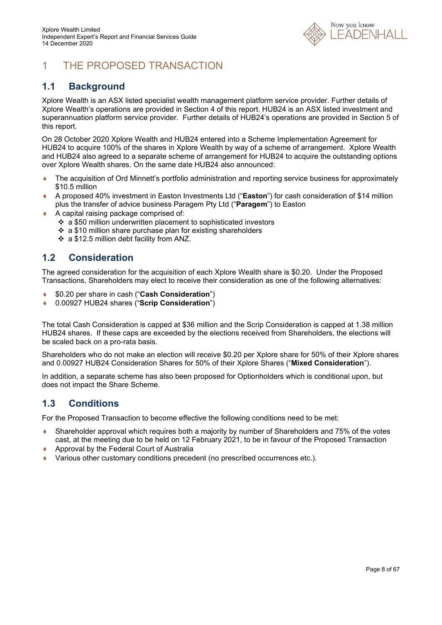

# 1 THE PROPOSED TRANSACTION

### **1.1 Background**

Xplore Wealth is an ASX listed specialist wealth management platform service provider. Further details of Xplore Wealth's operations are provided in Section 4 of this report. HUB24 is an ASX listed investment and superannuation platform service provider. Further details of HUB24's operations are provided in Section 5 of this report.

On 28 October 2020 Xplore Wealth and HUB24 entered into a Scheme Implementation Agreement for HUB24 to acquire 100% of the shares in Xplore Wealth by way of a scheme of arrangement. Xplore Wealth and HUB24 also agreed to a separate scheme of arrangement for HUB24 to acquire the outstanding options over Xplore Wealth shares. On the same date HUB24 also announced:

- ◆ The acquisition of Ord Minnett's portfolio administration and reporting service business for approximately \$10.5 million
- A proposed 40% investment in Easton Investments Ltd ("**Easton**") for cash consideration of \$14 million plus the transfer of advice business Paragem Pty Ltd ("**Paragem**") to Easton
- A capital raising package comprised of:
	- a \$50 million underwritten placement to sophisticated investors
	- ❖ a \$10 million share purchase plan for existing shareholders
	- a \$12.5 million debt facility from ANZ.

### **1.2 Consideration**

The agreed consideration for the acquisition of each Xplore Wealth share is \$0.20. Under the Proposed Transactions, Shareholders may elect to receive their consideration as one of the following alternatives:

- \$0.20 per share in cash ("**Cash Consideration**")
- 0.00927 HUB24 shares ("**Scrip Consideration**")

The total Cash Consideration is capped at \$36 million and the Scrip Consideration is capped at 1.38 million HUB24 shares. If these caps are exceeded by the elections received from Shareholders, the elections will be scaled back on a pro-rata basis.

Shareholders who do not make an election will receive \$0.20 per Xplore share for 50% of their Xplore shares and 0.00927 HUB24 Consideration Shares for 50% of their Xplore Shares ("**Mixed Consideration**").

In addition, a separate scheme has also been proposed for Optionholders which is conditional upon, but does not impact the Share Scheme.

### **1.3 Conditions**

For the Proposed Transaction to become effective the following conditions need to be met:

- Shareholder approval which requires both a majority by number of Shareholders and 75% of the votes cast, at the meeting due to be held on 12 February 2021, to be in favour of the Proposed Transaction
- ◆ Approval by the Federal Court of Australia
- Various other customary conditions precedent (no prescribed occurrences etc.).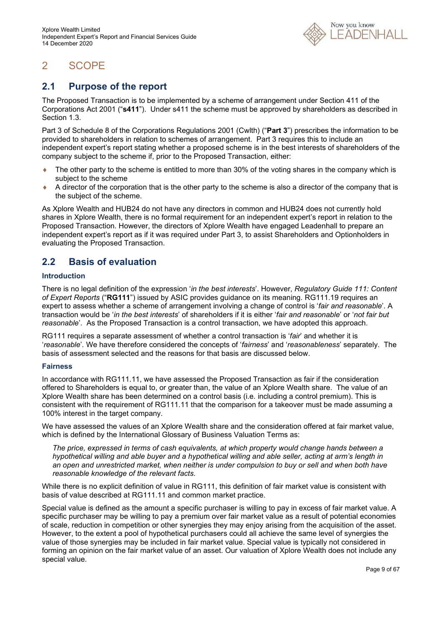

# 2 SCOPE

### **2.1 Purpose of the report**

The Proposed Transaction is to be implemented by a scheme of arrangement under Section 411 of the Corporations Act 2001 ("**s411**"). Under s411 the scheme must be approved by shareholders as described in Section 1.3.

Part 3 of Schedule 8 of the Corporations Regulations 2001 (Cwlth) ("**Part 3**") prescribes the information to be provided to shareholders in relation to schemes of arrangement. Part 3 requires this to include an independent expert's report stating whether a proposed scheme is in the best interests of shareholders of the company subject to the scheme if, prior to the Proposed Transaction, either:

- The other party to the scheme is entitled to more than 30% of the voting shares in the company which is subject to the scheme
- $\bullet$  A director of the corporation that is the other party to the scheme is also a director of the company that is the subject of the scheme.

As Xplore Wealth and HUB24 do not have any directors in common and HUB24 does not currently hold shares in Xplore Wealth, there is no formal requirement for an independent expert's report in relation to the Proposed Transaction. However, the directors of Xplore Wealth have engaged Leadenhall to prepare an independent expert's report as if it was required under Part 3, to assist Shareholders and Optionholders in evaluating the Proposed Transaction.

### **2.2 Basis of evaluation**

### **Introduction**

There is no legal definition of the expression '*in the best interests*'. However, *Regulatory Guide 111: Content of Expert Reports* ("**RG111**") issued by ASIC provides guidance on its meaning. RG111.19 requires an expert to assess whether a scheme of arrangement involving a change of control is '*fair and reasonable*'. A transaction would be '*in the best interests*' of shareholders if it is either '*fair and reasonable*' or '*not fair but reasonable*'. As the Proposed Transaction is a control transaction, we have adopted this approach.

RG111 requires a separate assessment of whether a control transaction is '*fair*' and whether it is '*reasonable*'. We have therefore considered the concepts of '*fairness*' and '*reasonableness*' separately. The basis of assessment selected and the reasons for that basis are discussed below.

### **Fairness**

In accordance with RG111.11, we have assessed the Proposed Transaction as fair if the consideration offered to Shareholders is equal to, or greater than, the value of an Xplore Wealth share. The value of an Xplore Wealth share has been determined on a control basis (i.e. including a control premium). This is consistent with the requirement of RG111.11 that the comparison for a takeover must be made assuming a 100% interest in the target company.

We have assessed the values of an Xplore Wealth share and the consideration offered at fair market value, which is defined by the International Glossary of Business Valuation Terms as:

*The price, expressed in terms of cash equivalents, at which property would change hands between a hypothetical willing and able buyer and a hypothetical willing and able seller, acting at arm's length in an open and unrestricted market, when neither is under compulsion to buy or sell and when both have reasonable knowledge of the relevant facts.* 

While there is no explicit definition of value in RG111, this definition of fair market value is consistent with basis of value described at RG111.11 and common market practice.

Special value is defined as the amount a specific purchaser is willing to pay in excess of fair market value. A specific purchaser may be willing to pay a premium over fair market value as a result of potential economies of scale, reduction in competition or other synergies they may enjoy arising from the acquisition of the asset. However, to the extent a pool of hypothetical purchasers could all achieve the same level of synergies the value of those synergies may be included in fair market value. Special value is typically not considered in forming an opinion on the fair market value of an asset. Our valuation of Xplore Wealth does not include any special value.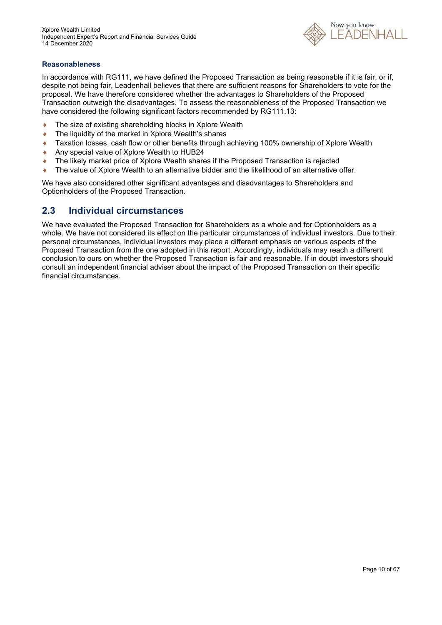

### **Reasonableness**

In accordance with RG111, we have defined the Proposed Transaction as being reasonable if it is fair, or if, despite not being fair, Leadenhall believes that there are sufficient reasons for Shareholders to vote for the proposal. We have therefore considered whether the advantages to Shareholders of the Proposed Transaction outweigh the disadvantages. To assess the reasonableness of the Proposed Transaction we have considered the following significant factors recommended by RG111.13:

- ◆ The size of existing shareholding blocks in Xplore Wealth
- ◆ The liquidity of the market in Xplore Wealth's shares
- Taxation losses, cash flow or other benefits through achieving 100% ownership of Xplore Wealth
- Any special value of Xplore Wealth to HUB24
- ◆ The likely market price of Xplore Wealth shares if the Proposed Transaction is rejected
- The value of Xplore Wealth to an alternative bidder and the likelihood of an alternative offer.

We have also considered other significant advantages and disadvantages to Shareholders and Optionholders of the Proposed Transaction.

### **2.3 Individual circumstances**

We have evaluated the Proposed Transaction for Shareholders as a whole and for Optionholders as a whole. We have not considered its effect on the particular circumstances of individual investors. Due to their personal circumstances, individual investors may place a different emphasis on various aspects of the Proposed Transaction from the one adopted in this report. Accordingly, individuals may reach a different conclusion to ours on whether the Proposed Transaction is fair and reasonable. If in doubt investors should consult an independent financial adviser about the impact of the Proposed Transaction on their specific financial circumstances.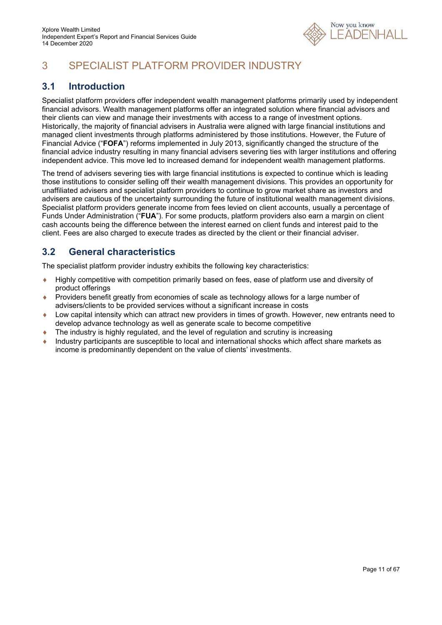

# 3 SPECIALIST PLATFORM PROVIDER INDUSTRY

### **3.1 Introduction**

Specialist platform providers offer independent wealth management platforms primarily used by independent financial advisors. Wealth management platforms offer an integrated solution where financial advisors and their clients can view and manage their investments with access to a range of investment options. Historically, the majority of financial advisers in Australia were aligned with large financial institutions and managed client investments through platforms administered by those institutions. However, the Future of Financial Advice ("**FOFA**") reforms implemented in July 2013, significantly changed the structure of the financial advice industry resulting in many financial advisers severing ties with larger institutions and offering independent advice. This move led to increased demand for independent wealth management platforms.

The trend of advisers severing ties with large financial institutions is expected to continue which is leading those institutions to consider selling off their wealth management divisions. This provides an opportunity for unaffiliated advisers and specialist platform providers to continue to grow market share as investors and advisers are cautious of the uncertainty surrounding the future of institutional wealth management divisions. Specialist platform providers generate income from fees levied on client accounts, usually a percentage of Funds Under Administration ("**FUA**"). For some products, platform providers also earn a margin on client cash accounts being the difference between the interest earned on client funds and interest paid to the client. Fees are also charged to execute trades as directed by the client or their financial adviser.

### **3.2 General characteristics**

The specialist platform provider industry exhibits the following key characteristics:

- Highly competitive with competition primarily based on fees, ease of platform use and diversity of product offerings
- Providers benefit greatly from economies of scale as technology allows for a large number of advisers/clients to be provided services without a significant increase in costs
- Low capital intensity which can attract new providers in times of growth. However, new entrants need to develop advance technology as well as generate scale to become competitive
- The industry is highly regulated, and the level of regulation and scrutiny is increasing
- Industry participants are susceptible to local and international shocks which affect share markets as income is predominantly dependent on the value of clients' investments.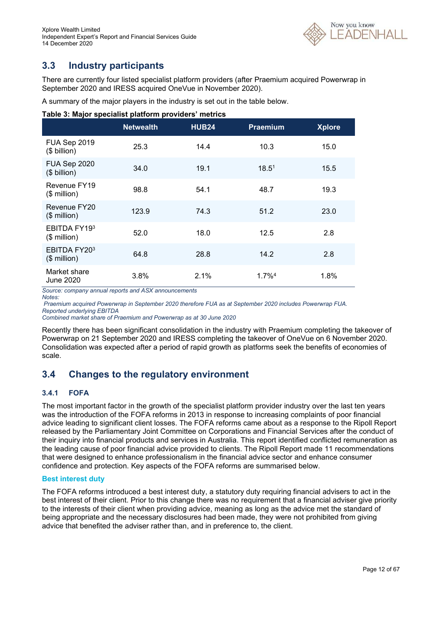

### **3.3 Industry participants**

There are currently four listed specialist platform providers (after Praemium acquired Powerwrap in September 2020 and IRESS acquired OneVue in November 2020).

A summary of the major players in the industry is set out in the table below.

| Table 3: Major specialist platform providers' metrics |  |  |  |
|-------------------------------------------------------|--|--|--|
|                                                       |  |  |  |

|                                  | <b>Netwealth</b> | <b>HUB24</b> | <b>Praemium</b>   | <b>Xplore</b> |
|----------------------------------|------------------|--------------|-------------------|---------------|
| FUA Sep 2019<br>$($$ billion)    | 25.3             | 14.4         | 10.3              | 15.0          |
| FUA Sep 2020<br>$($$ billion)    | 34.0             | 19.1         | 18.5 <sup>1</sup> | 15.5          |
| Revenue FY19<br>$($$ million $)$ | 98.8             | 54.1         | 48.7              | 19.3          |
| Revenue FY20<br>$($$ million)    | 123.9            | 74.3         | 51.2              | 23.0          |
| EBITDA FY193<br>$($$ million)    | 52.0             | 18.0         | 12.5              | 2.8           |
| EBITDA FY203<br>$($$ million)    | 64.8             | 28.8         | 14.2              | 2.8           |
| Market share<br>June 2020        | 3.8%             | 2.1%         | $1.7\%4$          | 1.8%          |

*Source: company annual reports and ASX announcements Notes:* 

 *Praemium acquired Powerwrap in September 2020 therefore FUA as at September 2020 includes Powerwrap FUA. Reported underlying EBITDA* 

*Combined market share of Praemium and Powerwrap as at 30 June 2020* 

Recently there has been significant consolidation in the industry with Praemium completing the takeover of Powerwrap on 21 September 2020 and IRESS completing the takeover of OneVue on 6 November 2020. Consolidation was expected after a period of rapid growth as platforms seek the benefits of economies of scale.

### **3.4 Changes to the regulatory environment**

### **3.4.1 FOFA**

The most important factor in the growth of the specialist platform provider industry over the last ten years was the introduction of the FOFA reforms in 2013 in response to increasing complaints of poor financial advice leading to significant client losses. The FOFA reforms came about as a response to the Ripoll Report released by the Parliamentary Joint Committee on Corporations and Financial Services after the conduct of their inquiry into financial products and services in Australia. This report identified conflicted remuneration as the leading cause of poor financial advice provided to clients. The Ripoll Report made 11 recommendations that were designed to enhance professionalism in the financial advice sector and enhance consumer confidence and protection. Key aspects of the FOFA reforms are summarised below.

### **Best interest duty**

The FOFA reforms introduced a best interest duty, a statutory duty requiring financial advisers to act in the best interest of their client. Prior to this change there was no requirement that a financial adviser give priority to the interests of their client when providing advice, meaning as long as the advice met the standard of being appropriate and the necessary disclosures had been made, they were not prohibited from giving advice that benefited the adviser rather than, and in preference to, the client.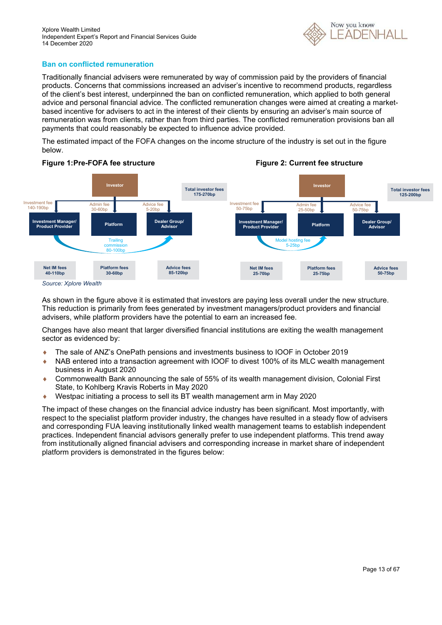

### **Ban on conflicted remuneration**

Traditionally financial advisers were remunerated by way of commission paid by the providers of financial products. Concerns that commissions increased an adviser's incentive to recommend products, regardless of the client's best interest, underpinned the ban on conflicted remuneration, which applied to both general advice and personal financial advice. The conflicted remuneration changes were aimed at creating a marketbased incentive for advisers to act in the interest of their clients by ensuring an adviser's main source of remuneration was from clients, rather than from third parties. The conflicted remuneration provisions ban all payments that could reasonably be expected to influence advice provided.

The estimated impact of the FOFA changes on the income structure of the industry is set out in the figure below.



As shown in the figure above it is estimated that investors are paying less overall under the new structure. This reduction is primarily from fees generated by investment managers/product providers and financial advisers, while platform providers have the potential to earn an increased fee.

Changes have also meant that larger diversified financial institutions are exiting the wealth management sector as evidenced by:

- The sale of ANZ's OnePath pensions and investments business to IOOF in October 2019
- NAB entered into a transaction agreement with IOOF to divest 100% of its MLC wealth management business in August 2020
- Commonwealth Bank announcing the sale of 55% of its wealth management division, Colonial First State, to Kohlberg Kravis Roberts in May 2020
- Westpac initiating a process to sell its BT wealth management arm in May 2020

The impact of these changes on the financial advice industry has been significant. Most importantly, with respect to the specialist platform provider industry, the changes have resulted in a steady flow of advisers and corresponding FUA leaving institutionally linked wealth management teams to establish independent practices. Independent financial advisors generally prefer to use independent platforms. This trend away from institutionally aligned financial advisers and corresponding increase in market share of independent platform providers is demonstrated in the figures below: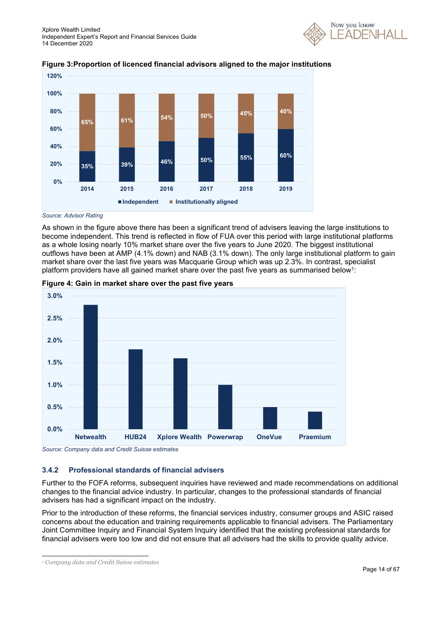





*Source: Advisor Rating*

As shown in the figure above there has been a significant trend of advisers leaving the large institutions to become independent. This trend is reflected in flow of FUA over this period with large institutional platforms as a whole losing nearly 10% market share over the five years to June 2020. The biggest institutional outflows have been at AMP (4.1% down) and NAB (3.1% down). The only large institutional platform to gain market share over the last five years was Macquarie Group which was up 2.3%. In contrast, specialist platform providers have all gained market share over the past five years as summarised below<sup>1</sup>:





*Source: Company data and Credit Suisse estimates*

### **3.4.2 Professional standards of financial advisers**

Further to the FOFA reforms, subsequent inquiries have reviewed and made recommendations on additional changes to the financial advice industry. In particular, changes to the professional standards of financial advisers has had a significant impact on the industry.

Prior to the introduction of these reforms, the financial services industry, consumer groups and ASIC raised concerns about the education and training requirements applicable to financial advisers. The Parliamentary Joint Committee Inquiry and Financial System Inquiry identified that the existing professional standards for financial advisers were too low and did not ensure that all advisers had the skills to provide quality advice.

*<sup>1</sup> Company data and Credit Suisse estimates*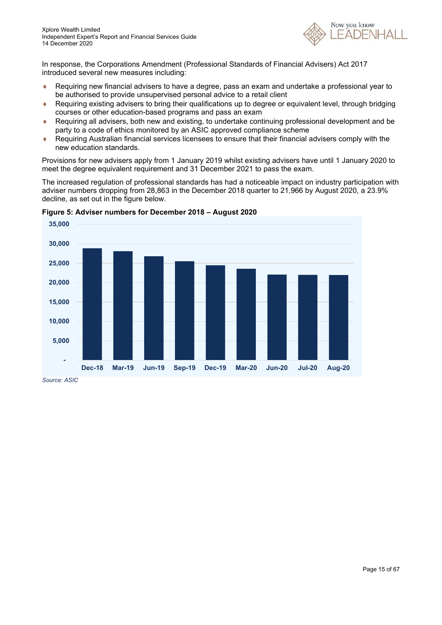

In response, the Corporations Amendment (Professional Standards of Financial Advisers) Act 2017 introduced several new measures including:

- Requiring new financial advisers to have a degree, pass an exam and undertake a professional year to be authorised to provide unsupervised personal advice to a retail client
- Requiring existing advisers to bring their qualifications up to degree or equivalent level, through bridging courses or other education-based programs and pass an exam
- Requiring all advisers, both new and existing, to undertake continuing professional development and be party to a code of ethics monitored by an ASIC approved compliance scheme
- Requiring Australian financial services licensees to ensure that their financial advisers comply with the new education standards.

Provisions for new advisers apply from 1 January 2019 whilst existing advisers have until 1 January 2020 to meet the degree equivalent requirement and 31 December 2021 to pass the exam.

The increased regulation of professional standards has had a noticeable impact on industry participation with adviser numbers dropping from 28,863 in the December 2018 quarter to 21,966 by August 2020, a 23.9% decline, as set out in the figure below.



**Figure 5: Adviser numbers for December 2018 – August 2020**

*Source: ASIC*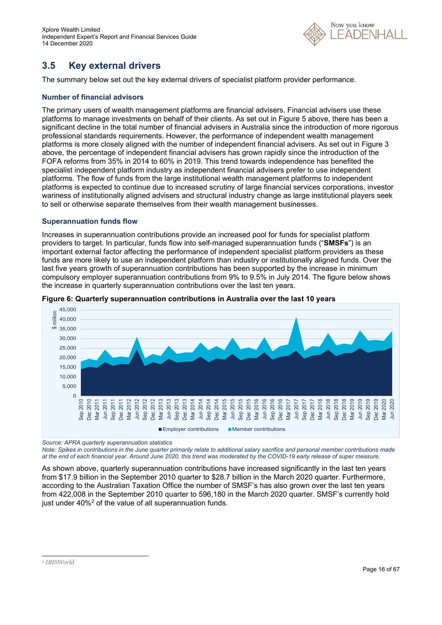

# **3.5 Key external drivers**

The summary below set out the key external drivers of specialist platform provider performance.

### **Number of financial advisors**

The primary users of wealth management platforms are financial advisers. Financial advisers use these platforms to manage investments on behalf of their clients. As set out in Figure 5 above, there has been a significant decline in the total number of financial advisers in Australia since the introduction of more rigorous professional standards requirements. However, the performance of independent wealth management platforms is more closely aligned with the number of independent financial advisers. As set out in Figure 3 above, the percentage of independent financial advisers has grown rapidly since the introduction of the FOFA reforms from 35% in 2014 to 60% in 2019. This trend towards independence has benefited the specialist independent platform industry as independent financial advisers prefer to use independent platforms. The flow of funds from the large institutional wealth management platforms to independent platforms is expected to continue due to increased scrutiny of large financial services corporations, investor wariness of institutionally aligned advisers and structural industry change as large institutional players seek to sell or otherwise separate themselves from their wealth management businesses.

### **Superannuation funds flow**

Increases in superannuation contributions provide an increased pool for funds for specialist platform providers to target. In particular, funds flow into self-managed superannuation funds ("**SMSFs**") is an important external factor affecting the performance of independent specialist platform providers as these funds are more likely to use an independent platform than industry or institutionally aligned funds. Over the last five years growth of superannuation contributions has been supported by the increase in minimum compulsory employer superannuation contributions from 9% to 9.5% in July 2014. The figure below shows the increase in quarterly superannuation contributions over the last ten years.



#### **Figure 6: Quarterly superannuation contributions in Australia over the last 10 years**

*Source: APRA quarterly superannuation statistics* 

*Note: Spikes in contributions in the June quarter primarily relate to additional salary sacrifice and personal member contributions made at the end of each financial year. Around June 2020, this trend was moderated by the COVID-19 early release of super measure.* 

As shown above, quarterly superannuation contributions have increased significantly in the last ten years from \$17.9 billion in the September 2010 quarter to \$28.7 billion in the March 2020 quarter. Furthermore, according to the Australian Taxation Office the number of SMSF's has also grown over the last ten years from 422,008 in the September 2010 quarter to 596,180 in the March 2020 quarter. SMSF's currently hold just under 40%<sup>2</sup> of the value of all superannuation funds.

*<sup>2</sup> IBISWorld*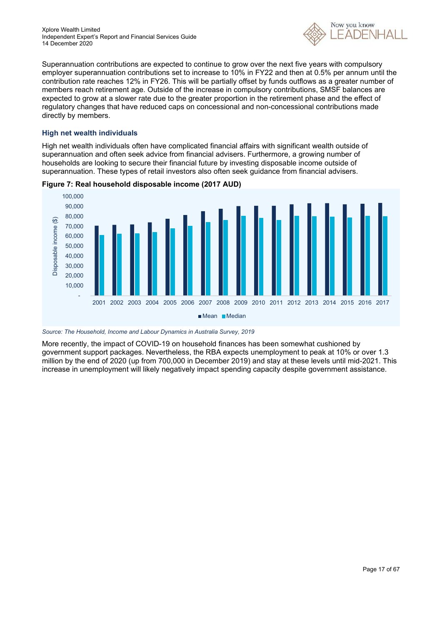

Superannuation contributions are expected to continue to grow over the next five years with compulsory employer superannuation contributions set to increase to 10% in FY22 and then at 0.5% per annum until the contribution rate reaches 12% in FY26. This will be partially offset by funds outflows as a greater number of members reach retirement age. Outside of the increase in compulsory contributions, SMSF balances are expected to grow at a slower rate due to the greater proportion in the retirement phase and the effect of regulatory changes that have reduced caps on concessional and non-concessional contributions made directly by members.

### **High net wealth individuals**

High net wealth individuals often have complicated financial affairs with significant wealth outside of superannuation and often seek advice from financial advisers. Furthermore, a growing number of households are looking to secure their financial future by investing disposable income outside of superannuation. These types of retail investors also often seek guidance from financial advisers.



**Figure 7: Real household disposable income (2017 AUD)** 

*Source: The Household, Income and Labour Dynamics in Australia Survey, 2019* 

More recently, the impact of COVID-19 on household finances has been somewhat cushioned by government support packages. Nevertheless, the RBA expects unemployment to peak at 10% or over 1.3 million by the end of 2020 (up from 700,000 in December 2019) and stay at these levels until mid-2021. This increase in unemployment will likely negatively impact spending capacity despite government assistance.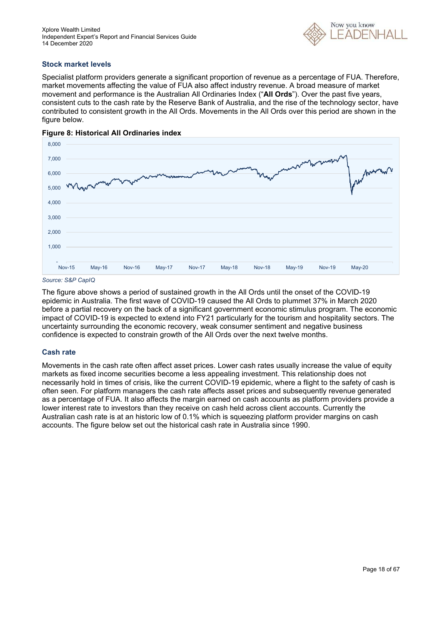

### **Stock market levels**

Specialist platform providers generate a significant proportion of revenue as a percentage of FUA. Therefore, market movements affecting the value of FUA also affect industry revenue. A broad measure of market movement and performance is the Australian All Ordinaries Index ("**All Ords**"). Over the past five years, consistent cuts to the cash rate by the Reserve Bank of Australia, and the rise of the technology sector, have contributed to consistent growth in the All Ords. Movements in the All Ords over this period are shown in the figure below.





The figure above shows a period of sustained growth in the All Ords until the onset of the COVID-19 epidemic in Australia. The first wave of COVID-19 caused the All Ords to plummet 37% in March 2020 before a partial recovery on the back of a significant government economic stimulus program. The economic impact of COVID-19 is expected to extend into FY21 particularly for the tourism and hospitality sectors. The uncertainty surrounding the economic recovery, weak consumer sentiment and negative business confidence is expected to constrain growth of the All Ords over the next twelve months.

### **Cash rate**

Movements in the cash rate often affect asset prices. Lower cash rates usually increase the value of equity markets as fixed income securities become a less appealing investment. This relationship does not necessarily hold in times of crisis, like the current COVID-19 epidemic, where a flight to the safety of cash is often seen. For platform managers the cash rate affects asset prices and subsequently revenue generated as a percentage of FUA. It also affects the margin earned on cash accounts as platform providers provide a lower interest rate to investors than they receive on cash held across client accounts. Currently the Australian cash rate is at an historic low of 0.1% which is squeezing platform provider margins on cash accounts. The figure below set out the historical cash rate in Australia since 1990.

*Source: S&P CapIQ*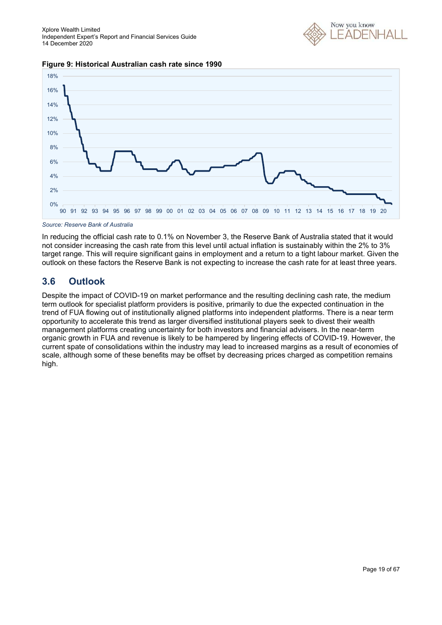





#### *Source: Reserve Bank of Australia*

In reducing the official cash rate to 0.1% on November 3, the Reserve Bank of Australia stated that it would not consider increasing the cash rate from this level until actual inflation is sustainably within the 2% to 3% target range. This will require significant gains in employment and a return to a tight labour market. Given the outlook on these factors the Reserve Bank is not expecting to increase the cash rate for at least three years.

### **3.6 Outlook**

Despite the impact of COVID-19 on market performance and the resulting declining cash rate, the medium term outlook for specialist platform providers is positive, primarily to due the expected continuation in the trend of FUA flowing out of institutionally aligned platforms into independent platforms. There is a near term opportunity to accelerate this trend as larger diversified institutional players seek to divest their wealth management platforms creating uncertainty for both investors and financial advisers. In the near-term organic growth in FUA and revenue is likely to be hampered by lingering effects of COVID-19. However, the current spate of consolidations within the industry may lead to increased margins as a result of economies of scale, although some of these benefits may be offset by decreasing prices charged as competition remains high.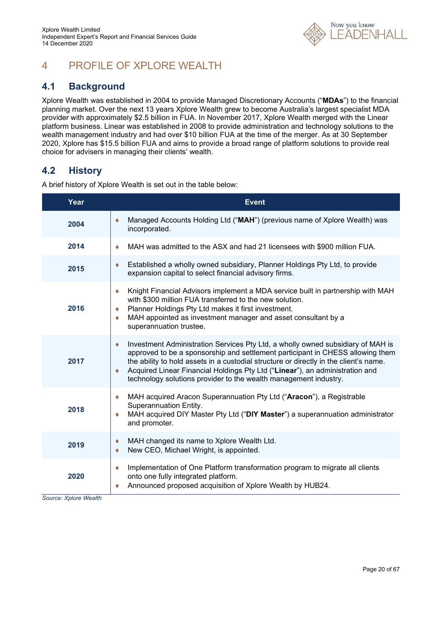

# 4 PROFILE OF XPLORE WEALTH

### **4.1 Background**

Xplore Wealth was established in 2004 to provide Managed Discretionary Accounts ("**MDAs**") to the financial planning market. Over the next 13 years Xplore Wealth grew to become Australia's largest specialist MDA provider with approximately \$2.5 billion in FUA. In November 2017, Xplore Wealth merged with the Linear platform business. Linear was established in 2008 to provide administration and technology solutions to the wealth management industry and had over \$10 billion FUA at the time of the merger. As at 30 September 2020, Xplore has \$15.5 billion FUA and aims to provide a broad range of platform solutions to provide real choice for advisers in managing their clients' wealth.

### **4.2 History**

A brief history of Xplore Wealth is set out in the table below:

| Year | <b>Event</b>                                                                                                                                                                                                                                                                                                                                                                                                        |
|------|---------------------------------------------------------------------------------------------------------------------------------------------------------------------------------------------------------------------------------------------------------------------------------------------------------------------------------------------------------------------------------------------------------------------|
| 2004 | Managed Accounts Holding Ltd ("MAH") (previous name of Xplore Wealth) was<br>٠<br>incorporated.                                                                                                                                                                                                                                                                                                                     |
| 2014 | MAH was admitted to the ASX and had 21 licensees with \$900 million FUA.<br>۰                                                                                                                                                                                                                                                                                                                                       |
| 2015 | Established a wholly owned subsidiary, Planner Holdings Pty Ltd, to provide<br>۰<br>expansion capital to select financial advisory firms.                                                                                                                                                                                                                                                                           |
| 2016 | Knight Financial Advisors implement a MDA service built in partnership with MAH<br>۰<br>with \$300 million FUA transferred to the new solution.<br>Planner Holdings Pty Ltd makes it first investment.<br>۰<br>MAH appointed as investment manager and asset consultant by a<br>superannuation trustee.                                                                                                             |
| 2017 | Investment Administration Services Pty Ltd, a wholly owned subsidiary of MAH is<br>۰<br>approved to be a sponsorship and settlement participant in CHESS allowing them<br>the ability to hold assets in a custodial structure or directly in the client's name.<br>Acquired Linear Financial Holdings Pty Ltd ("Linear"), an administration and<br>technology solutions provider to the wealth management industry. |
| 2018 | MAH acquired Aracon Superannuation Pty Ltd ("Aracon"), a Registrable<br>۰<br>Superannuation Entity.<br>MAH acquired DIY Master Pty Ltd ("DIY Master") a superannuation administrator<br>and promoter.                                                                                                                                                                                                               |
| 2019 | MAH changed its name to Xplore Wealth Ltd.<br>۰<br>New CEO, Michael Wright, is appointed.                                                                                                                                                                                                                                                                                                                           |
| 2020 | Implementation of One Platform transformation program to migrate all clients<br>۰<br>onto one fully integrated platform.<br>Announced proposed acquisition of Xplore Wealth by HUB24.                                                                                                                                                                                                                               |

*Source: Xplore Wealth*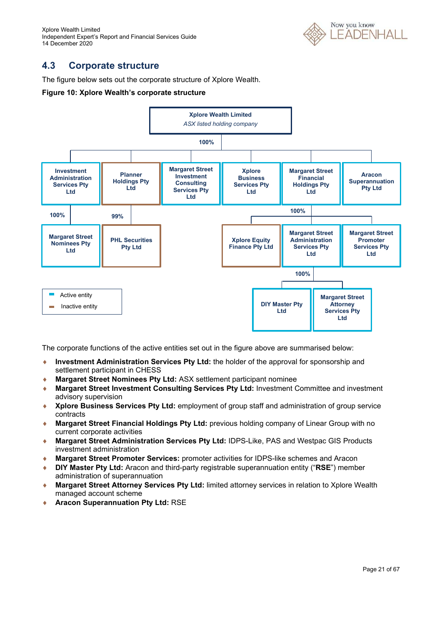Xplore Wealth Limited Independent Expert's Report and Financial Services Guide 14 December 2020



### **4.3 Corporate structure**

The figure below sets out the corporate structure of Xplore Wealth.

### **Figure 10: Xplore Wealth's corporate structure**



The corporate functions of the active entities set out in the figure above are summarised below:

- **Investment Administration Services Pty Ltd:** the holder of the approval for sponsorship and settlement participant in CHESS
- **Margaret Street Nominees Pty Ltd:** ASX settlement participant nominee
- **Margaret Street Investment Consulting Services Pty Ltd:** Investment Committee and investment advisory supervision
- **Xplore Business Services Pty Ltd:** employment of group staff and administration of group service contracts
- **Margaret Street Financial Holdings Pty Ltd:** previous holding company of Linear Group with no current corporate activities
- **Margaret Street Administration Services Pty Ltd:** IDPS-Like, PAS and Westpac GIS Products investment administration
- **Margaret Street Promoter Services:** promoter activities for IDPS-like schemes and Aracon
- **DIY Master Pty Ltd:** Aracon and third-party registrable superannuation entity ("**RSE**") member administration of superannuation
- **Margaret Street Attorney Services Pty Ltd:** limited attorney services in relation to Xplore Wealth managed account scheme
- **Aracon Superannuation Pty Ltd:** RSE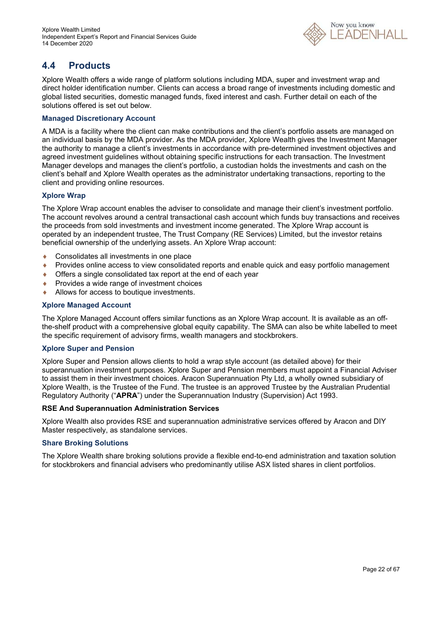

### **4.4 Products**

Xplore Wealth offers a wide range of platform solutions including MDA, super and investment wrap and direct holder identification number. Clients can access a broad range of investments including domestic and global listed securities, domestic managed funds, fixed interest and cash. Further detail on each of the solutions offered is set out below.

### **Managed Discretionary Account**

A MDA is a facility where the client can make contributions and the client's portfolio assets are managed on an individual basis by the MDA provider. As the MDA provider, Xplore Wealth gives the Investment Manager the authority to manage a client's investments in accordance with pre-determined investment objectives and agreed investment guidelines without obtaining specific instructions for each transaction. The Investment Manager develops and manages the client's portfolio, a custodian holds the investments and cash on the client's behalf and Xplore Wealth operates as the administrator undertaking transactions, reporting to the client and providing online resources.

### **Xplore Wrap**

The Xplore Wrap account enables the adviser to consolidate and manage their client's investment portfolio. The account revolves around a central transactional cash account which funds buy transactions and receives the proceeds from sold investments and investment income generated. The Xplore Wrap account is operated by an independent trustee, The Trust Company (RE Services) Limited, but the investor retains beneficial ownership of the underlying assets. An Xplore Wrap account:

- ◆ Consolidates all investments in one place
- Provides online access to view consolidated reports and enable quick and easy portfolio management
- Offers a single consolidated tax report at the end of each year
- ◆ Provides a wide range of investment choices
- Allows for access to boutique investments.

### **Xplore Managed Account**

The Xplore Managed Account offers similar functions as an Xplore Wrap account. It is available as an offthe-shelf product with a comprehensive global equity capability. The SMA can also be white labelled to meet the specific requirement of advisory firms, wealth managers and stockbrokers.

### **Xplore Super and Pension**

Xplore Super and Pension allows clients to hold a wrap style account (as detailed above) for their superannuation investment purposes. Xplore Super and Pension members must appoint a Financial Adviser to assist them in their investment choices. Aracon Superannuation Pty Ltd, a wholly owned subsidiary of Xplore Wealth, is the Trustee of the Fund. The trustee is an approved Trustee by the Australian Prudential Regulatory Authority ("**APRA**") under the Superannuation Industry (Supervision) Act 1993.

### **RSE And Superannuation Administration Services**

Xplore Wealth also provides RSE and superannuation administrative services offered by Aracon and DIY Master respectively, as standalone services.

#### **Share Broking Solutions**

The Xplore Wealth share broking solutions provide a flexible end-to-end administration and taxation solution for stockbrokers and financial advisers who predominantly utilise ASX listed shares in client portfolios.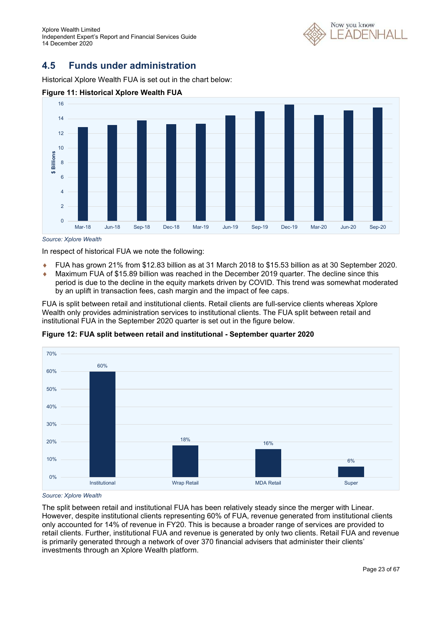Xplore Wealth Limited Independent Expert's Report and Financial Services Guide 14 December 2020



### **4.5 Funds under administration**

Historical Xplore Wealth FUA is set out in the chart below:



### **Figure 11: Historical Xplore Wealth FUA**

*Source: Xplore Wealth* 

In respect of historical FUA we note the following:

- FUA has grown 21% from \$12.83 billion as at 31 March 2018 to \$15.53 billion as at 30 September 2020.
- Maximum FUA of \$15.89 billion was reached in the December 2019 quarter. The decline since this period is due to the decline in the equity markets driven by COVID. This trend was somewhat moderated by an uplift in transaction fees, cash margin and the impact of fee caps.

FUA is split between retail and institutional clients. Retail clients are full-service clients whereas Xplore Wealth only provides administration services to institutional clients. The FUA split between retail and institutional FUA in the September 2020 quarter is set out in the figure below.



**Figure 12: FUA split between retail and institutional - September quarter 2020** 

*Source: Xplore Wealth* 

The split between retail and institutional FUA has been relatively steady since the merger with Linear. However, despite institutional clients representing 60% of FUA, revenue generated from institutional clients only accounted for 14% of revenue in FY20. This is because a broader range of services are provided to retail clients. Further, institutional FUA and revenue is generated by only two clients. Retail FUA and revenue is primarily generated through a network of over 370 financial advisers that administer their clients' investments through an Xplore Wealth platform.

Institutional Wrap Retail MDA Retail Super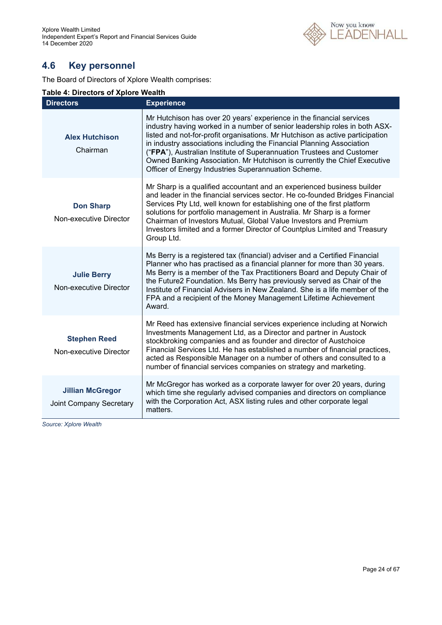

### **4.6 Key personnel**

The Board of Directors of Xplore Wealth comprises:

### **Table 4: Directors of Xplore Wealth**

| <b>Directors</b>                                          | <b>Experience</b>                                                                                                                                                                                                                                                                                                                                                                                                                                                                                                        |
|-----------------------------------------------------------|--------------------------------------------------------------------------------------------------------------------------------------------------------------------------------------------------------------------------------------------------------------------------------------------------------------------------------------------------------------------------------------------------------------------------------------------------------------------------------------------------------------------------|
| <b>Alex Hutchison</b><br>Chairman                         | Mr Hutchison has over 20 years' experience in the financial services<br>industry having worked in a number of senior leadership roles in both ASX-<br>listed and not-for-profit organisations. Mr Hutchison as active participation<br>in industry associations including the Financial Planning Association<br>("FPA"), Australian Institute of Superannuation Trustees and Customer<br>Owned Banking Association. Mr Hutchison is currently the Chief Executive<br>Officer of Energy Industries Superannuation Scheme. |
| <b>Don Sharp</b><br>Non-executive Director                | Mr Sharp is a qualified accountant and an experienced business builder<br>and leader in the financial services sector. He co-founded Bridges Financial<br>Services Pty Ltd, well known for establishing one of the first platform<br>solutions for portfolio management in Australia. Mr Sharp is a former<br>Chairman of Investors Mutual, Global Value Investors and Premium<br>Investors limited and a former Director of Countplus Limited and Treasury<br>Group Ltd.                                                |
| <b>Julie Berry</b><br>Non-executive Director              | Ms Berry is a registered tax (financial) adviser and a Certified Financial<br>Planner who has practised as a financial planner for more than 30 years.<br>Ms Berry is a member of the Tax Practitioners Board and Deputy Chair of<br>the Future2 Foundation. Ms Berry has previously served as Chair of the<br>Institute of Financial Advisers in New Zealand. She is a life member of the<br>FPA and a recipient of the Money Management Lifetime Achievement<br>Award.                                                 |
| <b>Stephen Reed</b><br>Non-executive Director             | Mr Reed has extensive financial services experience including at Norwich<br>Investments Management Ltd, as a Director and partner in Austock<br>stockbroking companies and as founder and director of Austchoice<br>Financial Services Ltd. He has established a number of financial practices,<br>acted as Responsible Manager on a number of others and consulted to a<br>number of financial services companies on strategy and marketing.                                                                            |
| <b>Jillian McGregor</b><br><b>Joint Company Secretary</b> | Mr McGregor has worked as a corporate lawyer for over 20 years, during<br>which time she regularly advised companies and directors on compliance<br>with the Corporation Act, ASX listing rules and other corporate legal<br>matters.                                                                                                                                                                                                                                                                                    |

*Source: Xplore Wealth*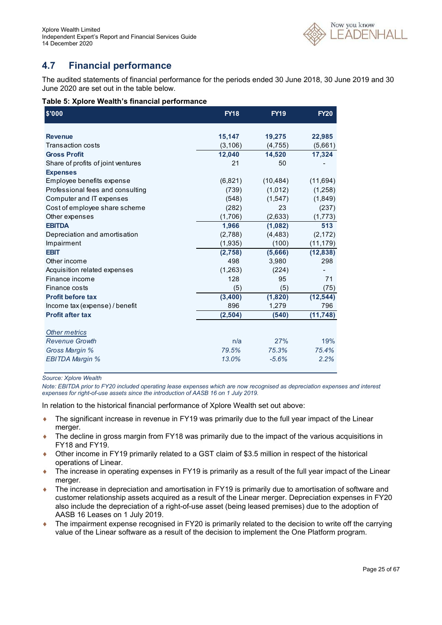

### **4.7 Financial performance**

The audited statements of financial performance for the periods ended 30 June 2018, 30 June 2019 and 30 June 2020 are set out in the table below.

|  | Table 5: Xplore Wealth's financial performance |
|--|------------------------------------------------|
|--|------------------------------------------------|

| \$'000                             | <b>FY18</b> | <b>FY19</b> | <b>FY20</b> |
|------------------------------------|-------------|-------------|-------------|
| <b>Revenue</b>                     | 15,147      | 19,275      | 22,985      |
| Transaction costs                  | (3, 106)    | (4,755)     | (5,661)     |
| <b>Gross Profit</b>                | 12,040      | 14,520      | 17,324      |
| Share of profits of joint ventures | 21          | 50          |             |
| <b>Expenses</b>                    |             |             |             |
| Employee benefits expense          | (6,821)     | (10, 484)   | (11,694)    |
| Professional fees and consulting   | (739)       | (1,012)     | (1,258)     |
| Computer and IT expenses           | (548)       | (1,547)     | (1,849)     |
| Cost of employee share scheme      | (282)       | 23          | (237)       |
| Other expenses                     | (1,706)     | (2,633)     | (1,773)     |
| <b>EBITDA</b>                      | 1,966       | (1,082)     | 513         |
| Depreciation and amortisation      | (2,788)     | (4, 483)    | (2, 172)    |
| Impairment                         | (1,935)     | (100)       | (11, 179)   |
| <b>EBIT</b>                        | (2,758)     | (5,666)     | (12, 838)   |
| Other income                       | 498         | 3,980       | 298         |
| Acquisition related expenses       | (1,263)     | (224)       |             |
| Finance income                     | 128         | 95          | 71          |
| Finance costs                      | (5)         | (5)         | (75)        |
| <b>Profit before tax</b>           | (3,400)     | (1,820)     | (12, 544)   |
| Income tax (expense) / benefit     | 896         | 1,279       | 796         |
| <b>Profit after tax</b>            | (2,504)     | (540)       | (11, 748)   |
| Other metrics                      |             |             |             |
| <b>Revenue Growth</b>              | n/a         | 27%         | 19%         |
| Gross Margin %                     | 79.5%       | 75.3%       | 75.4%       |
| <b>EBITDA Margin %</b>             | 13.0%       | $-5.6%$     | 2.2%        |

*Source: Xplore Wealth* 

*Note: EBITDA prior to FY20 included operating lease expenses which are now recognised as depreciation expenses and interest expenses for right-of-use assets since the introduction of AASB 16 on 1 July 2019.* 

In relation to the historical financial performance of Xplore Wealth set out above:

- The significant increase in revenue in FY19 was primarily due to the full year impact of the Linear merger.
- ◆ The decline in gross margin from FY18 was primarily due to the impact of the various acquisitions in FY18 and FY19.
- Other income in FY19 primarily related to a GST claim of \$3.5 million in respect of the historical operations of Linear.
- ◆ The increase in operating expenses in FY19 is primarily as a result of the full year impact of the Linear merger.
- The increase in depreciation and amortisation in FY19 is primarily due to amortisation of software and customer relationship assets acquired as a result of the Linear merger. Depreciation expenses in FY20 also include the depreciation of a right-of-use asset (being leased premises) due to the adoption of AASB 16 Leases on 1 July 2019.
- The impairment expense recognised in FY20 is primarily related to the decision to write off the carrying value of the Linear software as a result of the decision to implement the One Platform program.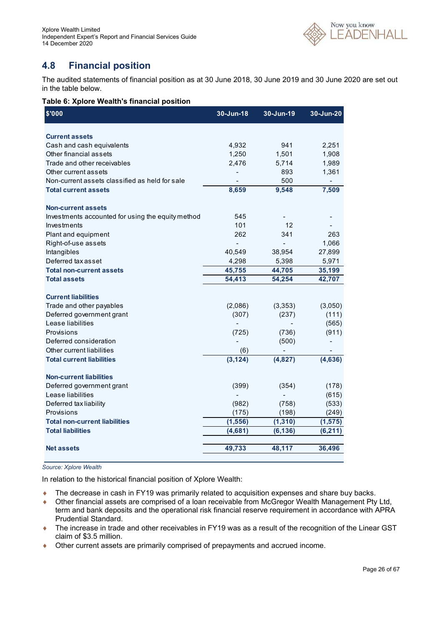

### **4.8 Financial position**

The audited statements of financial position as at 30 June 2018, 30 June 2019 and 30 June 2020 are set out in the table below.

|  |  | Table 6: Xplore Wealth's financial position |  |  |
|--|--|---------------------------------------------|--|--|
|--|--|---------------------------------------------|--|--|

| \$'000                                             | 30-Jun-18 | 30-Jun-19                    | 30-Jun-20 |
|----------------------------------------------------|-----------|------------------------------|-----------|
|                                                    |           |                              |           |
| <b>Current assets</b><br>Cash and cash equivalents | 4,932     | 941                          | 2,251     |
| Other financial assets                             | 1,250     | 1,501                        | 1,908     |
| Trade and other receivables                        | 2,476     | 5,714                        | 1,989     |
| Other current assets                               |           | 893                          | 1,361     |
| Non-current assets classified as held for sale     |           | 500                          |           |
| <b>Total current assets</b>                        | 8,659     | 9,548                        | 7,509     |
|                                                    |           |                              |           |
| <b>Non-current assets</b>                          |           |                              |           |
| Investments accounted for using the equity method  | 545       |                              |           |
| Investments                                        | 101       | 12                           |           |
| Plant and equipment                                | 262       | 341                          | 263       |
| Right-of-use assets                                |           |                              | 1,066     |
| Intangibles                                        | 40,549    | 38,954                       | 27,899    |
| Deferred tax asset                                 | 4,298     | 5,398                        | 5,971     |
| <b>Total non-current assets</b>                    | 45,755    | 44,705                       | 35,199    |
| <b>Total assets</b>                                | 54,413    | 54,254                       | 42,707    |
| <b>Current liabilities</b>                         |           |                              |           |
| Trade and other payables                           | (2,086)   | (3,353)                      | (3,050)   |
| Deferred government grant                          | (307)     | (237)                        | (111)     |
| Lease liabilities                                  |           |                              | (565)     |
| Provisions                                         | (725)     | (736)                        | (911)     |
| Deferred consideration                             |           | (500)                        |           |
| Other current liabilities                          | (6)       | $\qquad \qquad \blacksquare$ |           |
| <b>Total current liabilities</b>                   | (3, 124)  | (4,827)                      | (4,636)   |
|                                                    |           |                              |           |
| <b>Non-current liabilities</b>                     |           |                              |           |
| Deferred government grant                          | (399)     | (354)                        | (178)     |
| Lease liabilities                                  |           |                              | (615)     |
| Deferred tax liability                             | (982)     | (758)                        | (533)     |
| Provisions                                         | (175)     | (198)                        | (249)     |
| <b>Total non-current liabilities</b>               | (1, 556)  | (1, 310)                     | (1, 575)  |
| <b>Total liabilities</b>                           | (4,681)   | (6, 136)                     | (6, 211)  |
|                                                    |           |                              |           |
| <b>Net assets</b>                                  | 49,733    | 48,117                       | 36,496    |

### *Source: Xplore Wealth*

In relation to the historical financial position of Xplore Wealth:

- ◆ The decrease in cash in FY19 was primarily related to acquisition expenses and share buy backs.
- Other financial assets are comprised of a loan receivable from McGregor Wealth Management Pty Ltd, term and bank deposits and the operational risk financial reserve requirement in accordance with APRA Prudential Standard.
- ◆ The increase in trade and other receivables in FY19 was as a result of the recognition of the Linear GST claim of \$3.5 million.
- Other current assets are primarily comprised of prepayments and accrued income.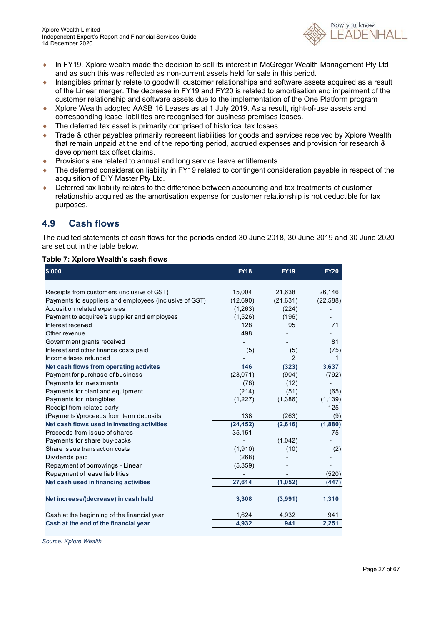

- In FY19, Xplore wealth made the decision to sell its interest in McGregor Wealth Management Pty Ltd and as such this was reflected as non-current assets held for sale in this period.
- Intangibles primarily relate to goodwill, customer relationships and software assets acquired as a result of the Linear merger. The decrease in FY19 and FY20 is related to amortisation and impairment of the customer relationship and software assets due to the implementation of the One Platform program
- Xplore Wealth adopted AASB 16 Leases as at 1 July 2019. As a result, right-of-use assets and corresponding lease liabilities are recognised for business premises leases.
- ◆ The deferred tax asset is primarily comprised of historical tax losses.
- ◆ Trade & other payables primarily represent liabilities for goods and services received by Xplore Wealth that remain unpaid at the end of the reporting period, accrued expenses and provision for research & development tax offset claims.
- **Provisions are related to annual and long service leave entitlements.**
- ◆ The deferred consideration liability in FY19 related to contingent consideration payable in respect of the acquisition of DIY Master Pty Ltd.
- Deferred tax liability relates to the difference between accounting and tax treatments of customer relationship acquired as the amortisation expense for customer relationship is not deductible for tax purposes.

### **4.9 Cash flows**

The audited statements of cash flows for the periods ended 30 June 2018, 30 June 2019 and 30 June 2020 are set out in the table below.

### **Table 7: Xplore Wealth's cash flows**

| \$'000                                                                       | <b>FY18</b>    | <b>FY19</b>           | <b>FY20</b>     |
|------------------------------------------------------------------------------|----------------|-----------------------|-----------------|
|                                                                              |                |                       |                 |
| Receipts from customers (inclusive of GST)                                   | 15,004         | 21,638                | 26,146          |
| Payments to suppliers and employees (inclusive of GST)                       | (12,690)       | (21, 631)             | (22, 588)       |
| Acqusition related expenses                                                  | (1,263)        | (224)                 |                 |
| Payment to acquiree's supplier and employees<br>Interest received            | (1,526)<br>128 | (196)<br>95           | 71              |
|                                                                              |                |                       |                 |
| Other revenue                                                                | 498            |                       |                 |
| Government grants received                                                   |                |                       | 81              |
| Interest and other finance costs paid<br>Income taxes refunded               | (5)            | (5)<br>$\overline{2}$ | (75)            |
|                                                                              | 146            |                       | 1               |
| Net cash flows from operating activites                                      | (23,071)       | (323)<br>(904)        | 3,637<br>(792)  |
| Payment for purchase of business                                             | (78)           |                       |                 |
| Payments for investments                                                     |                | (12)                  |                 |
| Payments for plant and equipment                                             | (214)          | (51)                  | (65)            |
| Payments for intangibles                                                     | (1,227)        | (1,386)               | (1, 139)<br>125 |
| Receipt from related party                                                   | 138            |                       |                 |
| (Payments)/proceeds from term deposits                                       |                | (263)                 | (9)             |
| Net cash flows used in investing activities<br>Proceeds from issue of shares | (24, 452)      | (2,616)               | (1,880)<br>75   |
|                                                                              | 35,151         |                       |                 |
| Payments for share buy-backs<br>Share is sue transaction costs               | (1,910)        | (1,042)               |                 |
|                                                                              |                | (10)                  | (2)             |
| Dividends paid                                                               | (268)          |                       |                 |
| Repayment of borrowings - Linear                                             | (5,359)        |                       |                 |
| Repayment of lease liabilities                                               |                |                       | (520)           |
| Net cash used in financing activities                                        | 27,614         | (1, 052)              | (447)           |
| Net increase/(decrease) in cash held                                         | 3,308          | (3,991)               | 1,310           |
| Cash at the beginning of the financial year                                  | 1,624          | 4,932                 | 941             |
| Cash at the end of the financial year                                        | 4,932          | 941                   | 2,251           |

*Source: Xplore Wealth*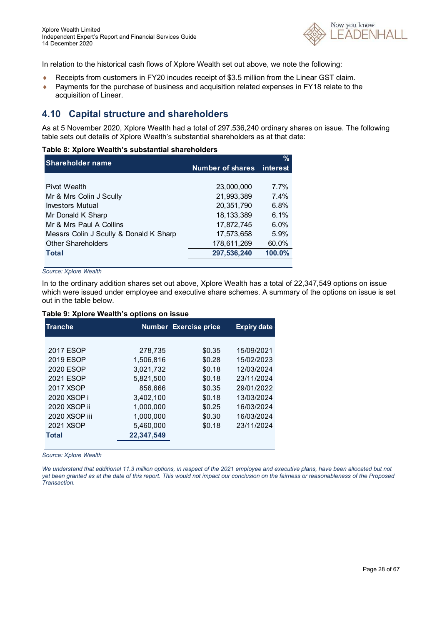

In relation to the historical cash flows of Xplore Wealth set out above, we note the following:

- Receipts from customers in FY20 incudes receipt of \$3.5 million from the Linear GST claim.
- ◆ Payments for the purchase of business and acquisition related expenses in FY18 relate to the acquisition of Linear.

### **4.10 Capital structure and shareholders**

As at 5 November 2020, Xplore Wealth had a total of 297,536,240 ordinary shares on issue. The following table sets out details of Xplore Wealth's substantial shareholders as at that date:

#### **Table 8: Xplore Wealth's substantial shareholders**

| <b>Shareholder name</b>                |                           | $\%$    |
|----------------------------------------|---------------------------|---------|
|                                        | Number of shares interest |         |
|                                        |                           |         |
| <b>Pivot Wealth</b>                    | 23,000,000                | $7.7\%$ |
| Mr & Mrs Colin J Scully                | 21.993.389                | 7.4%    |
| <b>Investors Mutual</b>                | 20,351,790                | 6.8%    |
| Mr Donald K Sharp                      | 18, 133, 389              | 6.1%    |
| Mr & Mrs Paul A Collins                | 17,872,745                | $6.0\%$ |
| Messrs Colin J Scully & Donald K Sharp | 17,573,658                | 5.9%    |
| <b>Other Shareholders</b>              | 178,611,269               | 60.0%   |
| <b>Total</b>                           | 297,536,240               | 100.0%  |
|                                        |                           |         |

*Source: Xplore Wealth* 

In to the ordinary addition shares set out above, Xplore Wealth has a total of 22,347,549 options on issue which were issued under employee and executive share schemes. A summary of the options on issue is set out in the table below.

#### **Table 9: Xplore Wealth's options on issue**

| <b>Tranche</b> | <b>Number Exercise price</b> |        | <b>Expiry date</b> |
|----------------|------------------------------|--------|--------------------|
|                |                              |        |                    |
| 2017 ESOP      | 278,735                      | \$0.35 | 15/09/2021         |
| 2019 ESOP      | 1,506,816                    | \$0.28 | 15/02/2023         |
| 2020 ESOP      | 3,021,732                    | \$0.18 | 12/03/2024         |
| 2021 ESOP      | 5.821.500                    | \$0.18 | 23/11/2024         |
| 2017 XSOP      | 856,666                      | \$0.35 | 29/01/2022         |
| 2020 XSOP i    | 3.402.100                    | \$0.18 | 13/03/2024         |
| 2020 XSOP ii   | 1.000.000                    | \$0.25 | 16/03/2024         |
| 2020 XSOP iii  | 1.000.000                    | \$0.30 | 16/03/2024         |
| 2021 XSOP      | 5,460,000                    | \$0.18 | 23/11/2024         |
| <b>Total</b>   | 22,347,549                   |        |                    |
|                |                              |        |                    |

*Source: Xplore Wealth* 

*We understand that additional 11.3 million options, in respect of the 2021 employee and executive plans, have been allocated but not yet been granted as at the date of this report. This would not impact our conclusion on the fairness or reasonableness of the Proposed Transaction.*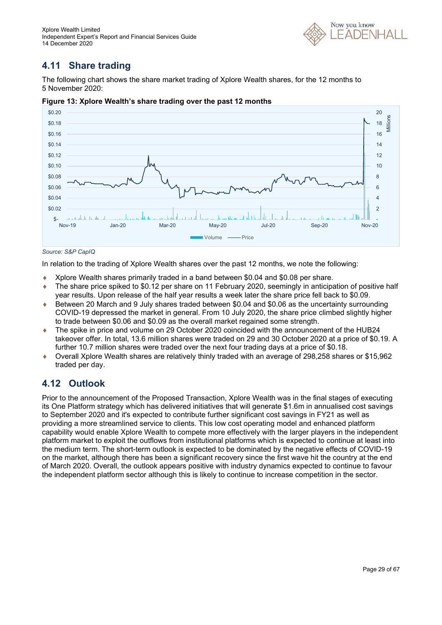

# **4.11 Share trading**

The following chart shows the share market trading of Xplore Wealth shares, for the 12 months to 5 November 2020:



**Figure 13: Xplore Wealth's share trading over the past 12 months** 

In relation to the trading of Xplore Wealth shares over the past 12 months, we note the following:

- Xplore Wealth shares primarily traded in a band between \$0.04 and \$0.08 per share.
- ◆ The share price spiked to \$0.12 per share on 11 February 2020, seemingly in anticipation of positive half year results. Upon release of the half year results a week later the share price fell back to \$0.09.
- Between 20 March and 9 July shares traded between \$0.04 and \$0.06 as the uncertainty surrounding COVID-19 depressed the market in general. From 10 July 2020, the share price climbed slightly higher to trade between \$0.06 and \$0.09 as the overall market regained some strength.
- The spike in price and volume on 29 October 2020 coincided with the announcement of the HUB24 takeover offer. In total, 13.6 million shares were traded on 29 and 30 October 2020 at a price of \$0.19. A further 10.7 million shares were traded over the next four trading days at a price of \$0.18.
- Overall Xplore Wealth shares are relatively thinly traded with an average of 298,258 shares or \$15,962 traded per day.

### **4.12 Outlook**

Prior to the announcement of the Proposed Transaction, Xplore Wealth was in the final stages of executing its One Platform strategy which has delivered initiatives that will generate \$1.6m in annualised cost savings to September 2020 and it's expected to contribute further significant cost savings in FY21 as well as providing a more streamlined service to clients. This low cost operating model and enhanced platform capability would enable Xplore Wealth to compete more effectively with the larger players in the independent platform market to exploit the outflows from institutional platforms which is expected to continue at least into the medium term. The short-term outlook is expected to be dominated by the negative effects of COVID-19 on the market, although there has been a significant recovery since the first wave hit the country at the end of March 2020. Overall, the outlook appears positive with industry dynamics expected to continue to favour the independent platform sector although this is likely to continue to increase competition in the sector.

*Source: S&P CapIQ*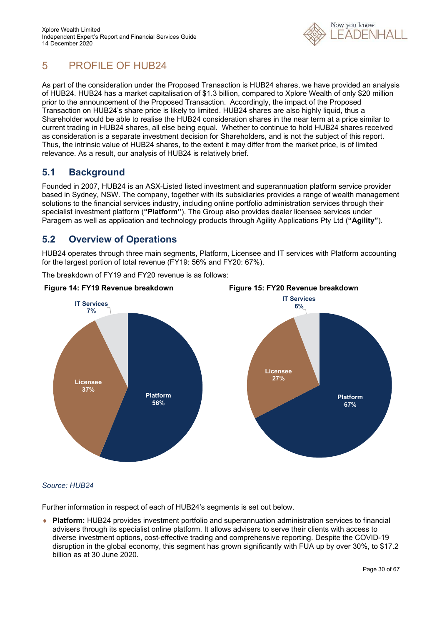

# 5 PROFILE OF HUB24

As part of the consideration under the Proposed Transaction is HUB24 shares, we have provided an analysis of HUB24. HUB24 has a market capitalisation of \$1.3 billion, compared to Xplore Wealth of only \$20 million prior to the announcement of the Proposed Transaction. Accordingly, the impact of the Proposed Transaction on HUB24's share price is likely to limited. HUB24 shares are also highly liquid, thus a Shareholder would be able to realise the HUB24 consideration shares in the near term at a price similar to current trading in HUB24 shares, all else being equal. Whether to continue to hold HUB24 shares received as consideration is a separate investment decision for Shareholders, and is not the subject of this report. Thus, the intrinsic value of HUB24 shares, to the extent it may differ from the market price, is of limited relevance. As a result, our analysis of HUB24 is relatively brief.

### **5.1 Background**

Founded in 2007, HUB24 is an ASX-Listed listed investment and superannuation platform service provider based in Sydney, NSW. The company, together with its subsidiaries provides a range of wealth management solutions to the financial services industry, including online portfolio administration services through their specialist investment platform (**"Platform"**). The Group also provides dealer licensee services under Paragem as well as application and technology products through Agility Applications Pty Ltd (**"Agility"**).

### **5.2 Overview of Operations**

HUB24 operates through three main segments, Platform, Licensee and IT services with Platform accounting for the largest portion of total revenue (FY19: 56% and FY20: 67%).

The breakdown of FY19 and FY20 revenue is as follows:



### *Source: HUB24*

Further information in respect of each of HUB24's segments is set out below.

 **Platform:** HUB24 provides investment portfolio and superannuation administration services to financial advisers through its specialist online platform. It allows advisers to serve their clients with access to diverse investment options, cost-effective trading and comprehensive reporting. Despite the COVID-19 disruption in the global economy, this segment has grown significantly with FUA up by over 30%, to \$17.2 billion as at 30 June 2020.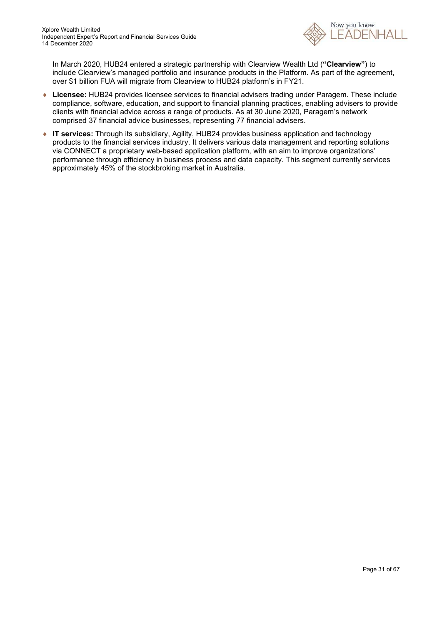

In March 2020, HUB24 entered a strategic partnership with Clearview Wealth Ltd (**"Clearview"**) to include Clearview's managed portfolio and insurance products in the Platform. As part of the agreement, over \$1 billion FUA will migrate from Clearview to HUB24 platform's in FY21.

- **Licensee:** HUB24 provides licensee services to financial advisers trading under Paragem. These include compliance, software, education, and support to financial planning practices, enabling advisers to provide clients with financial advice across a range of products. As at 30 June 2020, Paragem's network comprised 37 financial advice businesses, representing 77 financial advisers.
- ◆ **IT services:** Through its subsidiary, Agility, HUB24 provides business application and technology products to the financial services industry. It delivers various data management and reporting solutions via CONNECT a proprietary web-based application platform, with an aim to improve organizations' performance through efficiency in business process and data capacity. This segment currently services approximately 45% of the stockbroking market in Australia.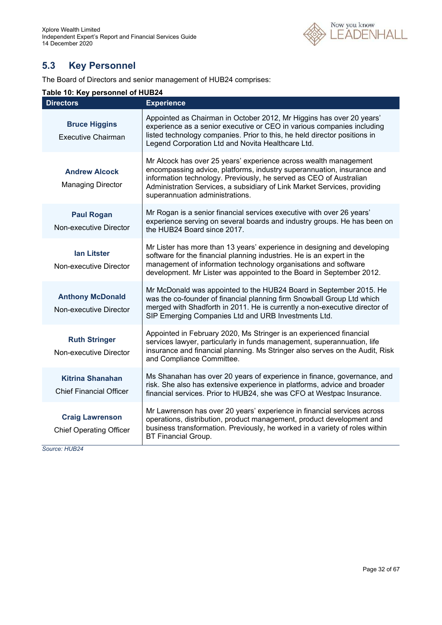

# **5.3 Key Personnel**

The Board of Directors and senior management of HUB24 comprises:

### **Table 10: Key personnel of HUB24**

| <b>Directors</b>                                          | <b>Experience</b>                                                                                                                                                                                                                                                                                                               |
|-----------------------------------------------------------|---------------------------------------------------------------------------------------------------------------------------------------------------------------------------------------------------------------------------------------------------------------------------------------------------------------------------------|
| <b>Bruce Higgins</b><br><b>Executive Chairman</b>         | Appointed as Chairman in October 2012, Mr Higgins has over 20 years'<br>experience as a senior executive or CEO in various companies including<br>listed technology companies. Prior to this, he held director positions in<br>Legend Corporation Ltd and Novita Healthcare Ltd.                                                |
| <b>Andrew Alcock</b><br><b>Managing Director</b>          | Mr Alcock has over 25 years' experience across wealth management<br>encompassing advice, platforms, industry superannuation, insurance and<br>information technology. Previously, he served as CEO of Australian<br>Administration Services, a subsidiary of Link Market Services, providing<br>superannuation administrations. |
| <b>Paul Rogan</b><br>Non-executive Director               | Mr Rogan is a senior financial services executive with over 26 years'<br>experience serving on several boards and industry groups. He has been on<br>the HUB24 Board since 2017.                                                                                                                                                |
| <b>Ian Litster</b><br>Non-executive Director              | Mr Lister has more than 13 years' experience in designing and developing<br>software for the financial planning industries. He is an expert in the<br>management of information technology organisations and software<br>development. Mr Lister was appointed to the Board in September 2012.                                   |
| <b>Anthony McDonald</b><br>Non-executive Director         | Mr McDonald was appointed to the HUB24 Board in September 2015. He<br>was the co-founder of financial planning firm Snowball Group Ltd which<br>merged with Shadforth in 2011. He is currently a non-executive director of<br>SIP Emerging Companies Ltd and URB Investments Ltd.                                               |
| <b>Ruth Stringer</b><br>Non-executive Director            | Appointed in February 2020, Ms Stringer is an experienced financial<br>services lawyer, particularly in funds management, superannuation, life<br>insurance and financial planning. Ms Stringer also serves on the Audit, Risk<br>and Compliance Committee.                                                                     |
| <b>Kitrina Shanahan</b><br><b>Chief Financial Officer</b> | Ms Shanahan has over 20 years of experience in finance, governance, and<br>risk. She also has extensive experience in platforms, advice and broader<br>financial services. Prior to HUB24, she was CFO at Westpac Insurance.                                                                                                    |
| <b>Craig Lawrenson</b><br><b>Chief Operating Officer</b>  | Mr Lawrenson has over 20 years' experience in financial services across<br>operations, distribution, product management, product development and<br>business transformation. Previously, he worked in a variety of roles within<br><b>BT Financial Group.</b>                                                                   |

*Source: HUB24*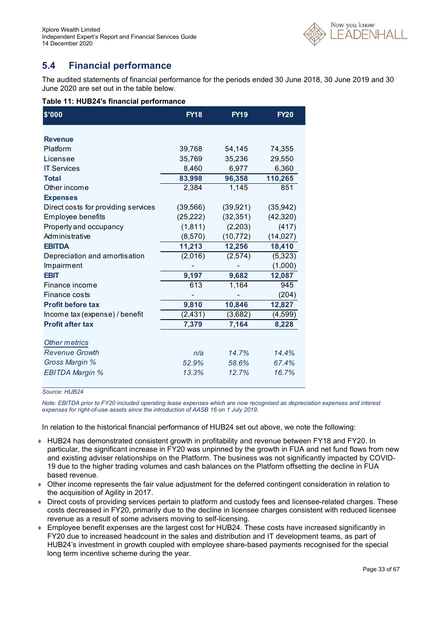

### **5.4 Financial performance**

The audited statements of financial performance for the periods ended 30 June 2018, 30 June 2019 and 30 June 2020 are set out in the table below.

### **Table 11: HUB24's financial performance**

| \$'000                              | <b>FY18</b> | <b>FY19</b> | <b>FY20</b> |
|-------------------------------------|-------------|-------------|-------------|
| <b>Revenue</b>                      |             |             |             |
| Platform                            |             |             |             |
|                                     | 39,768      | 54,145      | 74,355      |
| Licensee                            | 35,769      | 35,236      | 29,550      |
| <b>IT Services</b>                  | 8,460       | 6,977       | 6,360       |
| <b>Total</b>                        | 83,998      | 96,358      | 110,265     |
| Other income                        | 2,384       | 1,145       | 851         |
| <b>Expenses</b>                     |             |             |             |
| Direct costs for providing services | (39, 566)   | (39, 921)   | (35, 942)   |
| Employee benefits                   | (25, 222)   | (32, 351)   | (42, 320)   |
| Property and occupancy              | (1, 811)    | (2,203)     | (417)       |
| Administrative                      | (8,570)     | (10, 772)   | (14, 027)   |
| <b>EBITDA</b>                       | 11,213      | 12,256      | 18,410      |
| Depreciation and amortisation       | (2,016)     | (2,574)     | (5, 323)    |
| Impairment                          |             |             | (1,000)     |
| <b>EBIT</b>                         | 9,197       | 9,682       | 12,087      |
| Finance income                      | 613         | 1,164       | 945         |
| Finance costs                       |             |             | (204)       |
| <b>Profit before tax</b>            | 9,810       | 10,846      | 12,827      |
| Income tax (expense) / benefit      | (2, 431)    | (3,682)     | (4, 599)    |
| <b>Profit after tax</b>             | 7,379       | 7,164       | 8,228       |
| <b>Other metrics</b>                |             |             |             |
| <b>Revenue Growth</b>               | n/a         | 14.7%       | 14.4%       |
| Gross Margin %                      | 52.9%       | 58.6%       | 67.4%       |
| <b>EBITDA Margin %</b>              | 13.3%       | 12.7%       | 16.7%       |

#### *Source: HUB24*

*Note: EBITDA prior to FY20 included operating lease expenses which are now recognised as depreciation expenses and interest expenses for right-of-use assets since the introduction of AASB 16 on 1 July 2019.* 

In relation to the historical financial performance of HUB24 set out above, we note the following:

- HUB24 has demonstrated consistent growth in profitability and revenue between FY18 and FY20. In particular, the significant increase in FY20 was unpinned by the growth in FUA and net fund flows from new and existing adviser relationships on the Platform. The business was not significantly impacted by COVID-19 due to the higher trading volumes and cash balances on the Platform offsetting the decline in FUA based revenue.
- Other income represents the fair value adjustment for the deferred contingent consideration in relation to the acquisition of Agility in 2017.
- Direct costs of providing services pertain to platform and custody fees and licensee-related charges. These costs decreased in FY20, primarily due to the decline in licensee charges consistent with reduced licensee revenue as a result of some advisers moving to self-licensing.
- Employee benefit expenses are the largest cost for HUB24. These costs have increased significantly in FY20 due to increased headcount in the sales and distribution and IT development teams, as part of HUB24's investment in growth coupled with employee share-based payments recognised for the special long term incentive scheme during the year.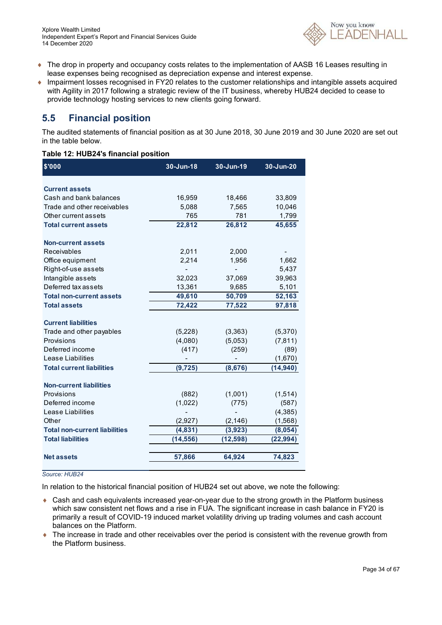

- ♦ The drop in property and occupancy costs relates to the implementation of AASB 16 Leases resulting in lease expenses being recognised as depreciation expense and interest expense.
- Impairment losses recognised in FY20 relates to the customer relationships and intangible assets acquired with Agility in 2017 following a strategic review of the IT business, whereby HUB24 decided to cease to provide technology hosting services to new clients going forward.

### **5.5 Financial position**

The audited statements of financial position as at 30 June 2018, 30 June 2019 and 30 June 2020 are set out in the table below.

### **Table 12: HUB24's financial position**

| \$'000                               | 30-Jun-18 | 30-Jun-19 | 30-Jun-20 |
|--------------------------------------|-----------|-----------|-----------|
| <b>Current assets</b>                |           |           |           |
| Cash and bank balances               | 16,959    | 18,466    | 33,809    |
| Trade and other receivables          | 5,088     | 7,565     | 10,046    |
| Other current assets                 | 765       | 781       | 1,799     |
| <b>Total current assets</b>          | 22,812    | 26,812    | 45,655    |
| <b>Non-current assets</b>            |           |           |           |
| Receivables                          | 2,011     | 2,000     |           |
| Office equipment                     | 2,214     | 1,956     | 1,662     |
| Right-of-use assets                  |           |           | 5,437     |
| Intangible assets                    | 32,023    | 37,069    | 39,963    |
| Deferred tax assets                  | 13,361    | 9,685     | 5,101     |
| <b>Total non-current assets</b>      | 49,610    | 50,709    | 52,163    |
| <b>Total assets</b>                  | 72,422    | 77,522    | 97,818    |
| <b>Current liabilities</b>           |           |           |           |
| Trade and other payables             | (5,228)   | (3,363)   | (5,370)   |
| Provisions                           | (4,080)   | (5,053)   | (7, 811)  |
| Deferred income                      | (417)     | (259)     | (89)      |
| Lease Liabilities                    |           |           | (1,670)   |
| <b>Total current liabilities</b>     | (9, 725)  | (8,676)   | (14, 940) |
| <b>Non-current liabilities</b>       |           |           |           |
| Provisions                           | (882)     | (1,001)   | (1,514)   |
| Deferred income                      | (1,022)   | (775)     | (587)     |
| Lease Liabilities                    |           |           | (4, 385)  |
| Other                                | (2,927)   | (2, 146)  | (1,568)   |
| <b>Total non-current liabilities</b> | (4,831)   | (3,923)   | (8,054)   |
| <b>Total liabilities</b>             | (14, 556) | (12,598)  | (22, 994) |
| <b>Net assets</b>                    | 57,866    | 64,924    | 74,823    |

#### *Source: HUB24*

In relation to the historical financial position of HUB24 set out above, we note the following:

- ◆ Cash and cash equivalents increased year-on-year due to the strong growth in the Platform business which saw consistent net flows and a rise in FUA. The significant increase in cash balance in FY20 is primarily a result of COVID-19 induced market volatility driving up trading volumes and cash account balances on the Platform.
- The increase in trade and other receivables over the period is consistent with the revenue growth from the Platform business.

ļ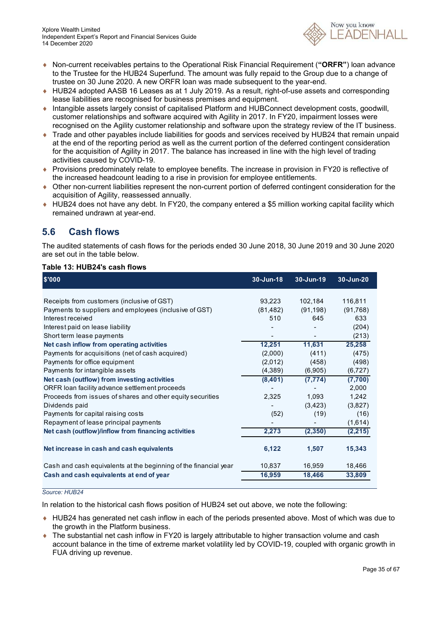

- Non-current receivables pertains to the Operational Risk Financial Requirement (**"ORFR"**) loan advance to the Trustee for the HUB24 Superfund. The amount was fully repaid to the Group due to a change of trustee on 30 June 2020. A new ORFR loan was made subsequent to the year-end.
- HUB24 adopted AASB 16 Leases as at 1 July 2019. As a result, right-of-use assets and corresponding lease liabilities are recognised for business premises and equipment.
- Intangible assets largely consist of capitalised Platform and HUBConnect development costs, goodwill, customer relationships and software acquired with Agility in 2017. In FY20, impairment losses were recognised on the Agility customer relationship and software upon the strategy review of the IT business.
- Trade and other payables include liabilities for goods and services received by HUB24 that remain unpaid at the end of the reporting period as well as the current portion of the deferred contingent consideration for the acquisition of Agility in 2017. The balance has increased in line with the high level of trading activities caused by COVID-19.
- Provisions predominately relate to employee benefits. The increase in provision in FY20 is reflective of the increased headcount leading to a rise in provision for employee entitlements.
- Other non-current liabilities represent the non-current portion of deferred contingent consideration for the acquisition of Agility, reassessed annually.
- HUB24 does not have any debt. In FY20, the company entered a \$5 million working capital facility which remained undrawn at year-end.

### **5.6 Cash flows**

The audited statements of cash flows for the periods ended 30 June 2018, 30 June 2019 and 30 June 2020 are set out in the table below.

### **Table 13: HUB24's cash flows**

| \$'000                                                           | 30-Jun-18 | 30-Jun-19 | 30-Jun-20 |
|------------------------------------------------------------------|-----------|-----------|-----------|
|                                                                  |           |           |           |
| Receipts from customers (inclusive of GST)                       | 93,223    | 102,184   | 116,811   |
| Payments to suppliers and employees (inclusive of GST)           | (81, 482) | (91, 198) | (91, 768) |
| Interest received                                                | 510       | 645       | 633       |
| Interest paid on lease liability                                 |           |           | (204)     |
| Short term lease payments                                        |           |           | (213)     |
| Net cash inflow from operating activities                        | 12,251    | 11,631    | 25,258    |
| Payments for acquisitions (net of cash acquired)                 | (2,000)   | (411)     | (475)     |
| Payments for office equipment                                    | (2.012)   | (458)     | (498)     |
| Payments for intangible assets                                   | (4,389)   | (6,905)   | (6, 727)  |
| Net cash (outflow) from investing activities                     | (8,401)   | (7, 774)  | (7,700)   |
| ORFR loan facility advance settlement proceeds                   |           |           | 2,000     |
| Proceeds from issues of shares and other equity securities       | 2,325     | 1,093     | 1,242     |
| Dividends paid                                                   |           | (3, 423)  | (3,827)   |
| Payments for capital raising costs                               | (52)      | (19)      | (16)      |
| Repayment of lease principal payments                            |           |           | (1,614)   |
| Net cash (outflow)/inflow from financing activities              | 2,273     | (2,350)   | (2, 215)  |
| Net increase in cash and cash equivalents                        | 6,122     | 1,507     | 15,343    |
| Cash and cash equivalents at the beginning of the financial year | 10.837    | 16,959    | 18,466    |
| Cash and cash equivalents at end of year                         | 16,959    | 18,466    | 33,809    |

#### *Source: HUB24*

In relation to the historical cash flows position of HUB24 set out above, we note the following:

- HUB24 has generated net cash inflow in each of the periods presented above. Most of which was due to the growth in the Platform business.
- The substantial net cash inflow in FY20 is largely attributable to higher transaction volume and cash account balance in the time of extreme market volatility led by COVID-19, coupled with organic growth in FUA driving up revenue.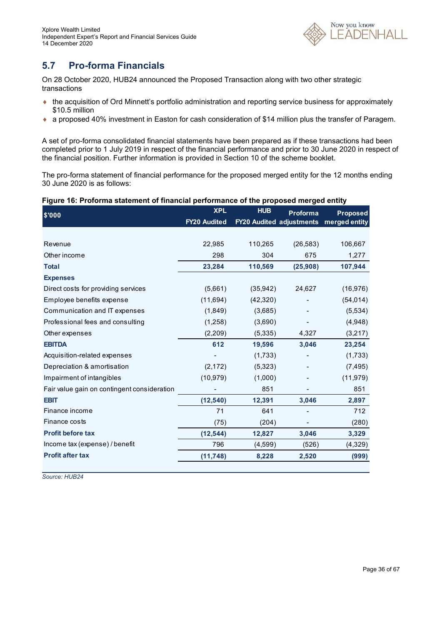

### **5.7 Pro-forma Financials**

On 28 October 2020, HUB24 announced the Proposed Transaction along with two other strategic transactions

- the acquisition of Ord Minnett's portfolio administration and reporting service business for approximately \$10.5 million
- a proposed 40% investment in Easton for cash consideration of \$14 million plus the transfer of Paragem.

A set of pro-forma consolidated financial statements have been prepared as if these transactions had been completed prior to 1 July 2019 in respect of the financial performance and prior to 30 June 2020 in respect of the financial position. Further information is provided in Section 10 of the scheme booklet.

The pro-forma statement of financial performance for the proposed merged entity for the 12 months ending 30 June 2020 is as follows:

### **Figure 16: Proforma statement of financial performance of the proposed merged entity**

| \$'000                                      | <b>XPL</b>          | <b>HUB</b>                      | Proforma  | <b>Proposed</b> |
|---------------------------------------------|---------------------|---------------------------------|-----------|-----------------|
|                                             | <b>FY20 Audited</b> | <b>FY20 Audited adjustments</b> |           | merged entity   |
|                                             |                     |                                 |           |                 |
| Revenue                                     | 22,985              | 110,265                         | (26, 583) | 106,667         |
| Other income                                | 298                 | 304                             | 675       | 1,277           |
| <b>Total</b>                                | 23,284              | 110,569                         | (25, 908) | 107,944         |
| <b>Expenses</b>                             |                     |                                 |           |                 |
| Direct costs for providing services         | (5,661)             | (35,942)                        | 24,627    | (16, 976)       |
| Employee benefits expense                   | (11,694)            | (42, 320)                       |           | (54, 014)       |
| Communication and IT expenses               | (1,849)             | (3,685)                         |           | (5,534)         |
| Professional fees and consulting            | (1,258)             | (3,690)                         |           | (4,948)         |
| Other expenses                              | (2,209)             | (5,335)                         | 4,327     | (3,217)         |
| <b>EBITDA</b>                               | 612                 | 19,596                          | 3,046     | 23,254          |
| Acquisition-related expenses                |                     | (1,733)                         |           | (1,733)         |
| Depreciation & amortisation                 | (2, 172)            | (5,323)                         |           | (7, 495)        |
| Impairment of intangibles                   | (10, 979)           | (1,000)                         |           | (11, 979)       |
| Fair value gain on contingent consideration |                     | 851                             |           | 851             |
| <b>EBIT</b>                                 | (12, 540)           | 12,391                          | 3,046     | 2,897           |
| Finance income                              | 71                  | 641                             |           | 712             |
| Finance costs                               | (75)                | (204)                           |           | (280)           |
| <b>Profit before tax</b>                    | (12, 544)           | 12,827                          | 3,046     | 3,329           |
| Income tax (expense) / benefit              | 796                 | (4,599)                         | (526)     | (4,329)         |
| <b>Profit after tax</b>                     | (11, 748)           | 8,228                           | 2,520     | (999)           |

*Source: HUB24*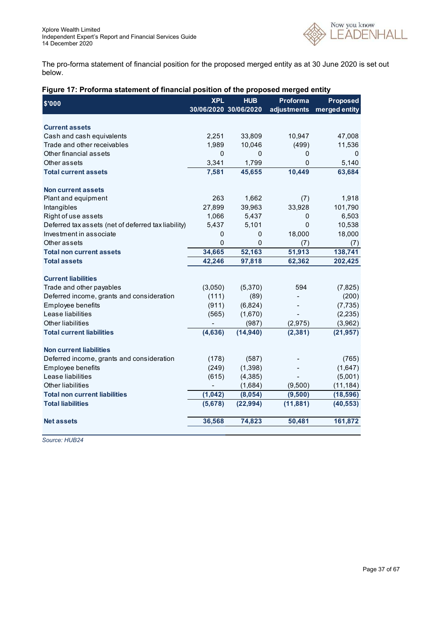

The pro-forma statement of financial position for the proposed merged entity as at 30 June 2020 is set out below.

| Figure 17: Proforma statement of financial position of the proposed merged entity |  |
|-----------------------------------------------------------------------------------|--|
|-----------------------------------------------------------------------------------|--|

| \$'000                                                                      | <b>XPL</b> | <b>HUB</b>            | Proforma    | <b>Proposed</b> |
|-----------------------------------------------------------------------------|------------|-----------------------|-------------|-----------------|
|                                                                             |            | 30/06/2020 30/06/2020 | adjustments | merged entity   |
| <b>Current assets</b>                                                       |            |                       |             |                 |
| Cash and cash equivalents                                                   | 2,251      | 33,809                | 10,947      | 47,008          |
| Trade and other receivables                                                 | 1,989      | 10,046                | (499)       | 11,536          |
| Other financial assets                                                      | 0          | 0                     | 0           | 0               |
| Other assets                                                                | 3,341      | 1,799                 | 0           | 5,140           |
| <b>Total current assets</b>                                                 | 7,581      | 45,655                | 10,449      | 63,684          |
|                                                                             |            |                       |             |                 |
| <b>Non current assets</b>                                                   |            |                       |             |                 |
| Plant and equipment                                                         | 263        | 1,662                 | (7)         | 1,918           |
| Intangibles                                                                 | 27,899     | 39,963                | 33,928      | 101,790         |
| Right of use assets                                                         | 1,066      | 5,437                 | 0           | 6,503           |
| Deferred tax assets (net of deferred tax liability)                         | 5,437      | 5,101                 | 0           | 10,538          |
| Investment in associate                                                     | 0          | $\mathbf{0}$          | 18,000      | 18,000          |
| Other assets                                                                | 0          | 0                     | (7)         | (7)             |
| <b>Total non current assets</b>                                             | 34,665     | 52,163                | 51,913      | 138,741         |
| <b>Total assets</b>                                                         | 42,246     | 97,818                | 62,362      | 202,425         |
|                                                                             |            |                       |             |                 |
| <b>Current liabilities</b>                                                  |            |                       |             |                 |
| Trade and other payables                                                    | (3,050)    | (5,370)               | 594         | (7, 825)        |
| Deferred income, grants and consideration                                   | (111)      | (89)                  |             | (200)           |
| Employee benefits                                                           | (911)      | (6,824)               |             | (7, 735)        |
| Lease liabilities                                                           | (565)      | (1,670)               |             | (2, 235)        |
| Other liabilities                                                           |            | (987)                 | (2, 975)    | (3,962)         |
| <b>Total current liabilities</b>                                            | (4,636)    | (14, 940)             | (2, 381)    | (21, 957)       |
|                                                                             |            |                       |             |                 |
| <b>Non current liabilities</b><br>Deferred income, grants and consideration |            |                       |             |                 |
|                                                                             | (178)      | (587)                 |             | (765)           |
| Employee benefits<br>Lease liabilities                                      | (249)      | (1, 398)              |             | (1,647)         |
| Other liabilities                                                           | (615)      | (4, 385)              |             | (5,001)         |
|                                                                             |            | (1,684)               | (9,500)     | (11, 184)       |
| <b>Total non current liabilities</b>                                        | (1, 042)   | (8,054)               | (9,500)     | (18, 596)       |
| <b>Total liabilities</b>                                                    | (5,678)    | (22, 994)             | (11, 881)   | (40, 553)       |
| <b>Net assets</b>                                                           | 36,568     | 74,823                | 50,481      | 161,872         |
|                                                                             |            |                       |             |                 |

*Source: HUB24*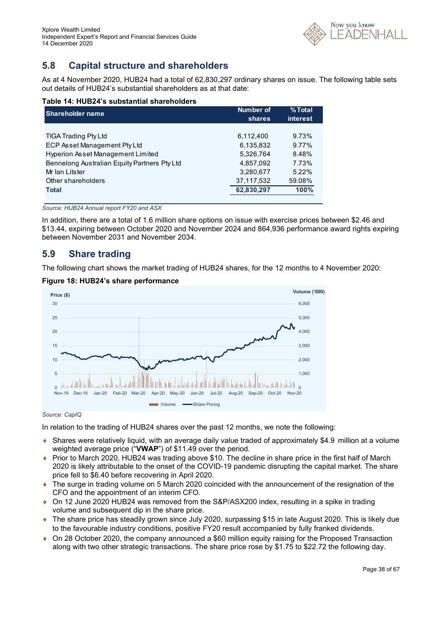

### **5.8 Capital structure and shareholders**

As at 4 November 2020, HUB24 had a total of 62,830,297 ordinary shares on issue. The following table sets out details of HUB24's substantial shareholders as at that date:

### **Table 14: HUB24's substantial shareholders**

| <b>Shareholder name</b>                      | Number of  | % Total         |
|----------------------------------------------|------------|-----------------|
|                                              | shares     | <b>interest</b> |
|                                              |            |                 |
| <b>TIGA Trading Pty Ltd</b>                  | 6,112,400  | 9.73%           |
| ECP Asset Management Pty Ltd                 | 6.135.832  | 9.77%           |
| Hyperion Asset Management Limited            | 5.326.764  | 8.48%           |
| Bennelong Australian Equity Partners Pty Ltd | 4,857,092  | 7.73%           |
| Mr Ian Litster                               | 3,280,677  | $5.22\%$        |
| Other shareholders                           | 37,117,532 | 59.08%          |
| <b>Total</b>                                 | 62,830,297 | 100%            |
|                                              |            |                 |

*Source: HUB24 Annual report FY20 and ASX* 

In addition, there are a total of 1.6 million share options on issue with exercise prices between \$2.46 and \$13.44, expiring between October 2020 and November 2024 and 864,936 performance award rights expiring between November 2031 and November 2034.

### **5.9 Share trading**

The following chart shows the market trading of HUB24 shares, for the 12 months to 4 November 2020:



### **Figure 18: HUB24's share performance**

#### *Source: CapIQ*

In relation to the trading of HUB24 shares over the past 12 months, we note the following:

- Shares were relatively liquid, with an average daily value traded of approximately \$4.9 million at a volume weighted average price ("**VWAP**") of \$11.49 over the period.
- ♦ Prior to March 2020, HUB24 was trading above \$10. The decline in share price in the first half of March 2020 is likely attributable to the onset of the COVID-19 pandemic disrupting the capital market. The share price fell to \$6.40 before recovering in April 2020.
- The surge in trading volume on 5 March 2020 coincided with the announcement of the resignation of the CFO and the appointment of an interim CFO.
- ◆ On 12 June 2020 HUB24 was removed from the S&P/ASX200 index, resulting in a spike in trading volume and subsequent dip in the share price.
- ◆ The share price has steadily grown since July 2020, surpassing \$15 in late August 2020. This is likely due to the favourable industry conditions, positive FY20 result accompanied by fully franked dividends.
- On 28 October 2020, the company announced a \$60 million equity raising for the Proposed Transaction along with two other strategic transactions. The share price rose by \$1.75 to \$22.72 the following day.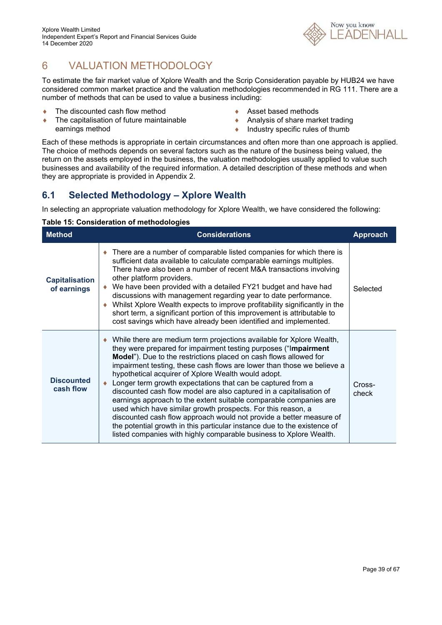# 6 VALUATION METHODOLOGY

To estimate the fair market value of Xplore Wealth and the Scrip Consideration payable by HUB24 we have considered common market practice and the valuation methodologies recommended in RG 111. There are a number of methods that can be used to value a business including:

- ◆ The discounted cash flow method
- ◆ The capitalisation of future maintainable earnings method
- ◆ Asset based methods
- ◆ Analysis of share market trading
- $\bullet$  Industry specific rules of thumb

Each of these methods is appropriate in certain circumstances and often more than one approach is applied. The choice of methods depends on several factors such as the nature of the business being valued, the return on the assets employed in the business, the valuation methodologies usually applied to value such businesses and availability of the required information. A detailed description of these methods and when they are appropriate is provided in Appendix 2.

### **6.1 Selected Methodology – Xplore Wealth**

In selecting an appropriate valuation methodology for Xplore Wealth, we have considered the following:

| <b>Method</b>                        | <b>Considerations</b>                                                                                                                                                                                                                                                                                                                                                                                                                                                                                                                                                                                                                                                                                                                                                                                                                             | <b>Approach</b> |
|--------------------------------------|---------------------------------------------------------------------------------------------------------------------------------------------------------------------------------------------------------------------------------------------------------------------------------------------------------------------------------------------------------------------------------------------------------------------------------------------------------------------------------------------------------------------------------------------------------------------------------------------------------------------------------------------------------------------------------------------------------------------------------------------------------------------------------------------------------------------------------------------------|-----------------|
| <b>Capitalisation</b><br>of earnings | • There are a number of comparable listed companies for which there is<br>sufficient data available to calculate comparable earnings multiples.<br>There have also been a number of recent M&A transactions involving<br>other platform providers.<br>We have been provided with a detailed FY21 budget and have had<br>discussions with management regarding year to date performance.<br>Whilst Xplore Wealth expects to improve profitability significantly in the<br>short term, a significant portion of this improvement is attributable to<br>cost savings which have already been identified and implemented.                                                                                                                                                                                                                             | Selected        |
| <b>Discounted</b><br>cash flow       | While there are medium term projections available for Xplore Wealth,<br>they were prepared for impairment testing purposes ("Impairment<br>Model"). Due to the restrictions placed on cash flows allowed for<br>impairment testing, these cash flows are lower than those we believe a<br>hypothetical acquirer of Xplore Wealth would adopt.<br>Longer term growth expectations that can be captured from a<br>discounted cash flow model are also captured in a capitalisation of<br>earnings approach to the extent suitable comparable companies are<br>used which have similar growth prospects. For this reason, a<br>discounted cash flow approach would not provide a better measure of<br>the potential growth in this particular instance due to the existence of<br>listed companies with highly comparable business to Xplore Wealth. | Cross-<br>check |

### **Table 15: Consideration of methodologies**

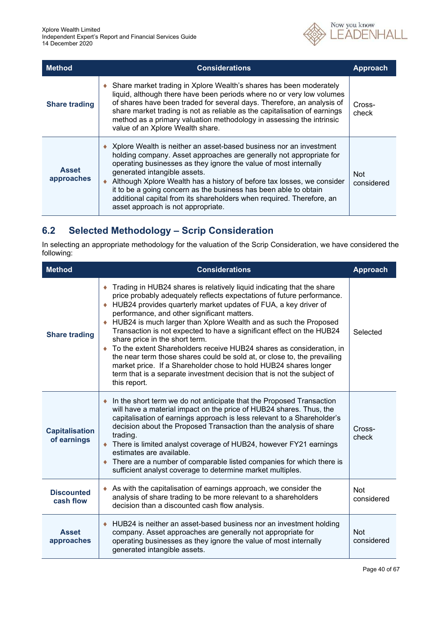

| <b>Method</b>              | <b>Considerations</b>                                                                                                                                                                                                                                                                                                                                                                                                                                                                                        | Approach                 |
|----------------------------|--------------------------------------------------------------------------------------------------------------------------------------------------------------------------------------------------------------------------------------------------------------------------------------------------------------------------------------------------------------------------------------------------------------------------------------------------------------------------------------------------------------|--------------------------|
| <b>Share trading</b>       | • Share market trading in Xplore Wealth's shares has been moderately<br>liquid, although there have been periods where no or very low volumes<br>of shares have been traded for several days. Therefore, an analysis of<br>share market trading is not as reliable as the capitalisation of earnings<br>method as a primary valuation methodology in assessing the intrinsic<br>value of an Xplore Wealth share.                                                                                             | Cross-<br>check          |
| <b>Asset</b><br>approaches | ◆ Xplore Wealth is neither an asset-based business nor an investment<br>holding company. Asset approaches are generally not appropriate for<br>operating businesses as they ignore the value of most internally<br>generated intangible assets.<br>Although Xplore Wealth has a history of before tax losses, we consider<br>it to be a going concern as the business has been able to obtain<br>additional capital from its shareholders when required. Therefore, an<br>asset approach is not appropriate. | <b>Not</b><br>considered |

### **6.2 Selected Methodology – Scrip Consideration**

In selecting an appropriate methodology for the valuation of the Scrip Consideration, we have considered the following:

| <b>Method</b>                        | <b>Considerations</b>                                                                                                                                                                                                                                                                                                                                                                                                                                                                                                                                                                                                                                                                                                                                                   | <b>Approach</b>          |
|--------------------------------------|-------------------------------------------------------------------------------------------------------------------------------------------------------------------------------------------------------------------------------------------------------------------------------------------------------------------------------------------------------------------------------------------------------------------------------------------------------------------------------------------------------------------------------------------------------------------------------------------------------------------------------------------------------------------------------------------------------------------------------------------------------------------------|--------------------------|
| <b>Share trading</b>                 | Trading in HUB24 shares is relatively liquid indicating that the share<br>price probably adequately reflects expectations of future performance.<br>♦ HUB24 provides quarterly market updates of FUA, a key driver of<br>performance, and other significant matters.<br>HUB24 is much larger than Xplore Wealth and as such the Proposed<br>Transaction is not expected to have a significant effect on the HUB24<br>share price in the short term.<br>• To the extent Shareholders receive HUB24 shares as consideration, in<br>the near term those shares could be sold at, or close to, the prevailing<br>market price. If a Shareholder chose to hold HUB24 shares longer<br>term that is a separate investment decision that is not the subject of<br>this report. | Selected                 |
| <b>Capitalisation</b><br>of earnings | In the short term we do not anticipate that the Proposed Transaction<br>will have a material impact on the price of HUB24 shares. Thus, the<br>capitalisation of earnings approach is less relevant to a Shareholder's<br>decision about the Proposed Transaction than the analysis of share<br>trading.<br>• There is limited analyst coverage of HUB24, however FY21 earnings<br>estimates are available.<br>• There are a number of comparable listed companies for which there is<br>sufficient analyst coverage to determine market multiples.                                                                                                                                                                                                                     | Cross-<br>check          |
| <b>Discounted</b><br>cash flow       | As with the capitalisation of earnings approach, we consider the<br>analysis of share trading to be more relevant to a shareholders<br>decision than a discounted cash flow analysis.                                                                                                                                                                                                                                                                                                                                                                                                                                                                                                                                                                                   | <b>Not</b><br>considered |
| <b>Asset</b><br>approaches           | HUB24 is neither an asset-based business nor an investment holding<br>company. Asset approaches are generally not appropriate for<br>operating businesses as they ignore the value of most internally<br>generated intangible assets.                                                                                                                                                                                                                                                                                                                                                                                                                                                                                                                                   | <b>Not</b><br>considered |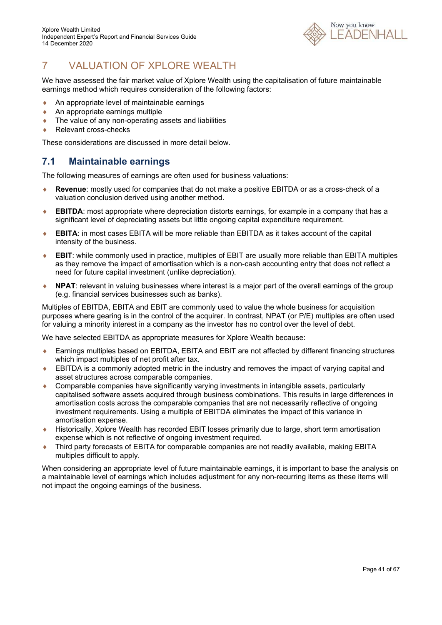

# 7 VALUATION OF XPLORE WEALTH

We have assessed the fair market value of Xplore Wealth using the capitalisation of future maintainable earnings method which requires consideration of the following factors:

- An appropriate level of maintainable earnings
- ◆ An appropriate earnings multiple
- ◆ The value of any non-operating assets and liabilities
- ◆ Relevant cross-checks

These considerations are discussed in more detail below.

### **7.1 Maintainable earnings**

The following measures of earnings are often used for business valuations:

- **Revenue**: mostly used for companies that do not make a positive EBITDA or as a cross-check of a valuation conclusion derived using another method.
- **EBITDA**: most appropriate where depreciation distorts earnings, for example in a company that has a significant level of depreciating assets but little ongoing capital expenditure requirement.
- **EBITA**: in most cases EBITA will be more reliable than EBITDA as it takes account of the capital intensity of the business.
- **EBIT**: while commonly used in practice, multiples of EBIT are usually more reliable than EBITA multiples as they remove the impact of amortisation which is a non-cash accounting entry that does not reflect a need for future capital investment (unlike depreciation).
- **NPAT**: relevant in valuing businesses where interest is a major part of the overall earnings of the group (e.g. financial services businesses such as banks).

Multiples of EBITDA, EBITA and EBIT are commonly used to value the whole business for acquisition purposes where gearing is in the control of the acquirer. In contrast, NPAT (or P/E) multiples are often used for valuing a minority interest in a company as the investor has no control over the level of debt.

We have selected EBITDA as appropriate measures for Xplore Wealth because:

- Earnings multiples based on EBITDA, EBITA and EBIT are not affected by different financing structures which impact multiples of net profit after tax.
- EBITDA is a commonly adopted metric in the industry and removes the impact of varying capital and asset structures across comparable companies.
- Comparable companies have significantly varying investments in intangible assets, particularly capitalised software assets acquired through business combinations. This results in large differences in amortisation costs across the comparable companies that are not necessarily reflective of ongoing investment requirements. Using a multiple of EBITDA eliminates the impact of this variance in amortisation expense.
- Historically, Xplore Wealth has recorded EBIT losses primarily due to large, short term amortisation expense which is not reflective of ongoing investment required.
- Third party forecasts of EBITA for comparable companies are not readily available, making EBITA multiples difficult to apply.

When considering an appropriate level of future maintainable earnings, it is important to base the analysis on a maintainable level of earnings which includes adjustment for any non-recurring items as these items will not impact the ongoing earnings of the business.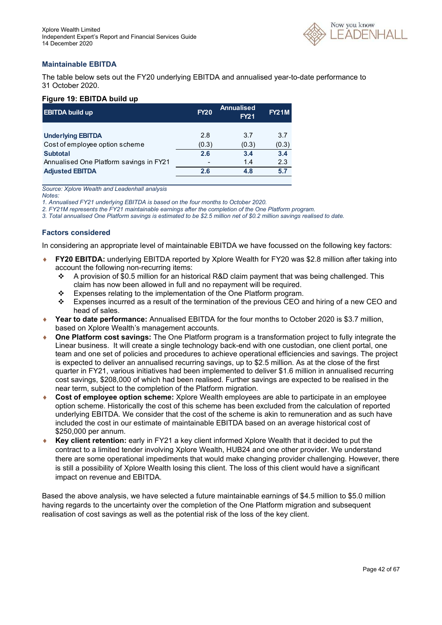

### **Maintainable EBITDA**

The table below sets out the FY20 underlying EBITDA and annualised year-to-date performance to 31 October 2020.

### **Figure 19: EBITDA build up**

| <b>EBITDA build up</b>                  | <b>FY20</b> | <b>Annualised</b><br><b>FY21</b> | <b>FY21M</b> |
|-----------------------------------------|-------------|----------------------------------|--------------|
|                                         |             |                                  |              |
| <b>Underlying EBITDA</b>                | 2.8         | 3.7                              | 3.7          |
| Cost of employee option scheme          | (0.3)       | (0.3)                            | (0.3)        |
| <b>Subtotal</b>                         | 2.6         | 3.4                              | 3.4          |
| Annualised One Platform savings in FY21 |             | 1.4                              | 2.3          |
| <b>Adjusted EBITDA</b>                  | 2.6         | 4.8                              | 5.7          |
|                                         |             |                                  |              |

*Source: Xplore Wealth and Leadenhall analysis* 

*Notes:* 

*1. Annualised FY21 underlying EBITDA is based on the four months to October 2020.* 

*2. FY21M represents the FY21 maintainable earnings after the completion of the One Platform program.* 

*3. Total annualised One Platform savings is estimated to be \$2.5 million net of \$0.2 million savings realised to date.* 

### **Factors considered**

In considering an appropriate level of maintainable EBITDA we have focussed on the following key factors:

- **FY20 EBITDA:** underlying EBITDA reported by Xplore Wealth for FY20 was \$2.8 million after taking into account the following non-recurring items:
	- A provision of \$0.5 million for an historical R&D claim payment that was being challenged. This claim has now been allowed in full and no repayment will be required.
	- $\div$  Expenses relating to the implementation of the One Platform program.
	- Expenses incurred as a result of the termination of the previous CEO and hiring of a new CEO and head of sales.
- **Year to date performance:** Annualised EBITDA for the four months to October 2020 is \$3.7 million, based on Xplore Wealth's management accounts.
- **One Platform cost savings:** The One Platform program is a transformation project to fully integrate the Linear business. It will create a single technology back-end with one custodian, one client portal, one team and one set of policies and procedures to achieve operational efficiencies and savings. The project is expected to deliver an annualised recurring savings, up to \$2.5 million. As at the close of the first quarter in FY21, various initiatives had been implemented to deliver \$1.6 million in annualised recurring cost savings, \$208,000 of which had been realised. Further savings are expected to be realised in the near term, subject to the completion of the Platform migration.
- **Cost of employee option scheme:** Xplore Wealth employees are able to participate in an employee option scheme. Historically the cost of this scheme has been excluded from the calculation of reported underlying EBITDA. We consider that the cost of the scheme is akin to remuneration and as such have included the cost in our estimate of maintainable EBITDA based on an average historical cost of \$250,000 per annum.
- **Key client retention:** early in FY21 a key client informed Xplore Wealth that it decided to put the contract to a limited tender involving Xplore Wealth, HUB24 and one other provider. We understand there are some operational impediments that would make changing provider challenging. However, there is still a possibility of Xplore Wealth losing this client. The loss of this client would have a significant impact on revenue and EBITDA.

Based the above analysis, we have selected a future maintainable earnings of \$4.5 million to \$5.0 million having regards to the uncertainty over the completion of the One Platform migration and subsequent realisation of cost savings as well as the potential risk of the loss of the key client.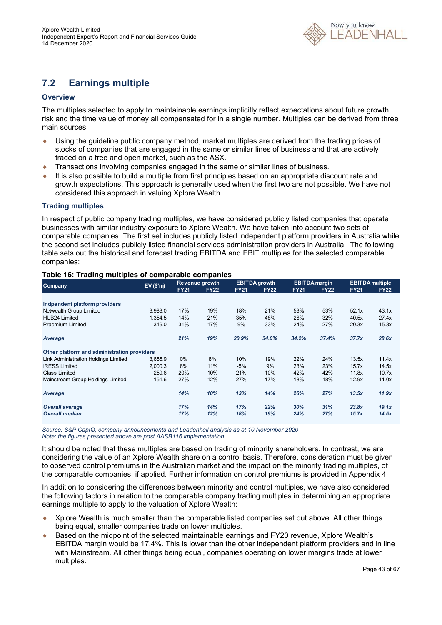

### **7.2 Earnings multiple**

### **Overview**

The multiples selected to apply to maintainable earnings implicitly reflect expectations about future growth, risk and the time value of money all compensated for in a single number. Multiples can be derived from three main sources:

- Using the guideline public company method, market multiples are derived from the trading prices of stocks of companies that are engaged in the same or similar lines of business and that are actively traded on a free and open market, such as the ASX.
- Transactions involving companies engaged in the same or similar lines of business.
- It is also possible to build a multiple from first principles based on an appropriate discount rate and growth expectations. This approach is generally used when the first two are not possible. We have not considered this approach in valuing Xplore Wealth.

### **Trading multiples**

In respect of public company trading multiples, we have considered publicly listed companies that operate businesses with similar industry exposure to Xplore Wealth. We have taken into account two sets of comparable companies. The first set includes publicly listed independent platform providers in Australia while the second set includes publicly listed financial services administration providers in Australia. The following table sets out the historical and forecast trading EBITDA and EBIT multiples for the selected comparable companies:

### **Table 16: Trading multiples of comparable companies**

| <b>Company</b>                              | EV(S'm) |             | Revenue growth |             | <b>EBITDA</b> growth |             | <b>EBITDA</b> margin |             | <b>EBITDA</b> multiple |
|---------------------------------------------|---------|-------------|----------------|-------------|----------------------|-------------|----------------------|-------------|------------------------|
|                                             |         | <b>FY21</b> | <b>FY22</b>    | <b>FY21</b> | <b>FY22</b>          | <b>FY21</b> | <b>FY22</b>          | <b>FY21</b> | <b>FY22</b>            |
|                                             |         |             |                |             |                      |             |                      |             |                        |
| Indpendent platform providers               |         |             |                |             |                      |             |                      |             |                        |
| Netwealth Group Limited                     | 3,983.0 | 17%         | 19%            | 18%         | 21%                  | 53%         | 53%                  | 52.1x       | 43.1x                  |
| <b>HUB24 Limited</b>                        | 1.354.5 | 14%         | 21%            | 35%         | 48%                  | 26%         | 32%                  | 40.5x       | 27.4x                  |
| <b>Praemium Limited</b>                     | 316.0   | 31%         | 17%            | 9%          | 33%                  | 24%         | 27%                  | 20.3x       | 15.3x                  |
| Average                                     |         | 21%         | 19%            | 20.9%       | 34.0%                | 34.2%       | 37.4%                | 37.7x       | 28.6x                  |
| Other platform and administration providers |         |             |                |             |                      |             |                      |             |                        |
| <b>Link Administration Holdings Limited</b> | 3,655.9 | $0\%$       | 8%             | 10%         | 19%                  | 22%         | 24%                  | 13.5x       | 11.4x                  |
| <b>IRESS Limited</b>                        | 2.000.3 | 8%          | 11%            | $-5%$       | 9%                   | 23%         | 23%                  | 15.7x       | 14.5x                  |
| <b>Class Limited</b>                        | 259.6   | 20%         | 10%            | 21%         | 10%                  | 42%         | 42%                  | 11.8x       | 10.7x                  |
| Mainstream Group Holdings Limited           | 151.6   | 27%         | 12%            | 27%         | 17%                  | 18%         | 18%                  | 12.9x       | 11.0x                  |
| Average                                     |         | 14%         | 10%            | 13%         | 14%                  | 26%         | 27%                  | 13.5x       | 11.9x                  |
| <b>Overall average</b>                      |         | 17%         | 14%            | 17%         | 22%                  | 30%         | 31%                  | 23.8x       | 19.1x                  |
| <b>Overall median</b>                       |         | 17%         | 12%            | 18%         | 19%                  | 24%         | 27%                  | 15.7x       | 14.5x                  |

*Source: S&P CapIQ, company announcements and Leadenhall analysis as at 10 November 2020 Note: the figures presented above are post AASB116 implementation* 

It should be noted that these multiples are based on trading of minority shareholders. In contrast, we are considering the value of an Xplore Wealth share on a control basis. Therefore, consideration must be given to observed control premiums in the Australian market and the impact on the minority trading multiples, of the comparable companies, if applied. Further information on control premiums is provided in Appendix 4.

In addition to considering the differences between minority and control multiples, we have also considered the following factors in relation to the comparable company trading multiples in determining an appropriate earnings multiple to apply to the valuation of Xplore Wealth:

- Xplore Wealth is much smaller than the comparable listed companies set out above. All other things being equal, smaller companies trade on lower multiples.
- Based on the midpoint of the selected maintainable earnings and FY20 revenue, Xplore Wealth's EBITDA margin would be 17.4%. This is lower than the other independent platform providers and in line with Mainstream. All other things being equal, companies operating on lower margins trade at lower multiples.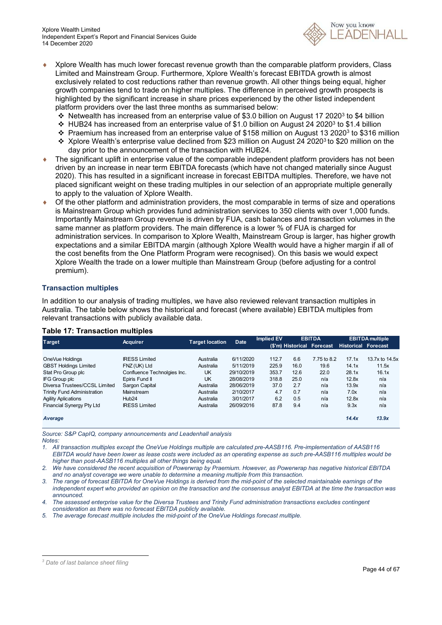

- Xplore Wealth has much lower forecast revenue growth than the comparable platform providers, Class Limited and Mainstream Group. Furthermore, Xplore Wealth's forecast EBITDA growth is almost exclusively related to cost reductions rather than revenue growth. All other things being equal, higher growth companies tend to trade on higher multiples. The difference in perceived growth prospects is highlighted by the significant increase in share prices experienced by the other listed independent platform providers over the last three months as summarised below:
	- Netwealth has increased from an enterprise value of \$3.0 billion on August 17 2020<sup>3</sup> to \$4 billion
	- HUB24 has increased from an enterprise value of \$1.0 billion on August 24 2020<sup>3</sup> to \$1.4 billion
	- Praemium has increased from an enterprise value of \$158 million on August 13 2020<sup>3</sup> to \$316 million
	- \* Xplore Wealth's enterprise value declined from \$23 million on August 24 2020<sup>3</sup> to \$20 million on the day prior to the announcement of the transaction with HUB24.
- The significant uplift in enterprise value of the comparable independent platform providers has not been driven by an increase in near term EBITDA forecasts (which have not changed materially since August 2020). This has resulted in a significant increase in forecast EBITDA multiples. Therefore, we have not placed significant weight on these trading multiples in our selection of an appropriate multiple generally to apply to the valuation of Xplore Wealth.
- Of the other platform and administration providers, the most comparable in terms of size and operations is Mainstream Group which provides fund administration services to 350 clients with over 1,000 funds. Importantly Mainstream Group revenue is driven by FUA, cash balances and transaction volumes in the same manner as platform providers. The main difference is a lower % of FUA is charged for administration services. In comparison to Xplore Wealth, Mainstream Group is larger, has higher growth expectations and a similar EBITDA margin (although Xplore Wealth would have a higher margin if all of the cost benefits from the One Platform Program were recognised). On this basis we would expect Xplore Wealth the trade on a lower multiple than Mainstream Group (before adjusting for a control premium).

### **Transaction multiples**

In addition to our analysis of trading multiples, we have also reviewed relevant transaction multiples in Australia. The table below shows the historical and forecast (where available) EBITDA multiples from relevant transactions with publicly available data.

| <b>Target</b>                      | <b>Acquirer</b>             | <b>Target location</b> | <b>Date</b> | <b>Implied EV</b> |      | <b>EBITDA</b>              |                            | <b>EBITDA</b> multiple |
|------------------------------------|-----------------------------|------------------------|-------------|-------------------|------|----------------------------|----------------------------|------------------------|
|                                    |                             |                        |             |                   |      | (\$'m) Historical Forecast | <b>Historical Forecast</b> |                        |
|                                    |                             |                        |             |                   |      |                            |                            |                        |
| OneVue Holdings                    | <b>IRESS Limited</b>        | Australia              | 6/11/2020   | 112.7             | 6.6  | 7.75 to 8.2                | 17.1x                      | 13.7x to 14.5x         |
| <b>GBST Holdings Limited</b>       | FNZ (UK) Ltd                | Australia              | 5/11/2019   | 225.9             | 16.0 | 19.6                       | 14.1x                      | 11.5x                  |
| Stat Pro Group plc                 | Confluence Technolgies Inc. | <b>UK</b>              | 29/10/2019  | 353.7             | 12.6 | 22.0                       | 28.1x                      | 16.1x                  |
| IFG Group plc                      | Epiris Fund II              | <b>UK</b>              | 28/08/2019  | 318.8             | 25.0 | n/a                        | 12.8x                      | n/a                    |
| Diversa Trustees/CCSL Limited      | Sargon Capital              | Australia              | 28/06/2019  | 37.0              | 2.7  | n/a                        | 13.9x                      | n/a                    |
| <b>Trinity Fund Administration</b> | Mainstream                  | Australia              | 2/10/2017   | 4.7               | 0.7  | n/a                        | 7.0x                       | n/a                    |
| <b>Agility Aplications</b>         | Hub <sub>24</sub>           | Australia              | 3/01/2017   | 6.2               | 0.5  | n/a                        | 12.8x                      | n/a                    |
| Financial Synergy Pty Ltd          | <b>IRESS Limited</b>        | Australia              | 26/09/2016  | 87.8              | 9.4  | n/a                        | 9.3x                       | n/a                    |
| Average                            |                             |                        |             |                   |      |                            | 14.4x                      | 13.9x                  |

### **Table 17: Transaction multiples**

*Source: S&P CapIQ, company announcements and Leadenhall analysis Notes:* 

*1. All transaction multiples except the OneVue Holdings multiple are calculated pre-AASB116. Pre-implementation of AASB116 EBITDA would have been lower as lease costs were included as an operating expense as such pre-AASB116 multiples would be higher than post-AASB116 multiples all other things being equal.* 

*2. We have considered the recent acquisition of Powerwrap by Praemium. However, as Powerwrap has negative historical EBITDA and no analyst coverage we were unable to determine a meaning multiple from this transaction.* 

*3. The range of forecast EBITDA for OneVue Holdings is derived from the mid-point of the selected maintainable earnings of the independent expert who provided an opinion on the transaction and the consensus analyst EBITDA at the time the transaction was announced.* 

*4. The assessed enterprise value for the Diversa Trustees and Trinity Fund administration transactions excludes contingent consideration as there was no forecast EBITDA publicly available.* 

*5. The average forecast multiple includes the mid-point of the OneVue Holdings forecast multiple.* 

*<sup>3</sup> Date of last balance sheet filing*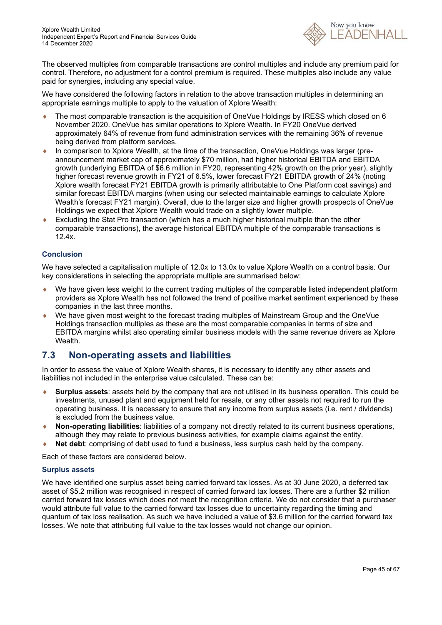

The observed multiples from comparable transactions are control multiples and include any premium paid for control. Therefore, no adjustment for a control premium is required. These multiples also include any value paid for synergies, including any special value.

We have considered the following factors in relation to the above transaction multiples in determining an appropriate earnings multiple to apply to the valuation of Xplore Wealth:

- ◆ The most comparable transaction is the acquisition of OneVue Holdings by IRESS which closed on 6 November 2020. OneVue has similar operations to Xplore Wealth. In FY20 OneVue derived approximately 64% of revenue from fund administration services with the remaining 36% of revenue being derived from platform services.
- In comparison to Xplore Wealth, at the time of the transaction, OneVue Holdings was larger (preannouncement market cap of approximately \$70 million, had higher historical EBITDA and EBITDA growth (underlying EBITDA of \$6.6 million in FY20, representing 42% growth on the prior year), slightly higher forecast revenue growth in FY21 of 6.5%, lower forecast FY21 EBITDA growth of 24% (noting Xplore wealth forecast FY21 EBITDA growth is primarily attributable to One Platform cost savings) and similar forecast EBITDA margins (when using our selected maintainable earnings to calculate Xplore Wealth's forecast FY21 margin). Overall, due to the larger size and higher growth prospects of OneVue Holdings we expect that Xplore Wealth would trade on a slightly lower multiple.
- Excluding the Stat Pro transaction (which has a much higher historical multiple than the other comparable transactions), the average historical EBITDA multiple of the comparable transactions is 12.4x.

### **Conclusion**

We have selected a capitalisation multiple of 12.0x to 13.0x to value Xplore Wealth on a control basis. Our key considerations in selecting the appropriate multiple are summarised below:

- We have given less weight to the current trading multiples of the comparable listed independent platform providers as Xplore Wealth has not followed the trend of positive market sentiment experienced by these companies in the last three months.
- We have given most weight to the forecast trading multiples of Mainstream Group and the OneVue Holdings transaction multiples as these are the most comparable companies in terms of size and EBITDA margins whilst also operating similar business models with the same revenue drivers as Xplore Wealth.

### **7.3 Non-operating assets and liabilities**

In order to assess the value of Xplore Wealth shares, it is necessary to identify any other assets and liabilities not included in the enterprise value calculated. These can be:

- **Surplus assets**: assets held by the company that are not utilised in its business operation. This could be investments, unused plant and equipment held for resale, or any other assets not required to run the operating business. It is necessary to ensure that any income from surplus assets (i.e. rent / dividends) is excluded from the business value.
- **Non-operating liabilities**: liabilities of a company not directly related to its current business operations, although they may relate to previous business activities, for example claims against the entity.
- **Net debt**: comprising of debt used to fund a business, less surplus cash held by the company.

Each of these factors are considered below.

### **Surplus assets**

We have identified one surplus asset being carried forward tax losses. As at 30 June 2020, a deferred tax asset of \$5.2 million was recognised in respect of carried forward tax losses. There are a further \$2 million carried forward tax losses which does not meet the recognition criteria. We do not consider that a purchaser would attribute full value to the carried forward tax losses due to uncertainty regarding the timing and quantum of tax loss realisation. As such we have included a value of \$3.6 million for the carried forward tax losses. We note that attributing full value to the tax losses would not change our opinion.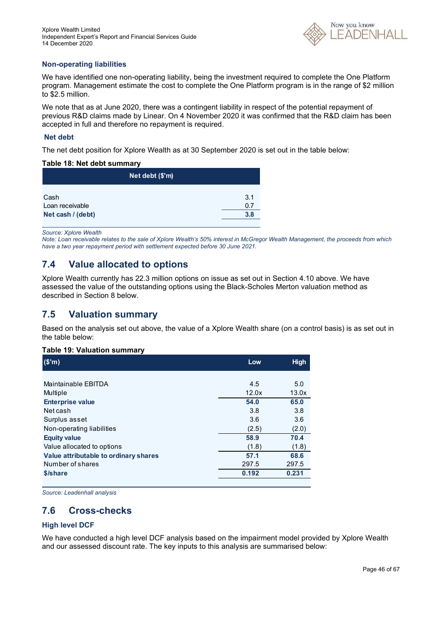

### **Non-operating liabilities**

We have identified one non-operating liability, being the investment required to complete the One Platform program. Management estimate the cost to complete the One Platform program is in the range of \$2 million to \$2.5 million.

We note that as at June 2020, there was a contingent liability in respect of the potential repayment of previous R&D claims made by Linear. On 4 November 2020 it was confirmed that the R&D claim has been accepted in full and therefore no repayment is required.

### **Net debt**

The net debt position for Xplore Wealth as at 30 September 2020 is set out in the table below:

### **Table 18: Net debt summary**

| Net debt (\$'m)   |     |
|-------------------|-----|
| Cash              | 3.1 |
| Loan receivable   | 0.7 |
| Net cash / (debt) | 3.8 |

*Source: Xplore Wealth* 

*Note: Loan receivable relates to the sale of Xplore Wealth's 50% interest in McGregor Wealth Management, the proceeds from which have a two year repayment period with settlement expected before 30 June 2021.* 

### **7.4 Value allocated to options**

Xplore Wealth currently has 22.3 million options on issue as set out in Section 4.10 above. We have assessed the value of the outstanding options using the Black-Scholes Merton valuation method as described in Section 8 below.

### **7.5 Valuation summary**

Based on the analysis set out above, the value of a Xplore Wealth share (on a control basis) is as set out in the table below:

### **Table 19: Valuation summary**

| (S'm)                                 | Low   | <b>High</b> |
|---------------------------------------|-------|-------------|
|                                       |       |             |
| Maintainable EBITDA                   | 4.5   | 5.0         |
| Multiple                              | 12.0x | 13.0x       |
| <b>Enterprise value</b>               | 54.0  | 65.0        |
| Net cash                              | 3.8   | 3.8         |
| Surplus asset                         | 3.6   | 3.6         |
| Non-operating liabilities             | (2.5) | (2.0)       |
| <b>Equity value</b>                   | 58.9  | 70.4        |
| Value allocated to options            | (1.8) | (1.8)       |
| Value attributable to ordinary shares | 57.1  | 68.6        |
| Number of shares                      | 297.5 | 297.5       |
| \$/share                              | 0.192 | 0.231       |
|                                       |       |             |

*Source: Leadenhall analysis* 

### **7.6 Cross-checks**

### **High level DCF**

We have conducted a high level DCF analysis based on the impairment model provided by Xplore Wealth and our assessed discount rate. The key inputs to this analysis are summarised below: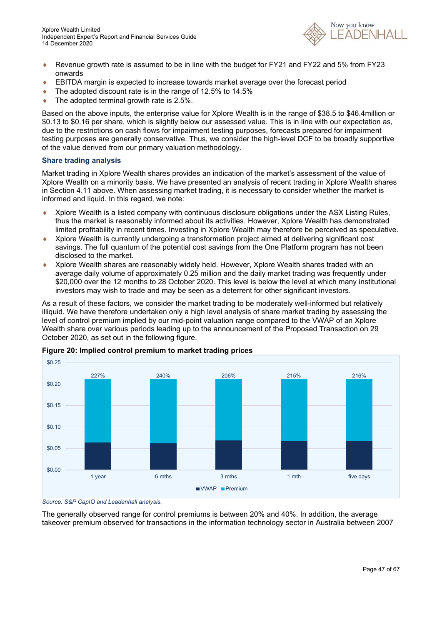

- ♦ Revenue growth rate is assumed to be in line with the budget for FY21 and FY22 and 5% from FY23 onwards
- EBITDA margin is expected to increase towards market average over the forecast period
- The adopted discount rate is in the range of 12.5% to 14.5%
- $\bullet$  The adopted terminal growth rate is 2.5%.

Based on the above inputs, the enterprise value for Xplore Wealth is in the range of \$38.5 to \$46.4million or \$0.13 to \$0.16 per share, which is slightly below our assessed value. This is in line with our expectation as, due to the restrictions on cash flows for impairment testing purposes, forecasts prepared for impairment testing purposes are generally conservative. Thus, we consider the high-level DCF to be broadly supportive of the value derived from our primary valuation methodology.

#### **Share trading analysis**

Market trading in Xplore Wealth shares provides an indication of the market's assessment of the value of Xplore Wealth on a minority basis. We have presented an analysis of recent trading in Xplore Wealth shares in Section 4.11 above. When assessing market trading, it is necessary to consider whether the market is informed and liquid. In this regard, we note:

- Xplore Wealth is a listed company with continuous disclosure obligations under the ASX Listing Rules, thus the market is reasonably informed about its activities. However, Xplore Wealth has demonstrated limited profitability in recent times. Investing in Xplore Wealth may therefore be perceived as speculative.
- Xplore Wealth is currently undergoing a transformation project aimed at delivering significant cost savings. The full quantum of the potential cost savings from the One Platform program has not been disclosed to the market.
- Xplore Wealth shares are reasonably widely held. However, Xplore Wealth shares traded with an average daily volume of approximately 0.25 million and the daily market trading was frequently under \$20,000 over the 12 months to 28 October 2020. This level is below the level at which many institutional investors may wish to trade and may be seen as a deterrent for other significant investors.

As a result of these factors, we consider the market trading to be moderately well-informed but relatively illiquid. We have therefore undertaken only a high level analysis of share market trading by assessing the level of control premium implied by our mid-point valuation range compared to the VWAP of an Xplore Wealth share over various periods leading up to the announcement of the Proposed Transaction on 29 October 2020, as set out in the following figure.



### **Figure 20: Implied control premium to market trading prices**

*Source: S&P CapIQ and Leadenhall analysis.* 

The generally observed range for control premiums is between 20% and 40%. In addition, the average takeover premium observed for transactions in the information technology sector in Australia between 2007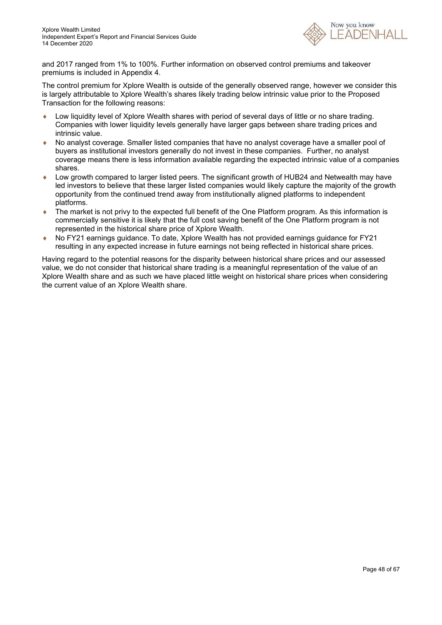

and 2017 ranged from 1% to 100%. Further information on observed control premiums and takeover premiums is included in Appendix 4.

The control premium for Xplore Wealth is outside of the generally observed range, however we consider this is largely attributable to Xplore Wealth's shares likely trading below intrinsic value prior to the Proposed Transaction for the following reasons:

- Low liquidity level of Xplore Wealth shares with period of several days of little or no share trading. Companies with lower liquidity levels generally have larger gaps between share trading prices and intrinsic value.
- No analyst coverage. Smaller listed companies that have no analyst coverage have a smaller pool of buyers as institutional investors generally do not invest in these companies. Further, no analyst coverage means there is less information available regarding the expected intrinsic value of a companies shares.
- Low growth compared to larger listed peers. The significant growth of HUB24 and Netwealth may have led investors to believe that these larger listed companies would likely capture the majority of the growth opportunity from the continued trend away from institutionally aligned platforms to independent platforms.
- ◆ The market is not privy to the expected full benefit of the One Platform program. As this information is commercially sensitive it is likely that the full cost saving benefit of the One Platform program is not represented in the historical share price of Xplore Wealth.
- ◆ No FY21 earnings guidance. To date, Xplore Wealth has not provided earnings guidance for FY21 resulting in any expected increase in future earnings not being reflected in historical share prices.

Having regard to the potential reasons for the disparity between historical share prices and our assessed value, we do not consider that historical share trading is a meaningful representation of the value of an Xplore Wealth share and as such we have placed little weight on historical share prices when considering the current value of an Xplore Wealth share.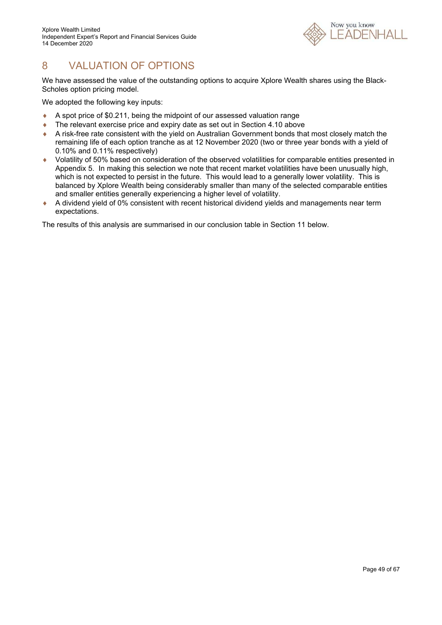

# 8 VALUATION OF OPTIONS

We have assessed the value of the outstanding options to acquire Xplore Wealth shares using the Black-Scholes option pricing model.

We adopted the following key inputs:

- A spot price of \$0.211, being the midpoint of our assessed valuation range
- The relevant exercise price and expiry date as set out in Section 4.10 above
- A risk-free rate consistent with the yield on Australian Government bonds that most closely match the remaining life of each option tranche as at 12 November 2020 (two or three year bonds with a yield of 0.10% and 0.11% respectively)
- Volatility of 50% based on consideration of the observed volatilities for comparable entities presented in Appendix 5. In making this selection we note that recent market volatilities have been unusually high, which is not expected to persist in the future. This would lead to a generally lower volatility. This is balanced by Xplore Wealth being considerably smaller than many of the selected comparable entities and smaller entities generally experiencing a higher level of volatility.
- A dividend yield of 0% consistent with recent historical dividend yields and managements near term expectations.

The results of this analysis are summarised in our conclusion table in Section 11 below.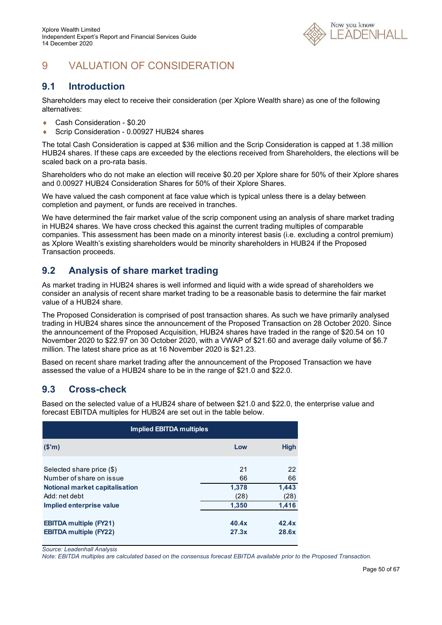

# 9 VALUATION OF CONSIDERATION

### **9.1 Introduction**

Shareholders may elect to receive their consideration (per Xplore Wealth share) as one of the following alternatives:

- Cash Consideration \$0.20
- Scrip Consideration 0.00927 HUB24 shares

The total Cash Consideration is capped at \$36 million and the Scrip Consideration is capped at 1.38 million HUB24 shares. If these caps are exceeded by the elections received from Shareholders, the elections will be scaled back on a pro-rata basis.

Shareholders who do not make an election will receive \$0.20 per Xplore share for 50% of their Xplore shares and 0.00927 HUB24 Consideration Shares for 50% of their Xplore Shares.

We have valued the cash component at face value which is typical unless there is a delay between completion and payment, or funds are received in tranches.

We have determined the fair market value of the scrip component using an analysis of share market trading in HUB24 shares. We have cross checked this against the current trading multiples of comparable companies. This assessment has been made on a minority interest basis (i.e. excluding a control premium) as Xplore Wealth's existing shareholders would be minority shareholders in HUB24 if the Proposed Transaction proceeds.

### **9.2 Analysis of share market trading**

As market trading in HUB24 shares is well informed and liquid with a wide spread of shareholders we consider an analysis of recent share market trading to be a reasonable basis to determine the fair market value of a HUB24 share.

The Proposed Consideration is comprised of post transaction shares. As such we have primarily analysed trading in HUB24 shares since the announcement of the Proposed Transaction on 28 October 2020. Since the announcement of the Proposed Acquisition, HUB24 shares have traded in the range of \$20.54 on 10 November 2020 to \$22.97 on 30 October 2020, with a VWAP of \$21.60 and average daily volume of \$6.7 million. The latest share price as at 16 November 2020 is \$21.23.

Based on recent share market trading after the announcement of the Proposed Transaction we have assessed the value of a HUB24 share to be in the range of \$21.0 and \$22.0.

### **9.3 Cross-check**

Based on the selected value of a HUB24 share of between \$21.0 and \$22.0, the enterprise value and forecast EBITDA multiples for HUB24 are set out in the table below.

| <b>Implied EBITDA multiples</b> |       |             |  |  |  |
|---------------------------------|-------|-------------|--|--|--|
| (\$m)                           | Low   | <b>High</b> |  |  |  |
|                                 |       |             |  |  |  |
| Selected share price (\$)       | 21    | 22          |  |  |  |
| Number of share on issue        | 66    | 66          |  |  |  |
| Notional market capitalisation  | 1,378 | 1,443       |  |  |  |
| Add: net debt                   | (28)  | (28)        |  |  |  |
| Implied enterprise value        | 1,350 | 1,416       |  |  |  |
| <b>EBITDA multiple (FY21)</b>   | 40.4x | 42.4x       |  |  |  |
| <b>EBITDA multiple (FY22)</b>   | 27.3x | 28.6x       |  |  |  |

*Source: Leadenhall Analysis* 

*Note: EBITDA multiples are calculated based on the consensus forecast EBITDA available prior to the Proposed Transaction.*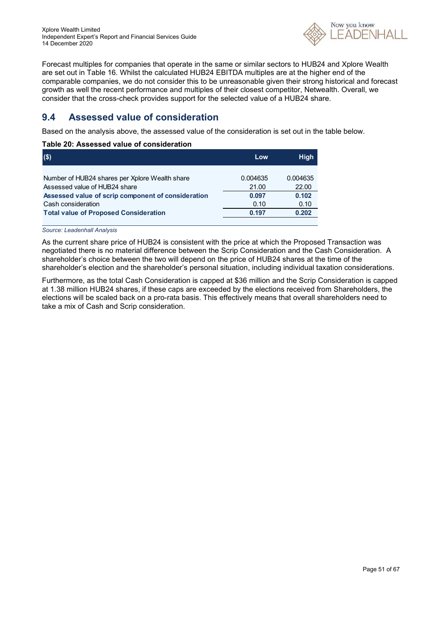

Forecast multiples for companies that operate in the same or similar sectors to HUB24 and Xplore Wealth are set out in Table 16. Whilst the calculated HUB24 EBITDA multiples are at the higher end of the comparable companies, we do not consider this to be unreasonable given their strong historical and forecast growth as well the recent performance and multiples of their closest competitor, Netwealth. Overall, we consider that the cross-check provides support for the selected value of a HUB24 share.

### **9.4 Assessed value of consideration**

Based on the analysis above, the assessed value of the consideration is set out in the table below.

### **Table 20: Assessed value of consideration**

| $($ \$)                                            | Low      | <b>High</b> |
|----------------------------------------------------|----------|-------------|
| Number of HUB24 shares per Xplore Wealth share     | 0.004635 | 0.004635    |
| Assessed value of HUB24 share                      | 21.00    | 22.00       |
| Assessed value of scrip component of consideration | 0.097    | 0.102       |
| Cash consideration                                 | 0.10     | 0.10        |
| <b>Total value of Proposed Consideration</b>       | 0.197    | 0.202       |

*Source: Leadenhall Analysis*

As the current share price of HUB24 is consistent with the price at which the Proposed Transaction was negotiated there is no material difference between the Scrip Consideration and the Cash Consideration. A shareholder's choice between the two will depend on the price of HUB24 shares at the time of the shareholder's election and the shareholder's personal situation, including individual taxation considerations.

Furthermore, as the total Cash Consideration is capped at \$36 million and the Scrip Consideration is capped at 1.38 million HUB24 shares, if these caps are exceeded by the elections received from Shareholders, the elections will be scaled back on a pro-rata basis. This effectively means that overall shareholders need to take a mix of Cash and Scrip consideration.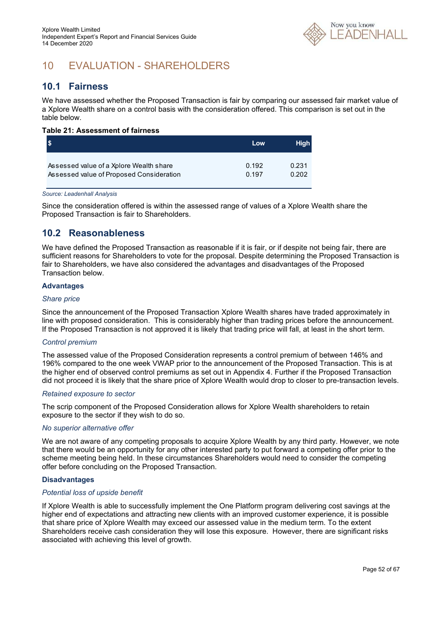

# 10 EVALUATION - SHAREHOLDERS

### **10.1 Fairness**

We have assessed whether the Proposed Transaction is fair by comparing our assessed fair market value of a Xplore Wealth share on a control basis with the consideration offered. This comparison is set out in the table below.

### **Table 21: Assessment of fairness**

|                                          | Low   | <b>High</b> |
|------------------------------------------|-------|-------------|
| Assessed value of a Xplore Wealth share  | 0.192 | 0.231       |
| Assessed value of Proposed Consideration | 0.197 | 0.202       |

#### *Source: Leadenhall Analysis*

Since the consideration offered is within the assessed range of values of a Xplore Wealth share the Proposed Transaction is fair to Shareholders.

### **10.2 Reasonableness**

We have defined the Proposed Transaction as reasonable if it is fair, or if despite not being fair, there are sufficient reasons for Shareholders to vote for the proposal. Despite determining the Proposed Transaction is fair to Shareholders, we have also considered the advantages and disadvantages of the Proposed Transaction below.

### **Advantages**

#### *Share price*

Since the announcement of the Proposed Transaction Xplore Wealth shares have traded approximately in line with proposed consideration. This is considerably higher than trading prices before the announcement. If the Proposed Transaction is not approved it is likely that trading price will fall, at least in the short term.

### *Control premium*

The assessed value of the Proposed Consideration represents a control premium of between 146% and 196% compared to the one week VWAP prior to the announcement of the Proposed Transaction. This is at the higher end of observed control premiums as set out in Appendix 4. Further if the Proposed Transaction did not proceed it is likely that the share price of Xplore Wealth would drop to closer to pre-transaction levels.

#### *Retained exposure to sector*

The scrip component of the Proposed Consideration allows for Xplore Wealth shareholders to retain exposure to the sector if they wish to do so.

### *No superior alternative offer*

We are not aware of any competing proposals to acquire Xplore Wealth by any third party. However, we note that there would be an opportunity for any other interested party to put forward a competing offer prior to the scheme meeting being held. In these circumstances Shareholders would need to consider the competing offer before concluding on the Proposed Transaction.

### **Disadvantages**

### *Potential loss of upside benefit*

If Xplore Wealth is able to successfully implement the One Platform program delivering cost savings at the higher end of expectations and attracting new clients with an improved customer experience, it is possible that share price of Xplore Wealth may exceed our assessed value in the medium term. To the extent Shareholders receive cash consideration they will lose this exposure. However, there are significant risks associated with achieving this level of growth.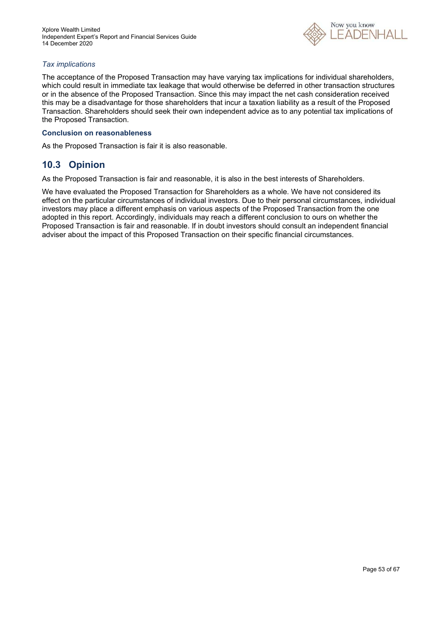

### *Tax implications*

The acceptance of the Proposed Transaction may have varying tax implications for individual shareholders, which could result in immediate tax leakage that would otherwise be deferred in other transaction structures or in the absence of the Proposed Transaction. Since this may impact the net cash consideration received this may be a disadvantage for those shareholders that incur a taxation liability as a result of the Proposed Transaction. Shareholders should seek their own independent advice as to any potential tax implications of the Proposed Transaction.

#### **Conclusion on reasonableness**

As the Proposed Transaction is fair it is also reasonable.

### **10.3 Opinion**

As the Proposed Transaction is fair and reasonable, it is also in the best interests of Shareholders.

We have evaluated the Proposed Transaction for Shareholders as a whole. We have not considered its effect on the particular circumstances of individual investors. Due to their personal circumstances, individual investors may place a different emphasis on various aspects of the Proposed Transaction from the one adopted in this report. Accordingly, individuals may reach a different conclusion to ours on whether the Proposed Transaction is fair and reasonable. If in doubt investors should consult an independent financial adviser about the impact of this Proposed Transaction on their specific financial circumstances.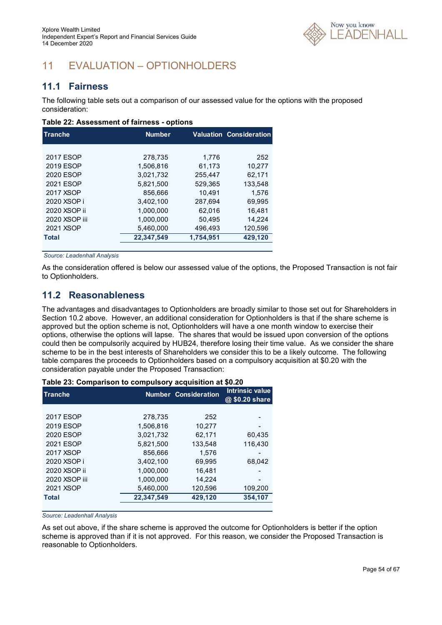

# 11 EVALUATION – OPTIONHOLDERS

### **11.1 Fairness**

The following table sets out a comparison of our assessed value for the options with the proposed consideration:

#### **Table 22: Assessment of fairness - options**

| <b>Tranche</b> | <b>Number</b> |           | <b>Valuation Consideration</b> |
|----------------|---------------|-----------|--------------------------------|
|                |               |           |                                |
| 2017 ESOP      | 278.735       | 1.776     | 252                            |
| 2019 ESOP      | 1,506,816     | 61,173    | 10,277                         |
| 2020 ESOP      | 3.021.732     | 255.447   | 62.171                         |
| 2021 ESOP      | 5.821.500     | 529.365   | 133.548                        |
| 2017 XSOP      | 856.666       | 10.491    | 1.576                          |
| 2020 XSOP i    | 3.402.100     | 287.694   | 69.995                         |
| 2020 XSOP ii   | 1.000.000     | 62.016    | 16.481                         |
| 2020 XSOP iii  | 1.000.000     | 50,495    | 14.224                         |
| 2021 XSOP      | 5,460,000     | 496,493   | 120,596                        |
| <b>Total</b>   | 22,347,549    | 1,754,951 | 429,120                        |

 *Source: Leadenhall Analysis* 

As the consideration offered is below our assessed value of the options, the Proposed Transaction is not fair to Optionholders.

### **11.2 Reasonableness**

The advantages and disadvantages to Optionholders are broadly similar to those set out for Shareholders in Section 10.2 above. However, an additional consideration for Optionholders is that if the share scheme is approved but the option scheme is not, Optionholders will have a one month window to exercise their options, otherwise the options will lapse. The shares that would be issued upon conversion of the options could then be compulsorily acquired by HUB24, therefore losing their time value. As we consider the share scheme to be in the best interests of Shareholders we consider this to be a likely outcome. The following table compares the proceeds to Optionholders based on a compulsory acquisition at \$0.20 with the consideration payable under the Proposed Transaction:

| rable 20. Oblifbarison to compulsory acquisition at vo.20 |            |                             |                                   |  |  |
|-----------------------------------------------------------|------------|-----------------------------|-----------------------------------|--|--|
| Tranche                                                   |            | <b>Number Consideration</b> | Intrinsic value<br>@ \$0.20 share |  |  |
|                                                           |            |                             |                                   |  |  |
| 2017 ESOP                                                 | 278,735    | 252                         |                                   |  |  |
| 2019 ESOP                                                 | 1,506,816  | 10,277                      |                                   |  |  |
| 2020 ESOP                                                 | 3,021,732  | 62,171                      | 60,435                            |  |  |
| 2021 ESOP                                                 | 5.821.500  | 133.548                     | 116.430                           |  |  |
| 2017 XSOP                                                 | 856,666    | 1.576                       |                                   |  |  |
| 2020 XSOP i                                               | 3.402.100  | 69.995                      | 68,042                            |  |  |
| 2020 XSOP ii                                              | 1.000.000  | 16.481                      |                                   |  |  |
| 2020 XSOP iii                                             | 1,000,000  | 14,224                      |                                   |  |  |
| 2021 XSOP                                                 | 5.460.000  | 120,596                     | 109,200                           |  |  |
| <b>Total</b>                                              | 22.347.549 | 429.120                     | 354,107                           |  |  |
|                                                           |            |                             |                                   |  |  |

### **Table 23: Comparison to compulsory acquisition at \$0.20**

*Source: Leadenhall Analysis* 

As set out above, if the share scheme is approved the outcome for Optionholders is better if the option scheme is approved than if it is not approved. For this reason, we consider the Proposed Transaction is reasonable to Optionholders.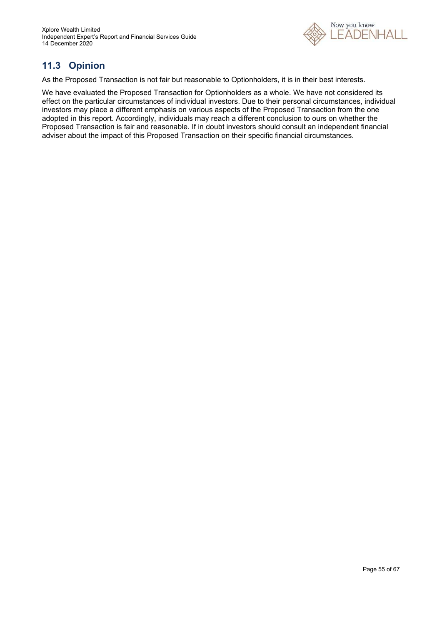

# **11.3 Opinion**

As the Proposed Transaction is not fair but reasonable to Optionholders, it is in their best interests.

We have evaluated the Proposed Transaction for Optionholders as a whole. We have not considered its effect on the particular circumstances of individual investors. Due to their personal circumstances, individual investors may place a different emphasis on various aspects of the Proposed Transaction from the one adopted in this report. Accordingly, individuals may reach a different conclusion to ours on whether the Proposed Transaction is fair and reasonable. If in doubt investors should consult an independent financial adviser about the impact of this Proposed Transaction on their specific financial circumstances.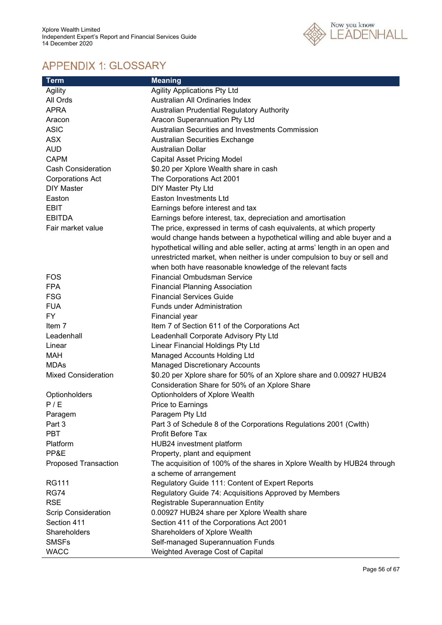

# APPENDIX 1: GLOSSARY

| Term                        | <b>Meaning</b>                                                              |
|-----------------------------|-----------------------------------------------------------------------------|
| Agility                     | <b>Agility Applications Pty Ltd</b>                                         |
| All Ords                    | Australian All Ordinaries Index                                             |
| <b>APRA</b>                 | Australian Prudential Regulatory Authority                                  |
| Aracon                      | Aracon Superannuation Pty Ltd                                               |
| <b>ASIC</b>                 | Australian Securities and Investments Commission                            |
| <b>ASX</b>                  | Australian Securities Exchange                                              |
| <b>AUD</b>                  | <b>Australian Dollar</b>                                                    |
| <b>CAPM</b>                 | <b>Capital Asset Pricing Model</b>                                          |
| <b>Cash Consideration</b>   | \$0.20 per Xplore Wealth share in cash                                      |
| <b>Corporations Act</b>     | The Corporations Act 2001                                                   |
| <b>DIY Master</b>           | DIY Master Pty Ltd                                                          |
| Easton                      | Easton Investments Ltd                                                      |
| <b>EBIT</b>                 | Earnings before interest and tax                                            |
| <b>EBITDA</b>               | Earnings before interest, tax, depreciation and amortisation                |
| Fair market value           | The price, expressed in terms of cash equivalents, at which property        |
|                             | would change hands between a hypothetical willing and able buyer and a      |
|                             | hypothetical willing and able seller, acting at arms' length in an open and |
|                             | unrestricted market, when neither is under compulsion to buy or sell and    |
|                             | when both have reasonable knowledge of the relevant facts                   |
| FOS                         | <b>Financial Ombudsman Service</b>                                          |
| <b>FPA</b>                  | <b>Financial Planning Association</b>                                       |
| <b>FSG</b>                  | <b>Financial Services Guide</b>                                             |
| <b>FUA</b>                  | <b>Funds under Administration</b>                                           |
| <b>FY</b>                   | Financial year                                                              |
| Item 7                      | Item 7 of Section 611 of the Corporations Act                               |
| Leadenhall                  | Leadenhall Corporate Advisory Pty Ltd                                       |
| Linear                      | Linear Financial Holdings Pty Ltd                                           |
| <b>MAH</b>                  | Managed Accounts Holding Ltd                                                |
| <b>MDAs</b>                 | <b>Managed Discretionary Accounts</b>                                       |
| <b>Mixed Consideration</b>  | \$0.20 per Xplore share for 50% of an Xplore share and 0.00927 HUB24        |
|                             | Consideration Share for 50% of an Xplore Share                              |
| Optionholders               | Optionholders of Xplore Wealth                                              |
| P/E                         | Price to Earnings                                                           |
| Paragem                     | Paragem Pty Ltd                                                             |
| Part 3                      | Part 3 of Schedule 8 of the Corporations Regulations 2001 (Cwlth)           |
| <b>PBT</b>                  | <b>Profit Before Tax</b>                                                    |
| Platform                    | HUB24 investment platform                                                   |
| PP&E                        | Property, plant and equipment                                               |
| <b>Proposed Transaction</b> | The acquisition of 100% of the shares in Xplore Wealth by HUB24 through     |
|                             | a scheme of arrangement                                                     |
| <b>RG111</b>                | Regulatory Guide 111: Content of Expert Reports                             |
| <b>RG74</b>                 | Regulatory Guide 74: Acquisitions Approved by Members                       |
| <b>RSE</b>                  | Registrable Superannuation Entity                                           |
| Scrip Consideration         | 0.00927 HUB24 share per Xplore Wealth share                                 |
| Section 411                 | Section 411 of the Corporations Act 2001                                    |
| Shareholders                | Shareholders of Xplore Wealth                                               |
| <b>SMSFs</b>                | Self-managed Superannuation Funds                                           |
| <b>WACC</b>                 | Weighted Average Cost of Capital                                            |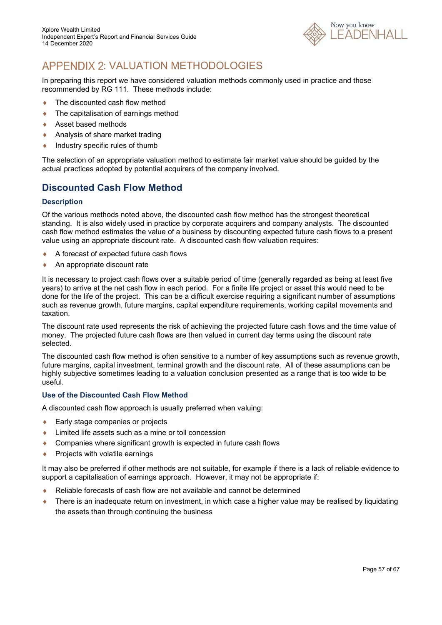

# APPENDIX 2: VALUATION METHODOLOGIES

In preparing this report we have considered valuation methods commonly used in practice and those recommended by RG 111. These methods include:

- ◆ The discounted cash flow method
- ◆ The capitalisation of earnings method
- ◆ Asset based methods
- ◆ Analysis of share market trading
- $\bullet$  Industry specific rules of thumb

The selection of an appropriate valuation method to estimate fair market value should be guided by the actual practices adopted by potential acquirers of the company involved.

### **Discounted Cash Flow Method**

### **Description**

Of the various methods noted above, the discounted cash flow method has the strongest theoretical standing. It is also widely used in practice by corporate acquirers and company analysts. The discounted cash flow method estimates the value of a business by discounting expected future cash flows to a present value using an appropriate discount rate. A discounted cash flow valuation requires:

- ◆ A forecast of expected future cash flows
- An appropriate discount rate

It is necessary to project cash flows over a suitable period of time (generally regarded as being at least five years) to arrive at the net cash flow in each period. For a finite life project or asset this would need to be done for the life of the project. This can be a difficult exercise requiring a significant number of assumptions such as revenue growth, future margins, capital expenditure requirements, working capital movements and taxation.

The discount rate used represents the risk of achieving the projected future cash flows and the time value of money. The projected future cash flows are then valued in current day terms using the discount rate selected.

The discounted cash flow method is often sensitive to a number of key assumptions such as revenue growth, future margins, capital investment, terminal growth and the discount rate. All of these assumptions can be highly subjective sometimes leading to a valuation conclusion presented as a range that is too wide to be useful.

### **Use of the Discounted Cash Flow Method**

A discounted cash flow approach is usually preferred when valuing:

- ◆ Early stage companies or projects
- Limited life assets such as a mine or toll concession
- ◆ Companies where significant growth is expected in future cash flows
- $\leftarrow$  Projects with volatile earnings

It may also be preferred if other methods are not suitable, for example if there is a lack of reliable evidence to support a capitalisation of earnings approach. However, it may not be appropriate if:

- Reliable forecasts of cash flow are not available and cannot be determined
- There is an inadequate return on investment, in which case a higher value may be realised by liquidating the assets than through continuing the business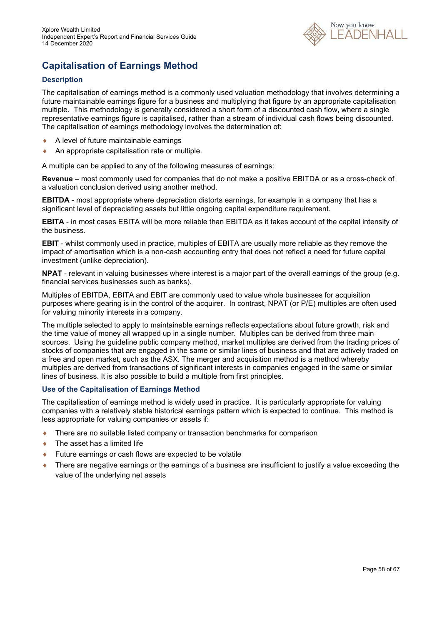

# **Capitalisation of Earnings Method**

### **Description**

The capitalisation of earnings method is a commonly used valuation methodology that involves determining a future maintainable earnings figure for a business and multiplying that figure by an appropriate capitalisation multiple. This methodology is generally considered a short form of a discounted cash flow, where a single representative earnings figure is capitalised, rather than a stream of individual cash flows being discounted. The capitalisation of earnings methodology involves the determination of:

- A level of future maintainable earnings
- ◆ An appropriate capitalisation rate or multiple.

A multiple can be applied to any of the following measures of earnings:

**Revenue** – most commonly used for companies that do not make a positive EBITDA or as a cross-check of a valuation conclusion derived using another method.

**EBITDA** - most appropriate where depreciation distorts earnings, for example in a company that has a significant level of depreciating assets but little ongoing capital expenditure requirement.

**EBITA** - in most cases EBITA will be more reliable than EBITDA as it takes account of the capital intensity of the business.

**EBIT** - whilst commonly used in practice, multiples of EBITA are usually more reliable as they remove the impact of amortisation which is a non-cash accounting entry that does not reflect a need for future capital investment (unlike depreciation).

**NPAT** - relevant in valuing businesses where interest is a major part of the overall earnings of the group (e.g. financial services businesses such as banks).

Multiples of EBITDA, EBITA and EBIT are commonly used to value whole businesses for acquisition purposes where gearing is in the control of the acquirer. In contrast, NPAT (or P/E) multiples are often used for valuing minority interests in a company.

The multiple selected to apply to maintainable earnings reflects expectations about future growth, risk and the time value of money all wrapped up in a single number. Multiples can be derived from three main sources. Using the guideline public company method, market multiples are derived from the trading prices of stocks of companies that are engaged in the same or similar lines of business and that are actively traded on a free and open market, such as the ASX. The merger and acquisition method is a method whereby multiples are derived from transactions of significant interests in companies engaged in the same or similar lines of business. It is also possible to build a multiple from first principles.

### **Use of the Capitalisation of Earnings Method**

The capitalisation of earnings method is widely used in practice. It is particularly appropriate for valuing companies with a relatively stable historical earnings pattern which is expected to continue. This method is less appropriate for valuing companies or assets if:

- There are no suitable listed company or transaction benchmarks for comparison
- ◆ The asset has a limited life
- ◆ Future earnings or cash flows are expected to be volatile
- ◆ There are negative earnings or the earnings of a business are insufficient to justify a value exceeding the value of the underlying net assets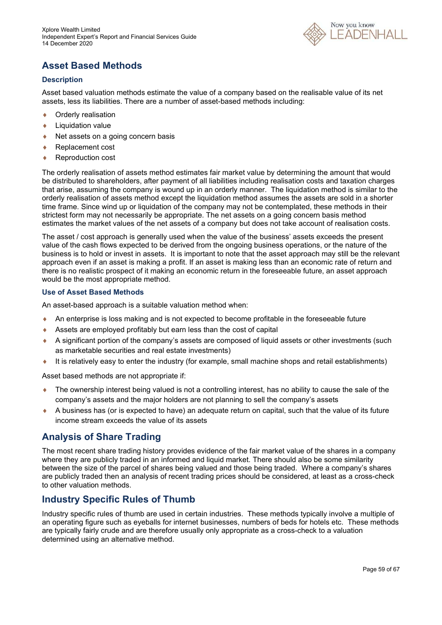

# **Asset Based Methods**

### **Description**

Asset based valuation methods estimate the value of a company based on the realisable value of its net assets, less its liabilities. There are a number of asset-based methods including:

- ◆ Orderly realisation
- **+** Liquidation value
- $\triangle$  Net assets on a going concern basis
- ◆ Replacement cost
- ◆ Reproduction cost

The orderly realisation of assets method estimates fair market value by determining the amount that would be distributed to shareholders, after payment of all liabilities including realisation costs and taxation charges that arise, assuming the company is wound up in an orderly manner. The liquidation method is similar to the orderly realisation of assets method except the liquidation method assumes the assets are sold in a shorter time frame. Since wind up or liquidation of the company may not be contemplated, these methods in their strictest form may not necessarily be appropriate. The net assets on a going concern basis method estimates the market values of the net assets of a company but does not take account of realisation costs.

The asset / cost approach is generally used when the value of the business' assets exceeds the present value of the cash flows expected to be derived from the ongoing business operations, or the nature of the business is to hold or invest in assets. It is important to note that the asset approach may still be the relevant approach even if an asset is making a profit. If an asset is making less than an economic rate of return and there is no realistic prospect of it making an economic return in the foreseeable future, an asset approach would be the most appropriate method.

### **Use of Asset Based Methods**

An asset-based approach is a suitable valuation method when:

- An enterprise is loss making and is not expected to become profitable in the foreseeable future
- Assets are employed profitably but earn less than the cost of capital
- A significant portion of the company's assets are composed of liquid assets or other investments (such as marketable securities and real estate investments)
- It is relatively easy to enter the industry (for example, small machine shops and retail establishments)

Asset based methods are not appropriate if:

- The ownership interest being valued is not a controlling interest, has no ability to cause the sale of the company's assets and the major holders are not planning to sell the company's assets
- A business has (or is expected to have) an adequate return on capital, such that the value of its future income stream exceeds the value of its assets

### **Analysis of Share Trading**

The most recent share trading history provides evidence of the fair market value of the shares in a company where they are publicly traded in an informed and liquid market. There should also be some similarity between the size of the parcel of shares being valued and those being traded. Where a company's shares are publicly traded then an analysis of recent trading prices should be considered, at least as a cross-check to other valuation methods.

### **Industry Specific Rules of Thumb**

Industry specific rules of thumb are used in certain industries. These methods typically involve a multiple of an operating figure such as eyeballs for internet businesses, numbers of beds for hotels etc. These methods are typically fairly crude and are therefore usually only appropriate as a cross-check to a valuation determined using an alternative method.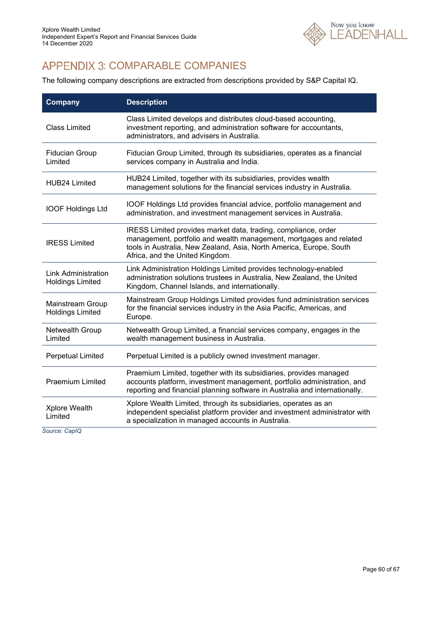

# APPENDIX 3: COMPARABLE COMPANIES

The following company descriptions are extracted from descriptions provided by S&P Capital IQ.

| <b>Company</b>                                 | <b>Description</b>                                                                                                                                                                                                                             |  |  |  |
|------------------------------------------------|------------------------------------------------------------------------------------------------------------------------------------------------------------------------------------------------------------------------------------------------|--|--|--|
| <b>Class Limited</b>                           | Class Limited develops and distributes cloud-based accounting,<br>investment reporting, and administration software for accountants,<br>administrators, and advisers in Australia.                                                             |  |  |  |
| <b>Fiducian Group</b><br>Limited               | Fiducian Group Limited, through its subsidiaries, operates as a financial<br>services company in Australia and India.                                                                                                                          |  |  |  |
| HUB24 Limited                                  | HUB24 Limited, together with its subsidiaries, provides wealth<br>management solutions for the financial services industry in Australia.                                                                                                       |  |  |  |
| <b>IOOF Holdings Ltd</b>                       | IOOF Holdings Ltd provides financial advice, portfolio management and<br>administration, and investment management services in Australia.                                                                                                      |  |  |  |
| <b>IRESS Limited</b>                           | IRESS Limited provides market data, trading, compliance, order<br>management, portfolio and wealth management, mortgages and related<br>tools in Australia, New Zealand, Asia, North America, Europe, South<br>Africa, and the United Kingdom. |  |  |  |
| Link Administration<br><b>Holdings Limited</b> | Link Administration Holdings Limited provides technology-enabled<br>administration solutions trustees in Australia, New Zealand, the United<br>Kingdom, Channel Islands, and internationally.                                                  |  |  |  |
| Mainstream Group<br><b>Holdings Limited</b>    | Mainstream Group Holdings Limited provides fund administration services<br>for the financial services industry in the Asia Pacific, Americas, and<br>Europe.                                                                                   |  |  |  |
| Netwealth Group<br>Limited                     | Netwealth Group Limited, a financial services company, engages in the<br>wealth management business in Australia.                                                                                                                              |  |  |  |
| <b>Perpetual Limited</b>                       | Perpetual Limited is a publicly owned investment manager.                                                                                                                                                                                      |  |  |  |
| <b>Praemium Limited</b>                        | Praemium Limited, together with its subsidiaries, provides managed<br>accounts platform, investment management, portfolio administration, and<br>reporting and financial planning software in Australia and internationally.                   |  |  |  |
| Xplore Wealth<br>Limited                       | Xplore Wealth Limited, through its subsidiaries, operates as an<br>independent specialist platform provider and investment administrator with<br>a specialization in managed accounts in Australia.                                            |  |  |  |

*Source: CapIQ*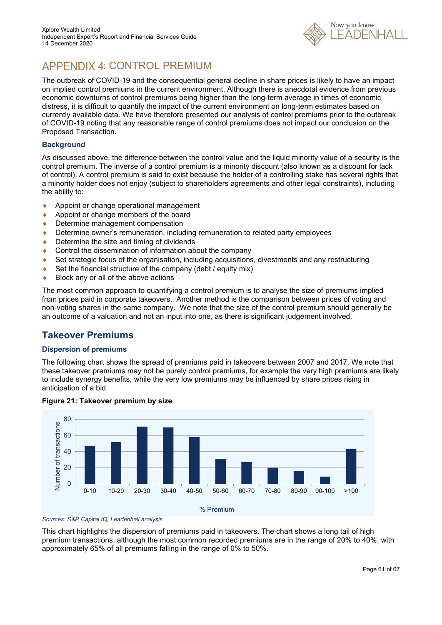

# APPENDIX 4: CONTROL PREMIUM

The outbreak of COVID-19 and the consequential general decline in share prices is likely to have an impact on implied control premiums in the current environment. Although there is anecdotal evidence from previous economic downturns of control premiums being higher than the long-term average in times of economic distress, it is difficult to quantify the impact of the current environment on long-term estimates based on currently available data. We have therefore presented our analysis of control premiums prior to the outbreak of COVID-19 noting that any reasonable range of control premiums does not impact our conclusion on the Proposed Transaction.

### **Background**

As discussed above, the difference between the control value and the liquid minority value of a security is the control premium. The inverse of a control premium is a minority discount (also known as a discount for lack of control). A control premium is said to exist because the holder of a controlling stake has several rights that a minority holder does not enjoy (subject to shareholders agreements and other legal constraints), including the ability to:

- ◆ Appoint or change operational management
- Appoint or change members of the board
- ◆ Determine management compensation
- Determine owner's remuneration, including remuneration to related party employees
- ♦ Determine the size and timing of dividends
- ♦ Control the dissemination of information about the company
- Set strategic focus of the organisation, including acquisitions, divestments and any restructuring
- $\bullet$  Set the financial structure of the company (debt / equity mix)
- ◆ Block any or all of the above actions

The most common approach to quantifying a control premium is to analyse the size of premiums implied from prices paid in corporate takeovers. Another method is the comparison between prices of voting and non-voting shares in the same company. We note that the size of the control premium should generally be an outcome of a valuation and not an input into one, as there is significant judgement involved.

### **Takeover Premiums**

### **Dispersion of premiums**

The following chart shows the spread of premiums paid in takeovers between 2007 and 2017. We note that these takeover premiums may not be purely control premiums, for example the very high premiums are likely to include synergy benefits, while the very low premiums may be influenced by share prices rising in anticipation of a bid.



### **Figure 21: Takeover premium by size**

*Sources: S&P Capital IQ, Leadenhall analysis*

This chart highlights the dispersion of premiums paid in takeovers. The chart shows a long tail of high premium transactions, although the most common recorded premiums are in the range of 20% to 40%, with approximately 65% of all premiums falling in the range of 0% to 50%.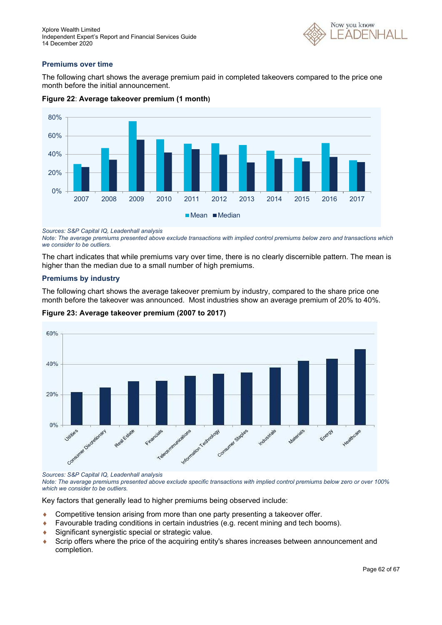

### **Premiums over time**

The following chart shows the average premium paid in completed takeovers compared to the price one month before the initial announcement.





*Sources: S&P Capital IQ, Leadenhall analysis* 

*Note: The average premiums presented above exclude transactions with implied control premiums below zero and transactions which we consider to be outliers.*

The chart indicates that while premiums vary over time, there is no clearly discernible pattern. The mean is higher than the median due to a small number of high premiums.

### **Premiums by industry**

The following chart shows the average takeover premium by industry, compared to the share price one month before the takeover was announced. Most industries show an average premium of 20% to 40%.



### **Figure 23: Average takeover premium (2007 to 2017)**

*Sources: S&P Capital IQ, Leadenhall analysis* 

*Note: The average premiums presented above exclude specific transactions with implied control premiums below zero or over 100% which we consider to be outliers.*

Key factors that generally lead to higher premiums being observed include:

- Competitive tension arising from more than one party presenting a takeover offer.
- Favourable trading conditions in certain industries (e.g. recent mining and tech booms).
- ◆ Significant synergistic special or strategic value.
- Scrip offers where the price of the acquiring entity's shares increases between announcement and completion.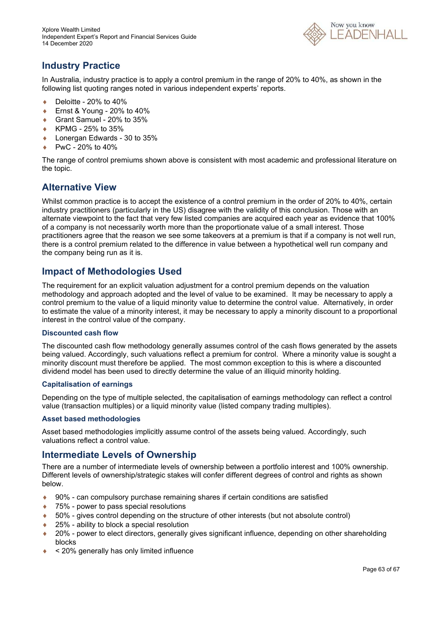

### **Industry Practice**

In Australia, industry practice is to apply a control premium in the range of 20% to 40%, as shown in the following list quoting ranges noted in various independent experts' reports.

- $\bullet$  Deloitte 20% to 40%
- Ernst & Young 20% to 40%
- Grant Samuel 20% to 35%
- ◆ KPMG 25% to 35%
- ◆ Lonergan Edwards 30 to 35%
- PwC 20% to 40%

The range of control premiums shown above is consistent with most academic and professional literature on the topic.

### **Alternative View**

Whilst common practice is to accept the existence of a control premium in the order of 20% to 40%, certain industry practitioners (particularly in the US) disagree with the validity of this conclusion. Those with an alternate viewpoint to the fact that very few listed companies are acquired each year as evidence that 100% of a company is not necessarily worth more than the proportionate value of a small interest. Those practitioners agree that the reason we see some takeovers at a premium is that if a company is not well run, there is a control premium related to the difference in value between a hypothetical well run company and the company being run as it is.

### **Impact of Methodologies Used**

The requirement for an explicit valuation adjustment for a control premium depends on the valuation methodology and approach adopted and the level of value to be examined. It may be necessary to apply a control premium to the value of a liquid minority value to determine the control value. Alternatively, in order to estimate the value of a minority interest, it may be necessary to apply a minority discount to a proportional interest in the control value of the company.

### **Discounted cash flow**

The discounted cash flow methodology generally assumes control of the cash flows generated by the assets being valued. Accordingly, such valuations reflect a premium for control. Where a minority value is sought a minority discount must therefore be applied. The most common exception to this is where a discounted dividend model has been used to directly determine the value of an illiquid minority holding.

### **Capitalisation of earnings**

Depending on the type of multiple selected, the capitalisation of earnings methodology can reflect a control value (transaction multiples) or a liquid minority value (listed company trading multiples).

### **Asset based methodologies**

Asset based methodologies implicitly assume control of the assets being valued. Accordingly, such valuations reflect a control value.

### **Intermediate Levels of Ownership**

There are a number of intermediate levels of ownership between a portfolio interest and 100% ownership. Different levels of ownership/strategic stakes will confer different degrees of control and rights as shown below.

- ◆ 90% can compulsory purchase remaining shares if certain conditions are satisfied
- ◆ 75% power to pass special resolutions
- ◆ 50% gives control depending on the structure of other interests (but not absolute control)
- 25% ability to block a special resolution
- 20% power to elect directors, generally gives significant influence, depending on other shareholding blocks
- $\triangleq$  < 20% generally has only limited influence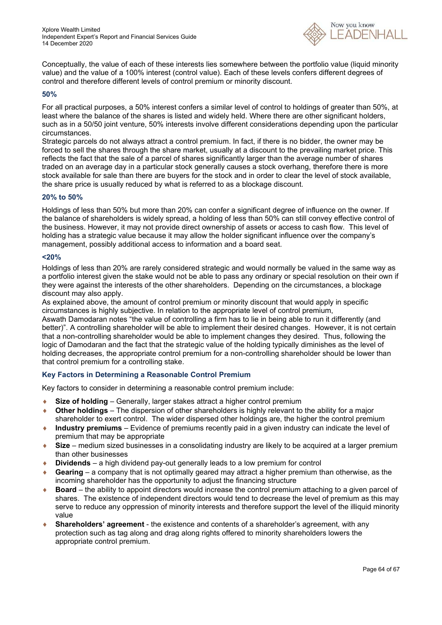

Conceptually, the value of each of these interests lies somewhere between the portfolio value (liquid minority value) and the value of a 100% interest (control value). Each of these levels confers different degrees of control and therefore different levels of control premium or minority discount.

### **50%**

For all practical purposes, a 50% interest confers a similar level of control to holdings of greater than 50%, at least where the balance of the shares is listed and widely held. Where there are other significant holders, such as in a 50/50 joint venture, 50% interests involve different considerations depending upon the particular circumstances.

Strategic parcels do not always attract a control premium. In fact, if there is no bidder, the owner may be forced to sell the shares through the share market, usually at a discount to the prevailing market price. This reflects the fact that the sale of a parcel of shares significantly larger than the average number of shares traded on an average day in a particular stock generally causes a stock overhang, therefore there is more stock available for sale than there are buyers for the stock and in order to clear the level of stock available, the share price is usually reduced by what is referred to as a blockage discount.

### **20% to 50%**

Holdings of less than 50% but more than 20% can confer a significant degree of influence on the owner. If the balance of shareholders is widely spread, a holding of less than 50% can still convey effective control of the business. However, it may not provide direct ownership of assets or access to cash flow. This level of holding has a strategic value because it may allow the holder significant influence over the company's management, possibly additional access to information and a board seat.

### **<20%**

Holdings of less than 20% are rarely considered strategic and would normally be valued in the same way as a portfolio interest given the stake would not be able to pass any ordinary or special resolution on their own if they were against the interests of the other shareholders. Depending on the circumstances, a blockage discount may also apply.

As explained above, the amount of control premium or minority discount that would apply in specific circumstances is highly subjective. In relation to the appropriate level of control premium,

Aswath Damodaran notes "the value of controlling a firm has to lie in being able to run it differently (and better)". A controlling shareholder will be able to implement their desired changes. However, it is not certain that a non-controlling shareholder would be able to implement changes they desired. Thus, following the logic of Damodaran and the fact that the strategic value of the holding typically diminishes as the level of holding decreases, the appropriate control premium for a non-controlling shareholder should be lower than that control premium for a controlling stake.

### **Key Factors in Determining a Reasonable Control Premium**

Key factors to consider in determining a reasonable control premium include:

- **Size of holding** Generally, larger stakes attract a higher control premium
- **Other holdings** The dispersion of other shareholders is highly relevant to the ability for a major shareholder to exert control. The wider dispersed other holdings are, the higher the control premium
- **Industry premiums** Evidence of premiums recently paid in a given industry can indicate the level of premium that may be appropriate
- **Size** medium sized businesses in a consolidating industry are likely to be acquired at a larger premium than other businesses
- **Dividends** a high dividend pay-out generally leads to a low premium for control
- **Gearing** a company that is not optimally geared may attract a higher premium than otherwise, as the incoming shareholder has the opportunity to adjust the financing structure
- ◆ **Board** the ability to appoint directors would increase the control premium attaching to a given parcel of shares. The existence of independent directors would tend to decrease the level of premium as this may serve to reduce any oppression of minority interests and therefore support the level of the illiquid minority value
- **Shareholders' agreement** the existence and contents of a shareholder's agreement, with any protection such as tag along and drag along rights offered to minority shareholders lowers the appropriate control premium.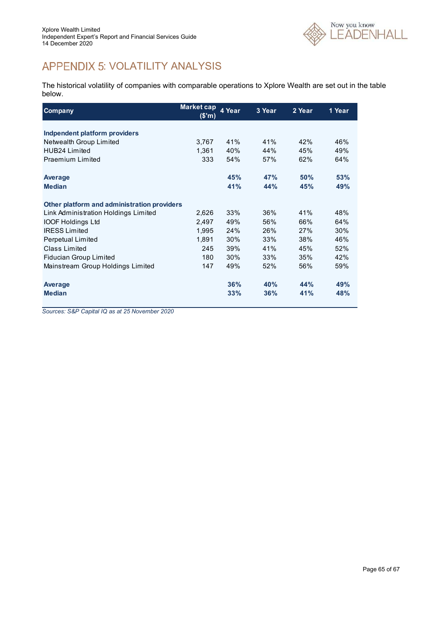

# APPENDIX 5: VOLATILITY ANALYSIS

The historical volatility of companies with comparable operations to Xplore Wealth are set out in the table below.

| <b>Company</b>                              | <b>Market cap</b><br>(\$'m) | 4 Year | 3 Year | 2 Year | 1 Year |  |
|---------------------------------------------|-----------------------------|--------|--------|--------|--------|--|
|                                             |                             |        |        |        |        |  |
| <b>Indpendent platform providers</b>        |                             | 41%    | 41%    | 42%    | 46%    |  |
| Netwealth Group Limited                     | 3,767                       |        |        |        |        |  |
| HUB <sub>24</sub> I imited                  | 1.361                       | 40%    | 44%    | 45%    | 49%    |  |
| Praemium Limited                            | 333                         | 54%    | 57%    | 62%    | 64%    |  |
| Average                                     |                             | 45%    | 47%    | 50%    | 53%    |  |
| <b>Median</b>                               |                             | 41%    | 44%    | 45%    | 49%    |  |
| Other platform and administration providers |                             |        |        |        |        |  |
| Link Administration Holdings Limited        | 2,626                       | 33%    | 36%    | 41%    | 48%    |  |
| <b>IOOF Holdings Ltd</b>                    | 2,497                       | 49%    | 56%    | 66%    | 64%    |  |
| <b>IRESS Limited</b>                        | 1,995                       | 24%    | 26%    | 27%    | 30%    |  |
| Perpetual Limited                           | 1,891                       | 30%    | 33%    | 38%    | 46%    |  |
| Class Limited                               | 245                         | 39%    | 41%    | 45%    | 52%    |  |
| <b>Fiducian Group Limited</b>               | 180                         | 30%    | 33%    | 35%    | 42%    |  |
| Mainstream Group Holdings Limited           | 147                         | 49%    | 52%    | 56%    | 59%    |  |
| Average                                     |                             | 36%    | 40%    | 44%    | 49%    |  |
| <b>Median</b>                               |                             | 33%    | 36%    | 41%    | 48%    |  |

*Sources: S&P Capital IQ as at 25 November 2020*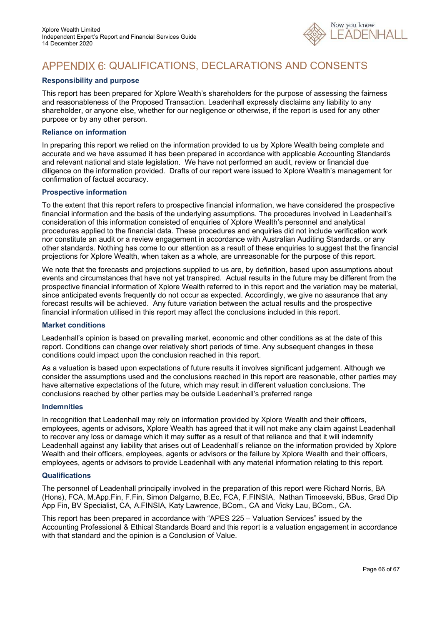

# APPENDIX 6: QUALIFICATIONS, DECLARATIONS AND CONSENTS

### **Responsibility and purpose**

This report has been prepared for Xplore Wealth's shareholders for the purpose of assessing the fairness and reasonableness of the Proposed Transaction. Leadenhall expressly disclaims any liability to any shareholder, or anyone else, whether for our negligence or otherwise, if the report is used for any other purpose or by any other person.

#### **Reliance on information**

In preparing this report we relied on the information provided to us by Xplore Wealth being complete and accurate and we have assumed it has been prepared in accordance with applicable Accounting Standards and relevant national and state legislation. We have not performed an audit, review or financial due diligence on the information provided. Drafts of our report were issued to Xplore Wealth's management for confirmation of factual accuracy.

#### **Prospective information**

To the extent that this report refers to prospective financial information, we have considered the prospective financial information and the basis of the underlying assumptions. The procedures involved in Leadenhall's consideration of this information consisted of enquiries of Xplore Wealth's personnel and analytical procedures applied to the financial data. These procedures and enquiries did not include verification work nor constitute an audit or a review engagement in accordance with Australian Auditing Standards, or any other standards. Nothing has come to our attention as a result of these enquiries to suggest that the financial projections for Xplore Wealth, when taken as a whole, are unreasonable for the purpose of this report.

We note that the forecasts and projections supplied to us are, by definition, based upon assumptions about events and circumstances that have not yet transpired. Actual results in the future may be different from the prospective financial information of Xplore Wealth referred to in this report and the variation may be material, since anticipated events frequently do not occur as expected. Accordingly, we give no assurance that any forecast results will be achieved. Any future variation between the actual results and the prospective financial information utilised in this report may affect the conclusions included in this report.

### **Market conditions**

Leadenhall's opinion is based on prevailing market, economic and other conditions as at the date of this report. Conditions can change over relatively short periods of time. Any subsequent changes in these conditions could impact upon the conclusion reached in this report.

As a valuation is based upon expectations of future results it involves significant judgement. Although we consider the assumptions used and the conclusions reached in this report are reasonable, other parties may have alternative expectations of the future, which may result in different valuation conclusions. The conclusions reached by other parties may be outside Leadenhall's preferred range

#### **Indemnities**

In recognition that Leadenhall may rely on information provided by Xplore Wealth and their officers, employees, agents or advisors, Xplore Wealth has agreed that it will not make any claim against Leadenhall to recover any loss or damage which it may suffer as a result of that reliance and that it will indemnify Leadenhall against any liability that arises out of Leadenhall's reliance on the information provided by Xplore Wealth and their officers, employees, agents or advisors or the failure by Xplore Wealth and their officers, employees, agents or advisors to provide Leadenhall with any material information relating to this report.

### **Qualifications**

The personnel of Leadenhall principally involved in the preparation of this report were Richard Norris, BA (Hons), FCA, M.App.Fin, F.Fin, Simon Dalgarno, B.Ec, FCA, F.FINSIA, Nathan Timosevski, BBus, Grad Dip App Fin, BV Specialist, CA, A.FINSIA, Katy Lawrence, BCom., CA and Vicky Lau, BCom., CA.

This report has been prepared in accordance with "APES 225 – Valuation Services" issued by the Accounting Professional & Ethical Standards Board and this report is a valuation engagement in accordance with that standard and the opinion is a Conclusion of Value.